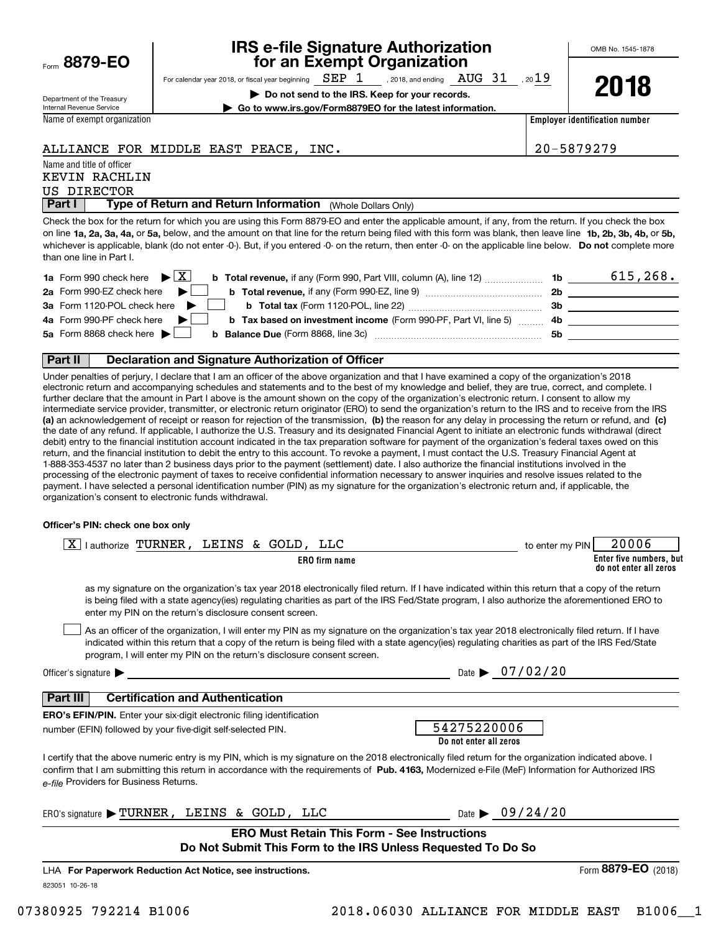| Form | 8879- | F |
|------|-------|---|
|      |       |   |

### **IRS e-file Signature Authorization for an Exempt Organization**

For calendar year 2018, or fiscal year beginning  $\rm{~SEP}$   $\rm{1}$   $\rm{~,}$  2018, and ending  $\rm{~AUG}$   $\rm{~31}$   $\rm{~,}$  20 $\rm{19}$ 

**| Do not send to the IRS. Keep for your records. | Go to www.irs.gov/Form8879EO for the latest information.**

on line **1a, 2a, 3a, 4a,** or **5a,** below, and the amount on that line for the return being filed with this form was blank, then leave line **1b, 2b, 3b, 4b,** or **5b,** whichever is applicable, blank (do not enter -0-). But, if you entered -0- on the return, then enter -0- on the applicable line below. **Do not** complete more

Check the box for the return for which you are using this Form 8879-EO and enter the applicable amount, if any, from the return. If you check the box

ALLIANCE FOR MIDDLE EAST PEACE, INC. 20-5879279

 $\blacktriangleright$  **X** b Total revenue, if any (Form 990, Part VIII, column (A), line 12)  $\ldots$  $\ldots$  $\ldots$  1b 6 615, 268.

**2018**

**Employer identification number**

| Department of the Treasury  |  |
|-----------------------------|--|
| Internal Revenue Service    |  |
| Name of exempt organization |  |

Name and title of officer

US DIRECTOR

KEVIN RACHLIN

than one line in Part I.

**2b b Total revenue,**  if any (Form 990-EZ, line 9) ~~~~~~~~~~~~~~ **b b Total tax** (Form 1120-POL, line 22)  $\ldots$   $\ldots$   $\ldots$   $\ldots$   $\ldots$   $\ldots$   $\ldots$  3b

|  | 3a Form 1120-POL check here $\blacktriangleright$ $\blacksquare$ b Total tax (Form 1120-POL, line 22) | Зb |
|--|-------------------------------------------------------------------------------------------------------|----|
|  |                                                                                                       |    |

**1a** Form 990 check here  $\blacktriangleright \boxed{\text{X}}$ **2a** Form 990-EZ check here

| 5a Form 8868 check here |  | <b>Balance Due (Form 8868, line 3c)</b> |  |  |  |
|-------------------------|--|-----------------------------------------|--|--|--|

### **Part II Declaration and Signature Authorization of Officer**

**Part I** | Type of Return and Return Information (Whole Dollars Only)

**|**

 $\mathcal{L}^{\text{max}}$  $\mathcal{L}^{\text{max}}$ 

**(a)** an acknowledgement of receipt or reason for rejection of the transmission, (b) the reason for any delay in processing the return or refund, and (c) Under penalties of perjury, I declare that I am an officer of the above organization and that I have examined a copy of the organization's 2018 electronic return and accompanying schedules and statements and to the best of my knowledge and belief, they are true, correct, and complete. I further declare that the amount in Part I above is the amount shown on the copy of the organization's electronic return. I consent to allow my intermediate service provider, transmitter, or electronic return originator (ERO) to send the organization's return to the IRS and to receive from the IRS the date of any refund. If applicable, I authorize the U.S. Treasury and its designated Financial Agent to initiate an electronic funds withdrawal (direct debit) entry to the financial institution account indicated in the tax preparation software for payment of the organization's federal taxes owed on this return, and the financial institution to debit the entry to this account. To revoke a payment, I must contact the U.S. Treasury Financial Agent at 1-888-353-4537 no later than 2 business days prior to the payment (settlement) date. I also authorize the financial institutions involved in the processing of the electronic payment of taxes to receive confidential information necessary to answer inquiries and resolve issues related to the payment. I have selected a personal identification number (PIN) as my signature for the organization's electronic return and, if applicable, the organization's consent to electronic funds withdrawal.

### **Officer's PIN: check one box only**

| lauthorize TURNER, LEINS & GOLD, LLC                                                                                                                                                                                                                                                                                                                                             | 20006<br>to enter my PIN                          |
|----------------------------------------------------------------------------------------------------------------------------------------------------------------------------------------------------------------------------------------------------------------------------------------------------------------------------------------------------------------------------------|---------------------------------------------------|
| <b>ERO</b> firm name                                                                                                                                                                                                                                                                                                                                                             | Enter five numbers, but<br>do not enter all zeros |
| as my signature on the organization's tax year 2018 electronically filed return. If I have indicated within this return that a copy of the return<br>is being filed with a state agency(ies) regulating charities as part of the IRS Fed/State program, I also authorize the aforementioned ERO to<br>enter my PIN on the return's disclosure consent screen.                    |                                                   |
| As an officer of the organization, I will enter my PIN as my signature on the organization's tax year 2018 electronically filed return. If I have<br>indicated within this return that a copy of the return is being filed with a state agency(ies) regulating charities as part of the IRS Fed/State<br>program, I will enter my PIN on the return's disclosure consent screen. |                                                   |
| Officer's signature $\blacktriangleright$                                                                                                                                                                                                                                                                                                                                        | Date $\triangleright$ 07/02/20                    |
| <b>Certification and Authentication</b><br>Part III<br><b>ERO's EFIN/PIN.</b> Enter your six-digit electronic filing identification<br>number (EFIN) followed by your five-digit self-selected PIN.                                                                                                                                                                              | 54275220006<br>Do not enter all zeros             |
| I certify that the above numeric entry is my PIN, which is my signature on the 2018 electronically filed return for the organization indicated above. I<br>confirm that I am submitting this return in accordance with the requirements of Pub. 4163, Modernized e-File (MeF) Information for Authorized IRS<br>e-file Providers for Business Returns.                           |                                                   |
| ERO's signature > TURNER, LEINS & GOLD, LLC                                                                                                                                                                                                                                                                                                                                      | Date $\triangleright$ 09/24/20                    |
| <b>ERO Must Retain This Form - See Instructions</b>                                                                                                                                                                                                                                                                                                                              |                                                   |
| Do Not Submit This Form to the IRS Unless Requested To Do So                                                                                                                                                                                                                                                                                                                     |                                                   |
| LHA For Paperwork Reduction Act Notice, see instructions.                                                                                                                                                                                                                                                                                                                        | Form 8879-EO (2018)                               |
| 823051 10-26-18                                                                                                                                                                                                                                                                                                                                                                  |                                                   |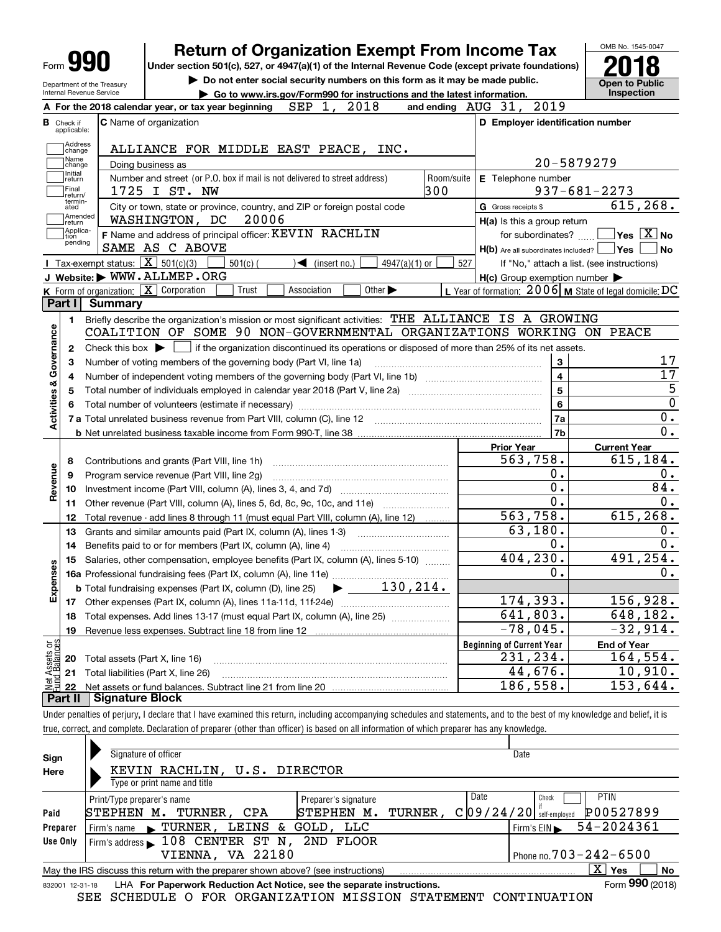| Form <b>YY</b>                                                  |                                                                                                       |            |                                                                          |                                                                             |            | <b>Return of Organization Exempt From Income Tax</b>                                                             | OMB No. 1545-0047                                                                                                                                       |
|-----------------------------------------------------------------|-------------------------------------------------------------------------------------------------------|------------|--------------------------------------------------------------------------|-----------------------------------------------------------------------------|------------|------------------------------------------------------------------------------------------------------------------|---------------------------------------------------------------------------------------------------------------------------------------------------------|
|                                                                 |                                                                                                       |            |                                                                          |                                                                             |            | Under section 501(c), 527, or 4947(a)(1) of the Internal Revenue Code (except private foundations)               |                                                                                                                                                         |
| Department of the Treasury                                      |                                                                                                       |            |                                                                          | Do not enter social security numbers on this form as it may be made public. |            |                                                                                                                  | <b>Open to Public</b>                                                                                                                                   |
| Internal Revenue Service                                        |                                                                                                       |            |                                                                          | Go to www.irs.gov/Form990 for instructions and the latest information.      |            |                                                                                                                  | <b>Inspection</b>                                                                                                                                       |
|                                                                 | A For the 2018 calendar year, or tax year beginning                                                   |            | SEP 1,                                                                   | 2018                                                                        |            | 2019<br>and ending $AUG$ $31$ ,                                                                                  |                                                                                                                                                         |
| <b>B</b> Check if<br>applicable:                                | <b>C</b> Name of organization                                                                         |            |                                                                          |                                                                             |            | D Employer identification number                                                                                 |                                                                                                                                                         |
| Address                                                         |                                                                                                       |            |                                                                          |                                                                             |            |                                                                                                                  |                                                                                                                                                         |
| change<br>Name                                                  | ALLIANCE FOR MIDDLE EAST PEACE, INC.                                                                  |            |                                                                          |                                                                             |            |                                                                                                                  |                                                                                                                                                         |
| change<br>Initial                                               | Doing business as                                                                                     |            |                                                                          |                                                                             |            |                                                                                                                  | 20-5879279                                                                                                                                              |
| return<br>Final                                                 | Number and street (or P.O. box if mail is not delivered to street address)                            |            |                                                                          |                                                                             | Room/suite | E Telephone number                                                                                               |                                                                                                                                                         |
| return/<br>termin-                                              | 1725 I ST. NW                                                                                         |            |                                                                          |                                                                             | 300        |                                                                                                                  | $937 - 681 - 2273$                                                                                                                                      |
| ated<br>Amended                                                 | City or town, state or province, country, and ZIP or foreign postal code                              |            |                                                                          |                                                                             |            | G Gross receipts \$                                                                                              | 615, 268.                                                                                                                                               |
| return<br>Applica-                                              | WASHINGTON, DC                                                                                        | 20006      |                                                                          |                                                                             |            | H(a) Is this a group return                                                                                      |                                                                                                                                                         |
| tion<br>pending                                                 | F Name and address of principal officer: KEVIN RACHLIN                                                |            |                                                                          |                                                                             |            | for subordinates?                                                                                                | $\sqrt{}$ Yes $\sqrt{}$ X $\sqrt{}$ No                                                                                                                  |
|                                                                 | SAME AS C ABOVE                                                                                       |            |                                                                          |                                                                             |            | H(b) Are all subordinates included? Ves                                                                          | No                                                                                                                                                      |
|                                                                 | Tax-exempt status: $\boxed{\mathbf{X}}$ 501(c)(3)<br>J Website: WWW.ALLMEP.ORG                        | $501(c)$ ( | $\sqrt{\frac{2}{1}}$ (insert no.)                                        | $4947(a)(1)$ or                                                             | 527        |                                                                                                                  | If "No," attach a list. (see instructions)                                                                                                              |
|                                                                 | K Form of organization: X Corporation                                                                 | Trust      | Association                                                              | Other $\blacktriangleright$                                                 |            | $H(c)$ Group exemption number $\blacktriangleright$<br>L Year of formation: $2006$ M State of legal domicile: DC |                                                                                                                                                         |
| Part I                                                          | <b>Summary</b>                                                                                        |            |                                                                          |                                                                             |            |                                                                                                                  |                                                                                                                                                         |
|                                                                 | Briefly describe the organization's mission or most significant activities: THE ALLIANCE IS A GROWING |            |                                                                          |                                                                             |            |                                                                                                                  |                                                                                                                                                         |
| 1.                                                              | COALITION OF SOME 90 NON-GOVERNMENTAL ORGANIZATIONS WORKING ON PEACE                                  |            |                                                                          |                                                                             |            |                                                                                                                  |                                                                                                                                                         |
|                                                                 |                                                                                                       |            |                                                                          |                                                                             |            |                                                                                                                  |                                                                                                                                                         |
| 2                                                               | Check this box $\blacktriangleright$                                                                  |            |                                                                          |                                                                             |            | if the organization discontinued its operations or disposed of more than 25% of its net assets.                  |                                                                                                                                                         |
| з                                                               | Number of voting members of the governing body (Part VI, line 1a)                                     |            |                                                                          |                                                                             |            | 3                                                                                                                | 17<br>17                                                                                                                                                |
| 4                                                               |                                                                                                       |            |                                                                          |                                                                             |            | $\overline{4}$                                                                                                   |                                                                                                                                                         |
| 5                                                               |                                                                                                       |            |                                                                          |                                                                             |            | 5                                                                                                                |                                                                                                                                                         |
| Activities & Governance<br>6                                    |                                                                                                       |            |                                                                          |                                                                             |            |                                                                                                                  |                                                                                                                                                         |
|                                                                 |                                                                                                       |            |                                                                          |                                                                             |            | 6                                                                                                                |                                                                                                                                                         |
|                                                                 |                                                                                                       |            | 7 a Total unrelated business revenue from Part VIII, column (C), line 12 |                                                                             |            | 7a                                                                                                               |                                                                                                                                                         |
|                                                                 |                                                                                                       |            |                                                                          |                                                                             |            | 7b                                                                                                               |                                                                                                                                                         |
|                                                                 |                                                                                                       |            |                                                                          |                                                                             |            | <b>Prior Year</b>                                                                                                | <b>Current Year</b>                                                                                                                                     |
| 8                                                               | Contributions and grants (Part VIII, line 1h)                                                         |            |                                                                          |                                                                             |            | 563,758.                                                                                                         |                                                                                                                                                         |
| 9                                                               | Program service revenue (Part VIII, line 2g)                                                          |            |                                                                          |                                                                             |            | 0.                                                                                                               |                                                                                                                                                         |
| 10                                                              |                                                                                                       |            |                                                                          |                                                                             |            | 0.                                                                                                               |                                                                                                                                                         |
| 11                                                              | Other revenue (Part VIII, column (A), lines 5, 6d, 8c, 9c, 10c, and 11e)                              |            |                                                                          |                                                                             |            | 0.                                                                                                               |                                                                                                                                                         |
| 12                                                              | Total revenue - add lines 8 through 11 (must equal Part VIII, column (A), line 12)                    |            |                                                                          |                                                                             |            | 563,758.                                                                                                         |                                                                                                                                                         |
| 13                                                              | Grants and similar amounts paid (Part IX, column (A), lines 1-3)                                      |            |                                                                          |                                                                             |            | 63,180.                                                                                                          |                                                                                                                                                         |
| 14                                                              | Benefits paid to or for members (Part IX, column (A), line 4)                                         |            |                                                                          |                                                                             |            | 0.                                                                                                               |                                                                                                                                                         |
| 15                                                              | Salaries, other compensation, employee benefits (Part IX, column (A), lines 5-10)                     |            |                                                                          |                                                                             |            | 404, 230.                                                                                                        |                                                                                                                                                         |
|                                                                 |                                                                                                       |            |                                                                          |                                                                             |            | 0.                                                                                                               |                                                                                                                                                         |
|                                                                 | <b>b</b> Total fundraising expenses (Part IX, column (D), line 25)                                    |            |                                                                          | $\blacktriangleright$ 130, 214.                                             |            |                                                                                                                  |                                                                                                                                                         |
| 17                                                              |                                                                                                       |            |                                                                          |                                                                             |            | 174,393.                                                                                                         |                                                                                                                                                         |
| 18                                                              | Total expenses. Add lines 13-17 (must equal Part IX, column (A), line 25)                             |            |                                                                          |                                                                             |            | 641,803.                                                                                                         |                                                                                                                                                         |
| 19                                                              |                                                                                                       |            |                                                                          |                                                                             |            | $-78,045.$                                                                                                       | $\overline{0}$<br>0.<br>$\overline{0}$ .<br>615,184.<br>0.<br>84.<br>0.<br>615,268.<br>0.<br>0.<br>491,254.<br>0.<br>156,928.<br>648,182.<br>$-32,914.$ |
|                                                                 |                                                                                                       |            |                                                                          |                                                                             |            | <b>Beginning of Current Year</b>                                                                                 | <b>End of Year</b>                                                                                                                                      |
| 20                                                              | Total assets (Part X, line 16)                                                                        |            |                                                                          |                                                                             |            | 231,234.                                                                                                         | 164,554.                                                                                                                                                |
| Revenue<br>ŵ<br>Expense<br>Net Assets or<br>Fund Balances<br>21 | Total liabilities (Part X, line 26)                                                                   |            |                                                                          |                                                                             |            | 44,676.<br>$\overline{186}$ , 558.                                                                               | 10,910.<br>$\overline{153}$ , 644.                                                                                                                      |

| Sign            | Signature of officer                                                              | Date                                           |
|-----------------|-----------------------------------------------------------------------------------|------------------------------------------------|
| Here            | KEVIN RACHLIN, U.S. DIRECTOR                                                      |                                                |
|                 | Type or print name and title                                                      |                                                |
|                 | Preparer's signature<br>Print/Type preparer's name                                | Date<br><b>PTIN</b><br>Check                   |
| Paid            | TURNER,<br>STEPHEN M.<br>TURNER, CPA<br>STEPHEN M.                                | P00527899<br>C[09/24/20]<br>self-employed      |
| Preparer        | LEINS & GOLD, LLC<br>TURNER,<br>Firm's name                                       | 54-2024361<br>Firm's $EIN \blacktriangleright$ |
| Use Only        | 108 CENTER ST N,<br>2ND FLOOR<br>Firm's address                                   |                                                |
|                 | VA 22180<br>VIENNA.                                                               | Phone no. $703 - 242 - 6500$                   |
|                 | May the IRS discuss this return with the preparer shown above? (see instructions) | $\mathbf{X}$<br>No<br>∣ Yes                    |
| 832001 12-31-18 | LHA For Paperwork Reduction Act Notice, see the separate instructions.            | Form 990 (2018)                                |

SEE SCHEDULE O FOR ORGANIZATION MISSION STATEMENT CONTINUATION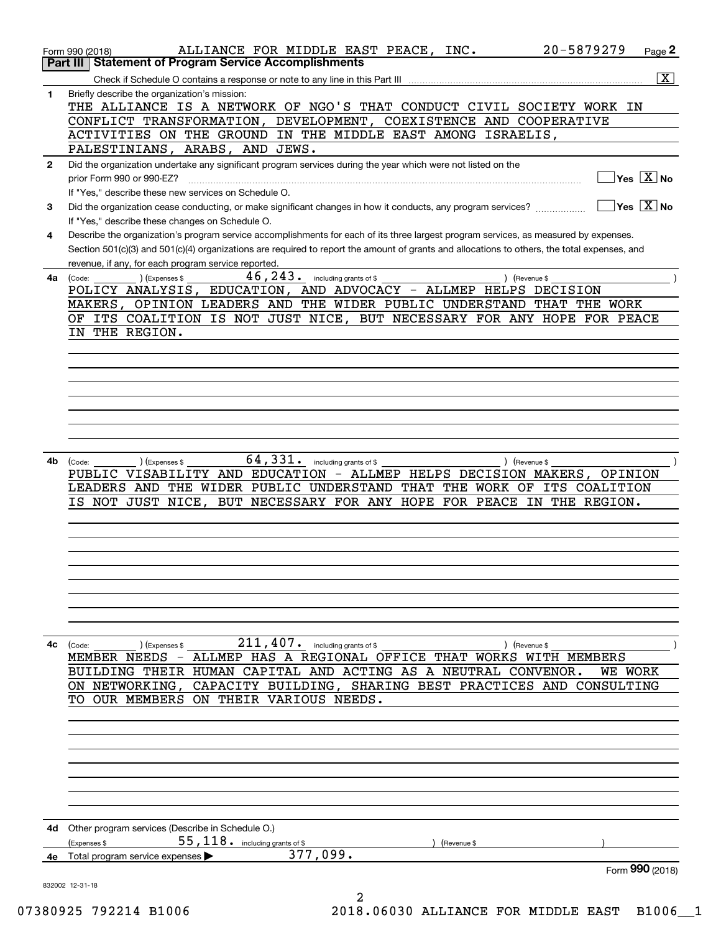|              | 20-5879279<br>ALLIANCE FOR MIDDLE EAST PEACE, INC.<br>Page 2<br>Form 990 (2018)                                                                                                                     |
|--------------|-----------------------------------------------------------------------------------------------------------------------------------------------------------------------------------------------------|
|              | <b>Statement of Program Service Accomplishments</b><br>Part III                                                                                                                                     |
|              | $\overline{\mathtt{x}}$<br>Check if Schedule O contains a response or note to any line in this Part III [11] [12] [12] Check if Schedule O contains a response or note to any line in this Part III |
| 1            | Briefly describe the organization's mission:                                                                                                                                                        |
|              | THE ALLIANCE IS A NETWORK OF NGO'S THAT CONDUCT CIVIL SOCIETY WORK IN                                                                                                                               |
|              | CONFLICT TRANSFORMATION, DEVELOPMENT, COEXISTENCE AND<br><b>COOPERATIVE</b>                                                                                                                         |
|              | ACTIVITIES ON THE GROUND IN THE MIDDLE EAST AMONG ISRAELIS,                                                                                                                                         |
|              | PALESTINIANS, ARABS, AND JEWS.                                                                                                                                                                      |
| $\mathbf{2}$ | Did the organization undertake any significant program services during the year which were not listed on the                                                                                        |
|              | $Yes \quad X$ No<br>prior Form 990 or 990-EZ?                                                                                                                                                       |
|              | If "Yes," describe these new services on Schedule O.                                                                                                                                                |
| 3            | $\sqrt{}$ Yes $\sqrt{}$ X $\sqrt{}$ No<br>Did the organization cease conducting, or make significant changes in how it conducts, any program services?                                              |
|              | If "Yes," describe these changes on Schedule O.                                                                                                                                                     |
| 4            | Describe the organization's program service accomplishments for each of its three largest program services, as measured by expenses.                                                                |
|              | Section 501(c)(3) and 501(c)(4) organizations are required to report the amount of grants and allocations to others, the total expenses, and                                                        |
|              | revenue, if any, for each program service reported.                                                                                                                                                 |
| 4a           | $46, 243$ . including grants of \$<br>(Expenses \$<br>(Code:<br>) (Revenue \$                                                                                                                       |
|              | POLICY ANALYSIS, EDUCATION, AND ADVOCACY - ALLMEP HELPS DECISION                                                                                                                                    |
|              | MAKERS, OPINION LEADERS AND THE WIDER PUBLIC UNDERSTAND<br>THAT THE WORK                                                                                                                            |
|              | ITS COALITION IS NOT JUST NICE, BUT NECESSARY FOR ANY HOPE FOR PEACE<br>OF.                                                                                                                         |
|              | IN THE REGION.                                                                                                                                                                                      |
|              |                                                                                                                                                                                                     |
|              |                                                                                                                                                                                                     |
|              |                                                                                                                                                                                                     |
|              |                                                                                                                                                                                                     |
|              |                                                                                                                                                                                                     |
|              |                                                                                                                                                                                                     |
|              |                                                                                                                                                                                                     |
|              |                                                                                                                                                                                                     |
| 4b           | $64,331$ $\cdot$ including grants of \$<br>) (Revenue \$<br>(Expenses \$<br>(Code:                                                                                                                  |
|              | PUBLIC VISABILITY AND EDUCATION - ALLMEP HELPS DECISION MAKERS,<br>OPINION                                                                                                                          |
|              | LEADERS AND THE WIDER PUBLIC UNDERSTAND THAT THE WORK OF ITS COALITION                                                                                                                              |
|              | IS NOT JUST NICE,<br>BUT NECESSARY FOR ANY HOPE FOR PEACE IN THE REGION.                                                                                                                            |
|              |                                                                                                                                                                                                     |
|              |                                                                                                                                                                                                     |
|              |                                                                                                                                                                                                     |
|              |                                                                                                                                                                                                     |
|              |                                                                                                                                                                                                     |
|              |                                                                                                                                                                                                     |
|              |                                                                                                                                                                                                     |
|              |                                                                                                                                                                                                     |
|              |                                                                                                                                                                                                     |
| 4с           | $211$ , $407$ $\cdot$ including grants of \$ __<br>(Code:<br>) (Expenses \$<br>Revenue \$                                                                                                           |
|              | MEMBER NEEDS - ALLMEP HAS A REGIONAL OFFICE THAT WORKS WITH MEMBERS                                                                                                                                 |
|              | BUILDING THEIR HUMAN CAPITAL AND ACTING AS A NEUTRAL CONVENOR.<br>WE WORK                                                                                                                           |
|              | ON NETWORKING, CAPACITY BUILDING, SHARING BEST PRACTICES AND CONSULTING                                                                                                                             |
|              | TO OUR MEMBERS ON THEIR VARIOUS NEEDS.                                                                                                                                                              |
|              |                                                                                                                                                                                                     |
|              |                                                                                                                                                                                                     |
|              |                                                                                                                                                                                                     |
|              |                                                                                                                                                                                                     |
|              |                                                                                                                                                                                                     |
|              |                                                                                                                                                                                                     |
|              |                                                                                                                                                                                                     |
|              |                                                                                                                                                                                                     |
| 4d           | Other program services (Describe in Schedule O.)                                                                                                                                                    |
|              | $55,118$ $\cdot$ including grants of \$<br>(Expenses \$<br>(Revenue \$                                                                                                                              |
|              | 377,099.<br>4e Total program service expenses                                                                                                                                                       |
|              | Form 990 (2018)                                                                                                                                                                                     |
|              | 832002 12-31-18                                                                                                                                                                                     |
|              | 2                                                                                                                                                                                                   |

07380925 792214 B1006 2018.06030 ALLIANCE FOR MIDDLE EAST B1006\_1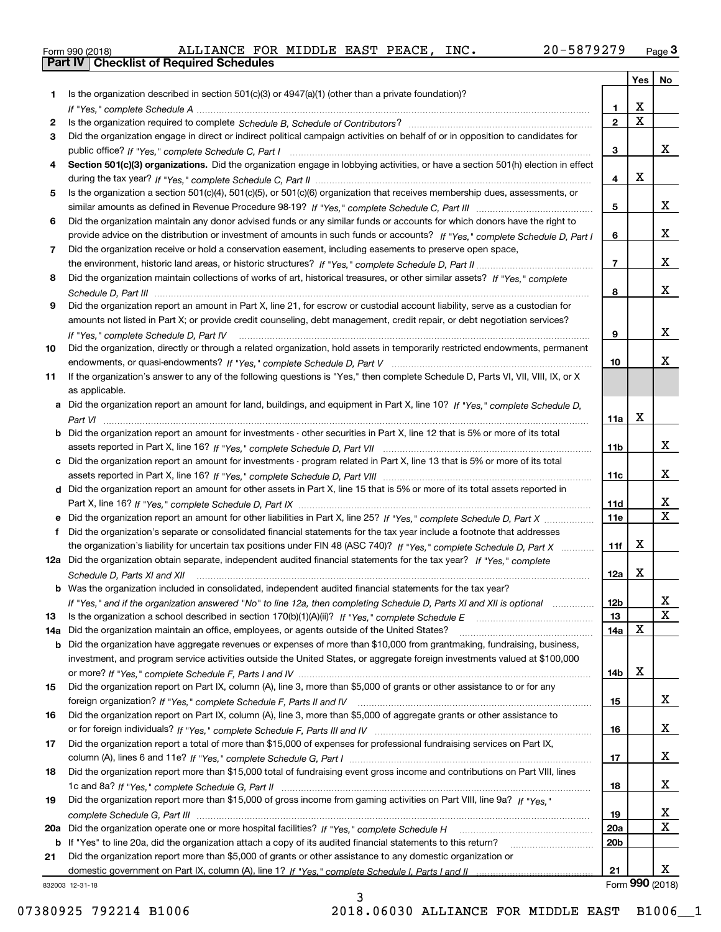|  | Form 990 (2018) |  |
|--|-----------------|--|

|     |                                                                                                                                   |                 | Yes                     | No                      |
|-----|-----------------------------------------------------------------------------------------------------------------------------------|-----------------|-------------------------|-------------------------|
| 1   | Is the organization described in section $501(c)(3)$ or $4947(a)(1)$ (other than a private foundation)?                           |                 |                         |                         |
|     |                                                                                                                                   | 1.              | X                       |                         |
| 2   |                                                                                                                                   | $\overline{2}$  | $\overline{\mathbf{x}}$ |                         |
| 3   | Did the organization engage in direct or indirect political campaign activities on behalf of or in opposition to candidates for   |                 |                         |                         |
|     |                                                                                                                                   | 3               |                         | x                       |
| 4   | Section 501(c)(3) organizations. Did the organization engage in lobbying activities, or have a section 501(h) election in effect  |                 | X                       |                         |
|     |                                                                                                                                   | 4               |                         |                         |
| 5   | Is the organization a section 501(c)(4), 501(c)(5), or 501(c)(6) organization that receives membership dues, assessments, or      | 5               |                         | x                       |
| 6   | Did the organization maintain any donor advised funds or any similar funds or accounts for which donors have the right to         |                 |                         |                         |
|     | provide advice on the distribution or investment of amounts in such funds or accounts? If "Yes," complete Schedule D, Part I      | 6               |                         | x                       |
| 7   | Did the organization receive or hold a conservation easement, including easements to preserve open space,                         |                 |                         |                         |
|     |                                                                                                                                   | $\overline{7}$  |                         | х                       |
| 8   | Did the organization maintain collections of works of art, historical treasures, or other similar assets? If "Yes," complete      |                 |                         |                         |
|     |                                                                                                                                   | 8               |                         | х                       |
| 9   | Did the organization report an amount in Part X, line 21, for escrow or custodial account liability, serve as a custodian for     |                 |                         |                         |
|     | amounts not listed in Part X; or provide credit counseling, debt management, credit repair, or debt negotiation services?         |                 |                         |                         |
|     | If "Yes," complete Schedule D, Part IV                                                                                            | 9               |                         | x                       |
| 10  | Did the organization, directly or through a related organization, hold assets in temporarily restricted endowments, permanent     |                 |                         |                         |
|     |                                                                                                                                   | 10              |                         | x                       |
| 11  | If the organization's answer to any of the following questions is "Yes," then complete Schedule D, Parts VI, VIII, VIII, IX, or X |                 |                         |                         |
|     | as applicable.                                                                                                                    |                 |                         |                         |
|     | a Did the organization report an amount for land, buildings, and equipment in Part X, line 10? If "Yes," complete Schedule D,     |                 |                         |                         |
|     |                                                                                                                                   | 11a             | X                       |                         |
|     | Did the organization report an amount for investments - other securities in Part X, line 12 that is 5% or more of its total       |                 |                         |                         |
|     |                                                                                                                                   | 11 <sub>b</sub> |                         | x                       |
|     | Did the organization report an amount for investments - program related in Part X, line 13 that is 5% or more of its total        |                 |                         | x                       |
|     |                                                                                                                                   | 11c             |                         |                         |
| d   | Did the organization report an amount for other assets in Part X, line 15 that is 5% or more of its total assets reported in      | 11d             |                         | х                       |
|     | Did the organization report an amount for other liabilities in Part X, line 25? If "Yes," complete Schedule D, Part X             | 11e             |                         | $\overline{\mathbf{x}}$ |
|     | Did the organization's separate or consolidated financial statements for the tax year include a footnote that addresses           |                 |                         |                         |
|     | the organization's liability for uncertain tax positions under FIN 48 (ASC 740)? If "Yes," complete Schedule D, Part X            | 11f             | X                       |                         |
|     | 12a Did the organization obtain separate, independent audited financial statements for the tax year? If "Yes," complete           |                 |                         |                         |
|     | Schedule D, Parts XI and XII                                                                                                      | 12a             | X                       |                         |
|     | <b>b</b> Was the organization included in consolidated, independent audited financial statements for the tax year?                |                 |                         |                         |
|     | If "Yes," and if the organization answered "No" to line 12a, then completing Schedule D, Parts XI and XII is optional             | 12b             |                         | ᅀ                       |
| 13  |                                                                                                                                   | 13              |                         | $\mathbf X$             |
| 14a | Did the organization maintain an office, employees, or agents outside of the United States?                                       | 14a             | X                       |                         |
| b   | Did the organization have aggregate revenues or expenses of more than \$10,000 from grantmaking, fundraising, business,           |                 |                         |                         |
|     | investment, and program service activities outside the United States, or aggregate foreign investments valued at \$100,000        |                 |                         |                         |
|     |                                                                                                                                   | 14b             | х                       |                         |
| 15  | Did the organization report on Part IX, column (A), line 3, more than \$5,000 of grants or other assistance to or for any         |                 |                         |                         |
|     |                                                                                                                                   | 15              |                         | x                       |
| 16  | Did the organization report on Part IX, column (A), line 3, more than \$5,000 of aggregate grants or other assistance to          |                 |                         |                         |
|     |                                                                                                                                   | 16              |                         | x                       |
| 17  | Did the organization report a total of more than \$15,000 of expenses for professional fundraising services on Part IX,           | 17              |                         | x                       |
| 18  | Did the organization report more than \$15,000 total of fundraising event gross income and contributions on Part VIII, lines      |                 |                         |                         |
|     |                                                                                                                                   | 18              |                         | x                       |
| 19  | Did the organization report more than \$15,000 of gross income from gaming activities on Part VIII, line 9a? If "Yes."            |                 |                         |                         |
|     |                                                                                                                                   | 19              |                         | x                       |
| 20a |                                                                                                                                   | 20a             |                         | X                       |
| b   | If "Yes" to line 20a, did the organization attach a copy of its audited financial statements to this return?                      | 20 <sub>b</sub> |                         |                         |
| 21  | Did the organization report more than \$5,000 of grants or other assistance to any domestic organization or                       |                 |                         |                         |
|     |                                                                                                                                   | 21              |                         | x                       |
|     | 832003 12-31-18                                                                                                                   |                 |                         | Form 990 (2018)         |

3

832003 12-31-18

07380925 792214 B1006 2018.06030 ALLIANCE FOR MIDDLE EAST B1006 1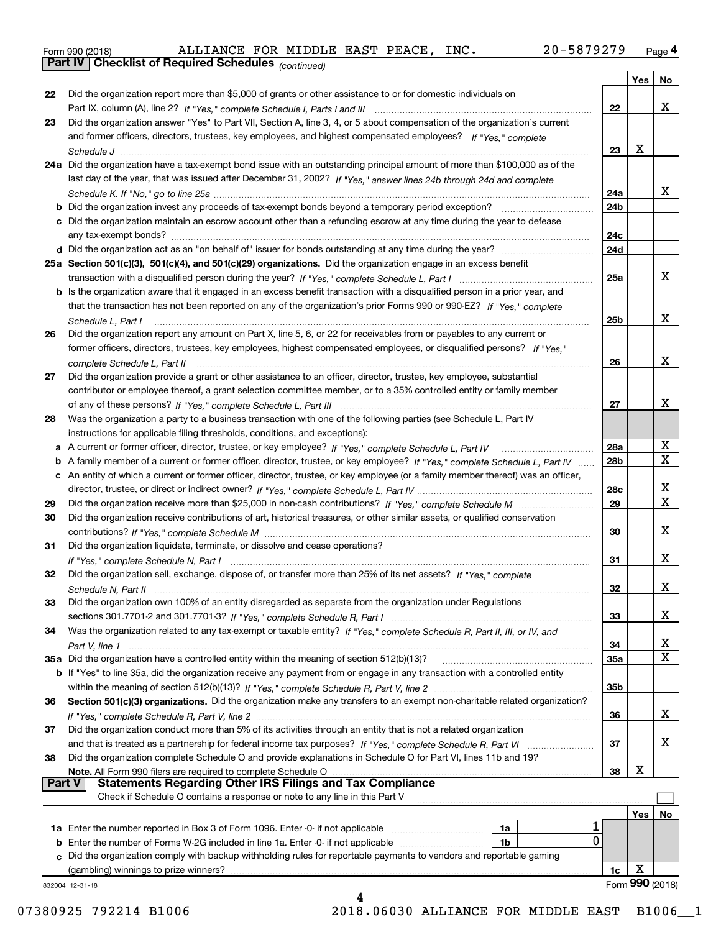|  | Form 990 (2018) |
|--|-----------------|
|  |                 |

*(continued)*

|               |                                                                                                                                   |            | Yes   No        |                         |
|---------------|-----------------------------------------------------------------------------------------------------------------------------------|------------|-----------------|-------------------------|
| 22            | Did the organization report more than \$5,000 of grants or other assistance to or for domestic individuals on                     |            |                 |                         |
|               |                                                                                                                                   | 22         |                 | X                       |
| 23            | Did the organization answer "Yes" to Part VII, Section A, line 3, 4, or 5 about compensation of the organization's current        |            |                 |                         |
|               | and former officers, directors, trustees, key employees, and highest compensated employees? If "Yes," complete                    |            |                 |                         |
|               |                                                                                                                                   | 23         | x               |                         |
|               | 24a Did the organization have a tax-exempt bond issue with an outstanding principal amount of more than \$100,000 as of the       |            |                 |                         |
|               | last day of the year, that was issued after December 31, 2002? If "Yes," answer lines 24b through 24d and complete                |            |                 |                         |
|               |                                                                                                                                   | 24a        |                 | x                       |
|               |                                                                                                                                   | 24b        |                 |                         |
|               | c Did the organization maintain an escrow account other than a refunding escrow at any time during the year to defease            |            |                 |                         |
|               |                                                                                                                                   | 24c        |                 |                         |
|               |                                                                                                                                   | 24d        |                 |                         |
|               | 25a Section 501(c)(3), 501(c)(4), and 501(c)(29) organizations. Did the organization engage in an excess benefit                  |            |                 |                         |
|               |                                                                                                                                   | 25a        |                 | X                       |
|               | b Is the organization aware that it engaged in an excess benefit transaction with a disqualified person in a prior year, and      |            |                 |                         |
|               | that the transaction has not been reported on any of the organization's prior Forms 990 or 990-EZ? If "Yes," complete             |            |                 |                         |
|               |                                                                                                                                   | 25b        |                 | x                       |
| 26            | Did the organization report any amount on Part X, line 5, 6, or 22 for receivables from or payables to any current or             |            |                 |                         |
|               | former officers, directors, trustees, key employees, highest compensated employees, or disqualified persons? If "Yes."            |            |                 |                         |
|               | complete Schedule L, Part II manufactured and complete Schedule L, Part II manufactured and complete Schedule L, Part II          | 26         |                 | x                       |
| 27            | Did the organization provide a grant or other assistance to an officer, director, trustee, key employee, substantial              |            |                 |                         |
|               |                                                                                                                                   |            |                 |                         |
|               | contributor or employee thereof, a grant selection committee member, or to a 35% controlled entity or family member               |            |                 | х                       |
|               |                                                                                                                                   | 27         |                 |                         |
| 28            | Was the organization a party to a business transaction with one of the following parties (see Schedule L, Part IV                 |            |                 |                         |
|               | instructions for applicable filing thresholds, conditions, and exceptions):                                                       |            |                 |                         |
|               |                                                                                                                                   | 28a        |                 | Х                       |
|               | b A family member of a current or former officer, director, trustee, or key employee? If "Yes," complete Schedule L, Part IV      | 28b        |                 | $\overline{\mathbf{x}}$ |
|               | c An entity of which a current or former officer, director, trustee, or key employee (or a family member thereof) was an officer, |            |                 |                         |
|               |                                                                                                                                   | 28c        |                 | х                       |
| 29            |                                                                                                                                   | 29         |                 | $\overline{\mathbf{X}}$ |
| 30            | Did the organization receive contributions of art, historical treasures, or other similar assets, or qualified conservation       |            |                 |                         |
|               |                                                                                                                                   | 30         |                 | X                       |
| 31            | Did the organization liquidate, terminate, or dissolve and cease operations?                                                      |            |                 |                         |
|               |                                                                                                                                   | 31         |                 | x                       |
| 32            | Did the organization sell, exchange, dispose of, or transfer more than 25% of its net assets? If "Yes," complete                  |            |                 |                         |
|               |                                                                                                                                   | 32         |                 | X                       |
| 33            | Did the organization own 100% of an entity disregarded as separate from the organization under Regulations                        |            |                 |                         |
|               |                                                                                                                                   | 33         |                 | X                       |
| 34            | Was the organization related to any tax-exempt or taxable entity? If "Yes," complete Schedule R, Part II, III, or IV, and         |            |                 |                         |
|               |                                                                                                                                   | 34         |                 | х                       |
|               |                                                                                                                                   | <b>35a</b> |                 | X                       |
|               | b If "Yes" to line 35a, did the organization receive any payment from or engage in any transaction with a controlled entity       |            |                 |                         |
|               |                                                                                                                                   | 35b        |                 |                         |
| 36            | Section 501(c)(3) organizations. Did the organization make any transfers to an exempt non-charitable related organization?        |            |                 |                         |
|               |                                                                                                                                   | 36         |                 | x                       |
| 37            | Did the organization conduct more than 5% of its activities through an entity that is not a related organization                  |            |                 |                         |
|               |                                                                                                                                   | 37         |                 | x                       |
|               | Did the organization complete Schedule O and provide explanations in Schedule O for Part VI, lines 11b and 19?                    |            |                 |                         |
| 38            |                                                                                                                                   |            | х               |                         |
| <b>Part V</b> | Note. All Form 990 filers are required to complete Schedule O<br><b>Statements Regarding Other IRS Filings and Tax Compliance</b> | 38         |                 |                         |
|               | Check if Schedule O contains a response or note to any line in this Part V                                                        |            |                 |                         |
|               |                                                                                                                                   |            |                 |                         |
|               |                                                                                                                                   |            | Yes             | No                      |
|               | 1a                                                                                                                                |            |                 |                         |
|               | 0<br>1b<br><b>b</b> Enter the number of Forms W-2G included in line 1a. Enter -0- if not applicable <i>manumumumum</i>            |            |                 |                         |
|               | c Did the organization comply with backup withholding rules for reportable payments to vendors and reportable gaming              |            |                 |                         |
|               | (gambling) winnings to prize winners?                                                                                             | 1c         | X               |                         |
|               |                                                                                                                                   |            | Form 990 (2018) |                         |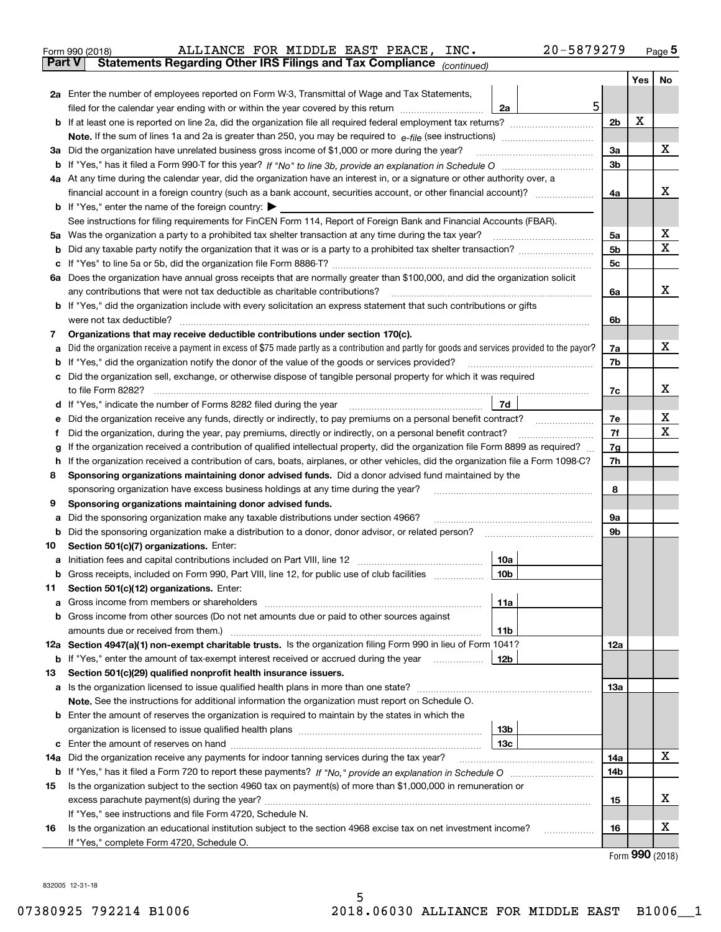| Form 990 (2018) | ALLIANCE FOR MIDDLE EAST PEACE, INC.                                                           |  |  | 20-5879279 | Page 5 |
|-----------------|------------------------------------------------------------------------------------------------|--|--|------------|--------|
|                 | <b>Part V</b> Statements Regarding Other IRS Filings and Tax Compliance <sub>(continued)</sub> |  |  |            |        |

| ran v | Statements Regarding Other IRS Fillings and Tax Compilance $_{(continued)}$                                                                     |                      |     |           |
|-------|-------------------------------------------------------------------------------------------------------------------------------------------------|----------------------|-----|-----------|
|       |                                                                                                                                                 |                      | Yes | <b>No</b> |
|       | 2a Enter the number of employees reported on Form W-3, Transmittal of Wage and Tax Statements,<br>5                                             |                      |     |           |
|       | filed for the calendar year ending with or within the year covered by this return <i>manumumumum</i><br>2a                                      |                      | X   |           |
|       |                                                                                                                                                 | 2 <sub>b</sub>       |     |           |
|       |                                                                                                                                                 |                      |     | x         |
|       | 3a Did the organization have unrelated business gross income of \$1,000 or more during the year?                                                | За<br>3 <sub>b</sub> |     |           |
|       | 4a At any time during the calendar year, did the organization have an interest in, or a signature or other authority over, a                    |                      |     |           |
|       |                                                                                                                                                 | 4a                   |     | x         |
|       | <b>b</b> If "Yes," enter the name of the foreign country: $\triangleright$                                                                      |                      |     |           |
|       | See instructions for filing requirements for FinCEN Form 114, Report of Foreign Bank and Financial Accounts (FBAR).                             |                      |     |           |
|       | 5a Was the organization a party to a prohibited tax shelter transaction at any time during the tax year?                                        | 5а                   |     | х         |
|       | <b>b</b> Did any taxable party notify the organization that it was or is a party to a prohibited tax shelter transaction?                       | 5b                   |     | X         |
|       |                                                                                                                                                 | 5c                   |     |           |
|       | 6a Does the organization have annual gross receipts that are normally greater than \$100,000, and did the organization solicit                  |                      |     |           |
|       | any contributions that were not tax deductible as charitable contributions?                                                                     | 6a                   |     | x         |
|       | <b>b</b> If "Yes," did the organization include with every solicitation an express statement that such contributions or gifts                   |                      |     |           |
|       | were not tax deductible?                                                                                                                        | 6b                   |     |           |
| 7.    | Organizations that may receive deductible contributions under section 170(c).                                                                   |                      |     |           |
| а     | Did the organization receive a payment in excess of \$75 made partly as a contribution and partly for goods and services provided to the payor? | 7a                   |     | x         |
|       | <b>b</b> If "Yes," did the organization notify the donor of the value of the goods or services provided?                                        | 7b                   |     |           |
|       | c Did the organization sell, exchange, or otherwise dispose of tangible personal property for which it was required                             |                      |     |           |
|       | to file Form 8282?                                                                                                                              | 7c                   |     | х         |
|       | 7d<br><b>d</b> If "Yes," indicate the number of Forms 8282 filed during the year                                                                |                      |     |           |
| е     | Did the organization receive any funds, directly or indirectly, to pay premiums on a personal benefit contract?                                 | 7е                   |     | х         |
| f     | Did the organization, during the year, pay premiums, directly or indirectly, on a personal benefit contract?                                    | 7f                   |     | х         |
| g     | If the organization received a contribution of qualified intellectual property, did the organization file Form 8899 as required?                | 7g                   |     |           |
| h.    | If the organization received a contribution of cars, boats, airplanes, or other vehicles, did the organization file a Form 1098-C?              | 7h                   |     |           |
| 8     | Sponsoring organizations maintaining donor advised funds. Did a donor advised fund maintained by the                                            |                      |     |           |
| 9     | sponsoring organization have excess business holdings at any time during the year?<br>Sponsoring organizations maintaining donor advised funds. | 8                    |     |           |
| а     | Did the sponsoring organization make any taxable distributions under section 4966?                                                              | 9а                   |     |           |
| b     | Did the sponsoring organization make a distribution to a donor, donor advisor, or related person?                                               | 9b                   |     |           |
| 10    | Section 501(c)(7) organizations. Enter:                                                                                                         |                      |     |           |
| а     | Initiation fees and capital contributions included on Part VIII, line 12<br>10a                                                                 |                      |     |           |
|       | b Gross receipts, included on Form 990, Part VIII, line 12, for public use of club facilities<br>10 <sub>b</sub>                                |                      |     |           |
| 11.   | Section 501(c)(12) organizations. Enter:                                                                                                        |                      |     |           |
|       | 11a                                                                                                                                             |                      |     |           |
|       | <b>b</b> Gross income from other sources (Do not net amounts due or paid to other sources against                                               |                      |     |           |
|       | 11b                                                                                                                                             |                      |     |           |
|       | 12a Section 4947(a)(1) non-exempt charitable trusts. Is the organization filing Form 990 in lieu of Form 1041?                                  | 12a                  |     |           |
|       | 12b<br><b>b</b> If "Yes," enter the amount of tax-exempt interest received or accrued during the year <i>manument</i>                           |                      |     |           |
| 13    | Section 501(c)(29) qualified nonprofit health insurance issuers.                                                                                |                      |     |           |
|       | a Is the organization licensed to issue qualified health plans in more than one state?                                                          | 13а                  |     |           |
|       | Note. See the instructions for additional information the organization must report on Schedule O.                                               |                      |     |           |
|       | <b>b</b> Enter the amount of reserves the organization is required to maintain by the states in which the                                       |                      |     |           |
|       | 13 <sub>b</sub>                                                                                                                                 |                      |     |           |
|       | 13с                                                                                                                                             |                      |     | X         |
|       | 14a Did the organization receive any payments for indoor tanning services during the tax year?                                                  | 14a                  |     |           |
|       |                                                                                                                                                 | 14b                  |     |           |
| 15    | Is the organization subject to the section 4960 tax on payment(s) of more than \$1,000,000 in remuneration or                                   | 15                   |     | х         |
|       | If "Yes," see instructions and file Form 4720, Schedule N.                                                                                      |                      |     |           |
| 16    | Is the organization an educational institution subject to the section 4968 excise tax on net investment income?                                 | 16                   |     | х         |
|       | If "Yes," complete Form 4720, Schedule O.                                                                                                       |                      |     |           |
|       |                                                                                                                                                 |                      |     |           |

Form (2018) **990**

832005 12-31-18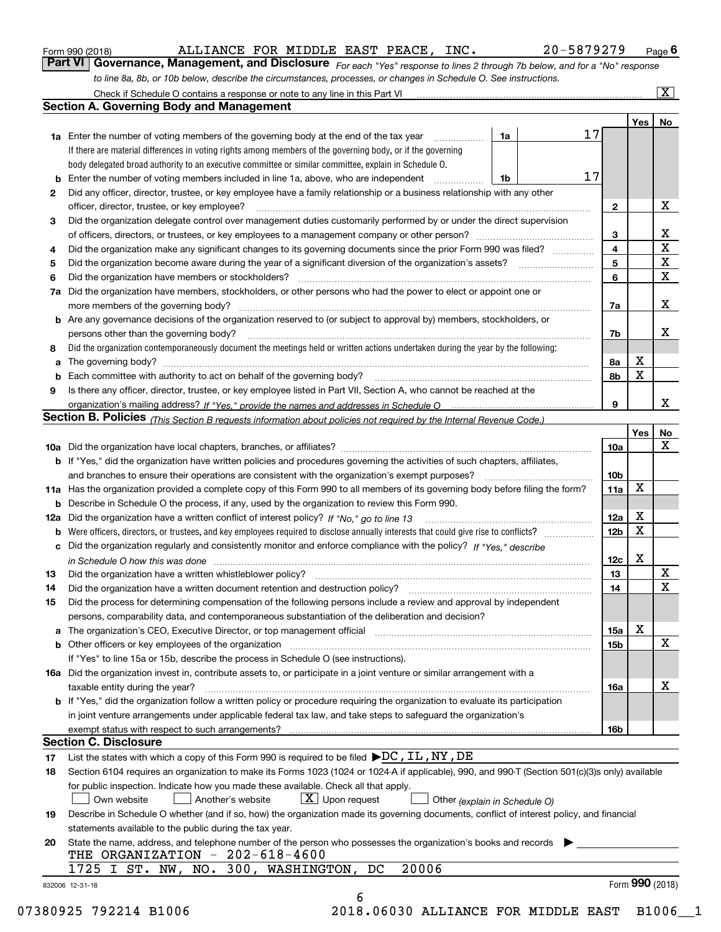|  | Form 990 (2018) |
|--|-----------------|
|  |                 |

ALLIANCE FOR MIDDLE EAST PEACE, INC. 20-5879279

*For each "Yes" response to lines 2 through 7b below, and for a "No" response to line 8a, 8b, or 10b below, describe the circumstances, processes, or changes in Schedule O. See instructions.* Form 990 (2018) **COMBAGE ART ANDEL EXT PEACE, INC.** 20-5879279 Page 6<br>**Part VI Governance, Management, and Disclosure** For each "Yes" response to lines 2 through 7b below, and for a "No" response

|    |                                                                                                                                                                            |    |    |                 | Yes             | No                      |
|----|----------------------------------------------------------------------------------------------------------------------------------------------------------------------------|----|----|-----------------|-----------------|-------------------------|
|    | <b>1a</b> Enter the number of voting members of the governing body at the end of the tax year                                                                              | 1a | 17 |                 |                 |                         |
|    | If there are material differences in voting rights among members of the governing body, or if the governing                                                                |    |    |                 |                 |                         |
|    | body delegated broad authority to an executive committee or similar committee, explain in Schedule O.                                                                      |    |    |                 |                 |                         |
|    | <b>b</b> Enter the number of voting members included in line 1a, above, who are independent <i>manumum</i>                                                                 | 1b | 17 |                 |                 |                         |
| 2  | Did any officer, director, trustee, or key employee have a family relationship or a business relationship with any other                                                   |    |    |                 |                 |                         |
|    | officer, director, trustee, or key employee?                                                                                                                               |    |    | $\mathbf{2}$    |                 | X                       |
| 3  | Did the organization delegate control over management duties customarily performed by or under the direct supervision                                                      |    |    |                 |                 |                         |
|    |                                                                                                                                                                            |    |    | 3               |                 | X                       |
| 4  | Did the organization make any significant changes to its governing documents since the prior Form 990 was filed?                                                           |    |    | 4               |                 | $\overline{\mathbf{x}}$ |
| 5  |                                                                                                                                                                            |    |    | 5               |                 | $\mathbf X$             |
| 6  |                                                                                                                                                                            |    |    | 6               |                 | $\mathbf X$             |
|    | 7a Did the organization have members, stockholders, or other persons who had the power to elect or appoint one or                                                          |    |    |                 |                 |                         |
|    |                                                                                                                                                                            |    |    | 7a              |                 | X                       |
|    | <b>b</b> Are any governance decisions of the organization reserved to (or subject to approval by) members, stockholders, or                                                |    |    |                 |                 |                         |
|    | persons other than the governing body?                                                                                                                                     |    |    | 7b              |                 | X                       |
| 8  | Did the organization contemporaneously document the meetings held or written actions undertaken during the year by the following:                                          |    |    |                 |                 |                         |
| a  |                                                                                                                                                                            |    |    | 8a              | X               |                         |
|    |                                                                                                                                                                            |    |    | 8b              | X               |                         |
| 9  | Is there any officer, director, trustee, or key employee listed in Part VII, Section A, who cannot be reached at the                                                       |    |    |                 |                 |                         |
|    |                                                                                                                                                                            |    |    | 9               |                 | х                       |
|    | Section B. Policies (This Section B requests information about policies not required by the Internal Revenue Code.)                                                        |    |    |                 |                 |                         |
|    |                                                                                                                                                                            |    |    |                 | Yes∣            | No                      |
|    |                                                                                                                                                                            |    |    | 10a             |                 | X                       |
|    | <b>b</b> If "Yes," did the organization have written policies and procedures governing the activities of such chapters, affiliates,                                        |    |    |                 |                 |                         |
|    |                                                                                                                                                                            |    |    | 10 <sub>b</sub> |                 |                         |
|    | 11a Has the organization provided a complete copy of this Form 990 to all members of its governing body before filing the form?                                            |    |    | 11a             | $\mathbf X$     |                         |
|    | <b>b</b> Describe in Schedule O the process, if any, used by the organization to review this Form 990.                                                                     |    |    |                 |                 |                         |
|    |                                                                                                                                                                            |    |    | 12a             | X               |                         |
| b  |                                                                                                                                                                            |    |    | 12b             | X               |                         |
|    | c Did the organization regularly and consistently monitor and enforce compliance with the policy? If "Yes," describe                                                       |    |    |                 |                 |                         |
|    |                                                                                                                                                                            |    |    | 12c             | X               |                         |
| 13 | in Schedule O how this was done measured and contained a state of the state of the state of the state of the s                                                             |    |    | 13              |                 | X                       |
| 14 | Did the organization have a written document retention and destruction policy? manufactured and the organization have a written document retention and destruction policy? |    |    | 14              |                 | $\mathbf X$             |
| 15 | Did the process for determining compensation of the following persons include a review and approval by independent                                                         |    |    |                 |                 |                         |
|    | persons, comparability data, and contemporaneous substantiation of the deliberation and decision?                                                                          |    |    |                 |                 |                         |
|    |                                                                                                                                                                            |    |    |                 | X               |                         |
|    |                                                                                                                                                                            |    |    | 15a             |                 | X                       |
|    | <b>b</b> Other officers or key employees of the organization                                                                                                               |    |    | 15 <sub>b</sub> |                 |                         |
|    | If "Yes" to line 15a or 15b, describe the process in Schedule O (see instructions).                                                                                        |    |    |                 |                 |                         |
|    | 16a Did the organization invest in, contribute assets to, or participate in a joint venture or similar arrangement with a                                                  |    |    |                 |                 | X                       |
|    | taxable entity during the year?                                                                                                                                            |    |    | 16a             |                 |                         |
|    | <b>b</b> If "Yes," did the organization follow a written policy or procedure requiring the organization to evaluate its participation                                      |    |    |                 |                 |                         |
|    | in joint venture arrangements under applicable federal tax law, and take steps to safeguard the organization's                                                             |    |    |                 |                 |                         |
|    | exempt status with respect to such arrangements?                                                                                                                           |    |    | 16b             |                 |                         |
|    | <b>Section C. Disclosure</b>                                                                                                                                               |    |    |                 |                 |                         |
| 17 | List the states with which a copy of this Form 990 is required to be filed $\blacktriangleright$ DC, IL, NY, DE                                                            |    |    |                 |                 |                         |
| 18 | Section 6104 requires an organization to make its Forms 1023 (1024 or 1024-A if applicable), 990, and 990-T (Section 501(c)(3)s only) available                            |    |    |                 |                 |                         |
|    | for public inspection. Indicate how you made these available. Check all that apply.                                                                                        |    |    |                 |                 |                         |
|    | $X$ Upon request<br>Another's website<br>Own website<br>Other (explain in Schedule O)                                                                                      |    |    |                 |                 |                         |
| 19 | Describe in Schedule O whether (and if so, how) the organization made its governing documents, conflict of interest policy, and financial                                  |    |    |                 |                 |                         |
|    | statements available to the public during the tax year.                                                                                                                    |    |    |                 |                 |                         |
| 20 | State the name, address, and telephone number of the person who possesses the organization's books and records                                                             |    |    |                 |                 |                         |
|    | THE ORGANIZATION - 202-618-4600                                                                                                                                            |    |    |                 |                 |                         |
|    | 1725 I ST. NW, NO. 300, WASHINGTON, DC<br>20006                                                                                                                            |    |    |                 |                 |                         |
|    | 832006 12-31-18                                                                                                                                                            |    |    |                 | Form 990 (2018) |                         |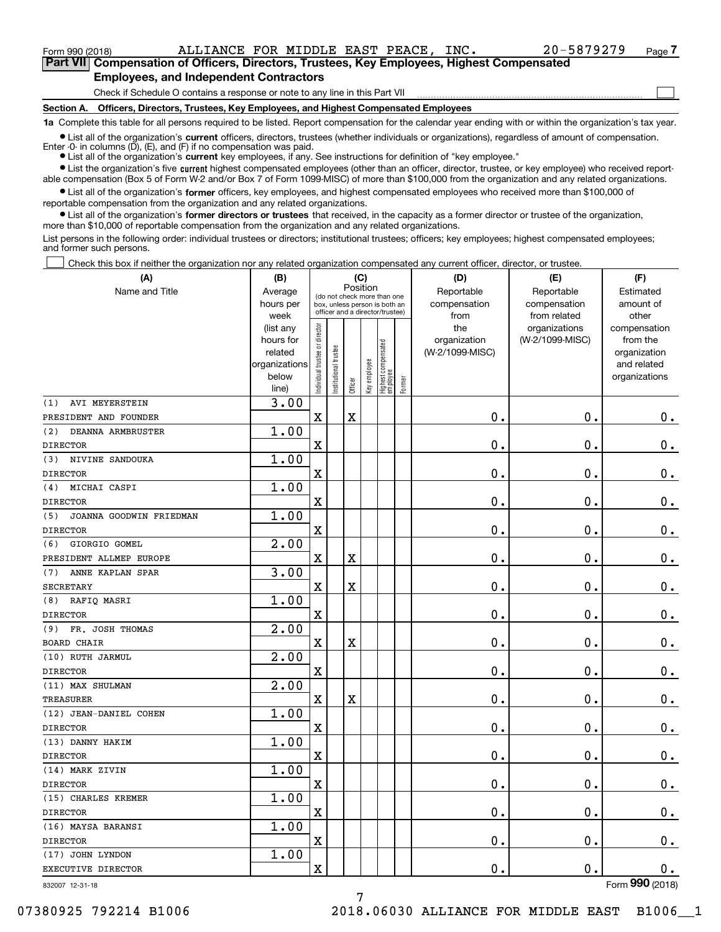**(A)**

 $_{\rm Form}$   $_{990}$  (2018) ALLIANCE FOR MIDDLE EAST PEACE, INC  $_{\rm N}$  .  $_{\rm 20-5879279}$   $_{\rm Page}$ 

 $\mathcal{L}^{\text{max}}$ 

**7Part VII Compensation of Officers, Directors, Trustees, Key Employees, Highest Compensated Employees, and Independent Contractors**

Check if Schedule O contains a response or note to any line in this Part VII

**Section A. Officers, Directors, Trustees, Key Employees, and Highest Compensated Employees**

**1a**  Complete this table for all persons required to be listed. Report compensation for the calendar year ending with or within the organization's tax year.

**•** List all of the organization's current officers, directors, trustees (whether individuals or organizations), regardless of amount of compensation. Enter -0- in columns  $(D)$ ,  $(E)$ , and  $(F)$  if no compensation was paid.

● List all of the organization's **current** key employees, if any. See instructions for definition of "key employee."

**•** List the organization's five current highest compensated employees (other than an officer, director, trustee, or key employee) who received reportable compensation (Box 5 of Form W-2 and/or Box 7 of Form 1099-MISC) of more than \$100,000 from the organization and any related organizations.

 $\bullet$  List all of the organization's **former** officers, key employees, and highest compensated employees who received more than \$100,000 of reportable compensation from the organization and any related organizations.

**•** List all of the organization's former directors or trustees that received, in the capacity as a former director or trustee of the organization, more than \$10,000 of reportable compensation from the organization and any related organizations.

List persons in the following order: individual trustees or directors; institutional trustees; officers; key employees; highest compensated employees; and former such persons.

Check this box if neither the organization nor any related organization compensated any current officer, director, or trustee.  $\mathcal{L}^{\text{max}}$ 

| (A)                            | (B)                                                                  | (C)<br>Position                |                      |                         |              |                                                                                                 |        | (D)                                    | (E)                                        | (F)                             |  |  |
|--------------------------------|----------------------------------------------------------------------|--------------------------------|----------------------|-------------------------|--------------|-------------------------------------------------------------------------------------------------|--------|----------------------------------------|--------------------------------------------|---------------------------------|--|--|
| Name and Title                 | Average<br>hours per<br>week                                         |                                |                      |                         |              | (do not check more than one<br>box, unless person is both an<br>officer and a director/trustee) |        | Reportable<br>compensation<br>from     | Reportable<br>compensation<br>from related | Estimated<br>amount of<br>other |  |  |
|                                | (list any<br>hours for<br>related<br>organizations<br>below<br>line) | Individual trustee or director | nstitutional trustee | Officer                 | Key employee | Highest compensated<br> employee                                                                | Former | the<br>organization<br>(W-2/1099-MISC) | organizations<br>(W-2/1099-MISC)           |                                 |  |  |
| AVI MEYERSTEIN<br>(1)          | 3.00                                                                 |                                |                      |                         |              |                                                                                                 |        |                                        |                                            |                                 |  |  |
| PRESIDENT AND FOUNDER          |                                                                      | $\rm X$                        |                      | $\overline{\textbf{X}}$ |              |                                                                                                 |        | 0.                                     | $\mathbf 0$ .                              | $0_{.}$                         |  |  |
| (2)<br>DEANNA ARMBRUSTER       | 1.00                                                                 |                                |                      |                         |              |                                                                                                 |        |                                        |                                            |                                 |  |  |
| <b>DIRECTOR</b>                |                                                                      | $\overline{\textbf{X}}$        |                      |                         |              |                                                                                                 |        | 0.                                     | $\mathbf 0$ .                              | $\mathbf 0$ .                   |  |  |
| NIVINE SANDOUKA<br>(3)         | 1.00                                                                 |                                |                      |                         |              |                                                                                                 |        |                                        |                                            |                                 |  |  |
| <b>DIRECTOR</b>                |                                                                      | X                              |                      |                         |              |                                                                                                 |        | 0.                                     | $\mathbf 0$ .                              | $\mathbf 0$ .                   |  |  |
| MICHAI CASPI<br>(4)            | 1.00                                                                 |                                |                      |                         |              |                                                                                                 |        |                                        |                                            |                                 |  |  |
| <b>DIRECTOR</b>                |                                                                      | X                              |                      |                         |              |                                                                                                 |        | 0.                                     | $\mathbf 0$ .                              | $\mathbf 0$ .                   |  |  |
| (5)<br>JOANNA GOODWIN FRIEDMAN | 1.00                                                                 |                                |                      |                         |              |                                                                                                 |        |                                        |                                            |                                 |  |  |
| <b>DIRECTOR</b>                |                                                                      | X                              |                      |                         |              |                                                                                                 |        | 0.                                     | $\mathbf 0$ .                              | $\mathbf 0$ .                   |  |  |
| GIORGIO GOMEL<br>(6)           | 2.00                                                                 |                                |                      |                         |              |                                                                                                 |        |                                        |                                            |                                 |  |  |
| PRESIDENT ALLMEP EUROPE        |                                                                      | X                              |                      | $\overline{\textbf{X}}$ |              |                                                                                                 |        | 0.                                     | $\mathbf 0$ .                              | $\mathbf 0$ .                   |  |  |
| ANNE KAPLAN SPAR<br>(7)        | 3.00                                                                 |                                |                      |                         |              |                                                                                                 |        |                                        |                                            |                                 |  |  |
| <b>SECRETARY</b>               |                                                                      | $\rm X$                        |                      | $\overline{\textbf{X}}$ |              |                                                                                                 |        | 0.                                     | $\mathbf 0$ .                              | $\mathbf 0$ .                   |  |  |
| (8)<br>RAFIQ MASRI             | 1.00                                                                 |                                |                      |                         |              |                                                                                                 |        |                                        |                                            |                                 |  |  |
| <b>DIRECTOR</b>                |                                                                      | $\overline{\text{X}}$          |                      |                         |              |                                                                                                 |        | 0.                                     | $\mathbf 0$ .                              | $\mathbf 0$ .                   |  |  |
| FR. JOSH THOMAS<br>(9)         | 2.00                                                                 |                                |                      |                         |              |                                                                                                 |        |                                        |                                            |                                 |  |  |
| <b>BOARD CHAIR</b>             |                                                                      | $\mathbf X$                    |                      | X                       |              |                                                                                                 |        | 0.                                     | $\mathbf 0$ .                              | $\mathbf 0$ .                   |  |  |
| (10) RUTH JARMUL               | 2.00                                                                 |                                |                      |                         |              |                                                                                                 |        |                                        |                                            |                                 |  |  |
| <b>DIRECTOR</b>                |                                                                      | $\mathbf x$                    |                      |                         |              |                                                                                                 |        | $\mathbf{0}$ .                         | $\mathbf{0}$ .                             | $\mathbf 0$ .                   |  |  |
| (11) MAX SHULMAN               | 2.00                                                                 |                                |                      |                         |              |                                                                                                 |        |                                        |                                            |                                 |  |  |
| <b>TREASURER</b>               |                                                                      | $\mathbf X$                    |                      | $\overline{\textbf{X}}$ |              |                                                                                                 |        | 0.                                     | 0.                                         | 0.                              |  |  |
| (12) JEAN-DANIEL COHEN         | 1.00                                                                 |                                |                      |                         |              |                                                                                                 |        |                                        |                                            |                                 |  |  |
| <b>DIRECTOR</b>                |                                                                      | $\overline{\text{X}}$          |                      |                         |              |                                                                                                 |        | 0.                                     | $\mathbf 0$ .                              | $\mathbf 0$ .                   |  |  |
| (13) DANNY HAKIM               | 1.00                                                                 |                                |                      |                         |              |                                                                                                 |        |                                        |                                            |                                 |  |  |
| <b>DIRECTOR</b>                |                                                                      | $\mathbf X$                    |                      |                         |              |                                                                                                 |        | 0.                                     | $\mathbf 0$ .                              | 0.                              |  |  |
| (14) MARK ZIVIN                | 1.00                                                                 |                                |                      |                         |              |                                                                                                 |        |                                        |                                            |                                 |  |  |
| <b>DIRECTOR</b>                |                                                                      | $\mathbf X$                    |                      |                         |              |                                                                                                 |        | 0.                                     | $\mathbf 0$ .                              | $\mathbf 0$ .                   |  |  |
| (15) CHARLES KREMER            | 1.00                                                                 |                                |                      |                         |              |                                                                                                 |        |                                        |                                            |                                 |  |  |
| <b>DIRECTOR</b>                |                                                                      | $\rm X$                        |                      |                         |              |                                                                                                 |        | 0.                                     | $\mathbf 0$ .                              | $\mathbf 0$ .                   |  |  |
| (16) MAYSA BARANSI             | 1.00                                                                 |                                |                      |                         |              |                                                                                                 |        |                                        |                                            |                                 |  |  |
| <b>DIRECTOR</b>                |                                                                      | $\rm X$                        |                      |                         |              |                                                                                                 |        | 0.                                     | $\mathbf 0$ .                              | $\mathbf 0$ .                   |  |  |
| (17) JOHN LYNDON               | 1.00                                                                 |                                |                      |                         |              |                                                                                                 |        |                                        |                                            |                                 |  |  |
| EXECUTIVE DIRECTOR             |                                                                      | X                              |                      |                         |              |                                                                                                 |        | 0.                                     | $\mathbf 0$ .                              | $0_{.}$                         |  |  |

832007 12-31-18

Form (2018) **990**

07380925 792214 B1006 2018.06030 ALLIANCE FOR MIDDLE EAST B1006 1

7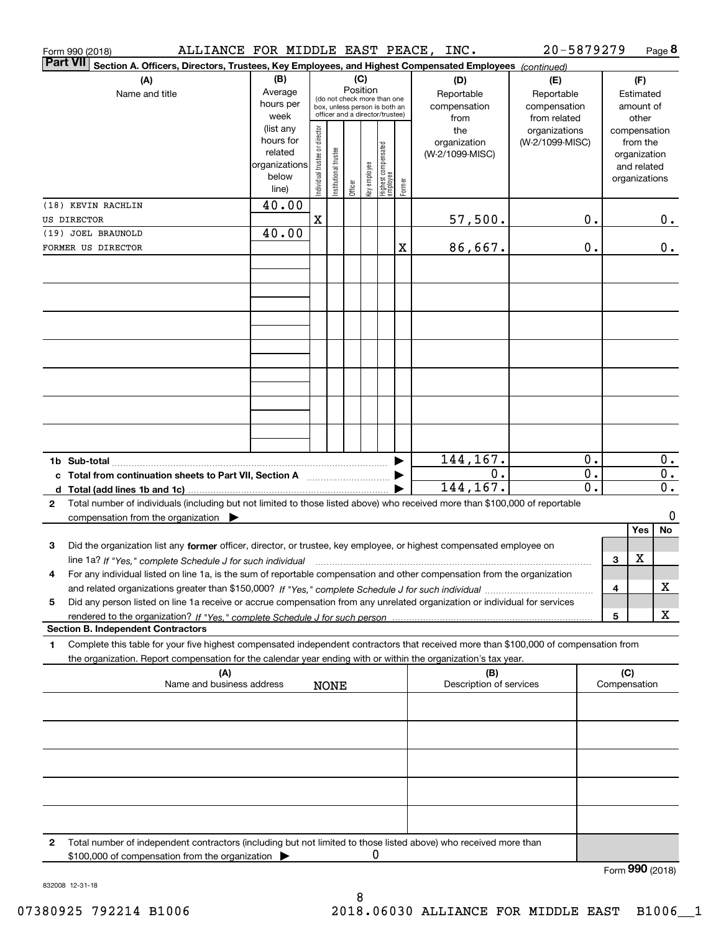|              | Form 990 (2018)                   | ALLIANCE FOR MIDDLE EAST PEACE, INC.                                                                                                                                                                                                                   |                                                                                                                                                           |                                |                       |         |              |                                           |                                                   |                                        | 20-5879279                       |                           |                                                                          |                 | Page 8                            |
|--------------|-----------------------------------|--------------------------------------------------------------------------------------------------------------------------------------------------------------------------------------------------------------------------------------------------------|-----------------------------------------------------------------------------------------------------------------------------------------------------------|--------------------------------|-----------------------|---------|--------------|-------------------------------------------|---------------------------------------------------|----------------------------------------|----------------------------------|---------------------------|--------------------------------------------------------------------------|-----------------|-----------------------------------|
|              | <b>Part VII</b>                   | Section A. Officers, Directors, Trustees, Key Employees, and Highest Compensated Employees (continued)                                                                                                                                                 |                                                                                                                                                           |                                |                       |         |              |                                           |                                                   |                                        |                                  |                           |                                                                          |                 |                                   |
|              | (A)<br>Name and title             |                                                                                                                                                                                                                                                        | (B)<br>(C)<br>Position<br>Average<br>(do not check more than one<br>hours per<br>box, unless person is both an<br>officer and a director/trustee)<br>week |                                |                       |         |              | (D)<br>Reportable<br>compensation<br>from | (E)<br>Reportable<br>compensation<br>from related | Estimated<br>amount of                 |                                  | (F)<br>other              |                                                                          |                 |                                   |
|              |                                   |                                                                                                                                                                                                                                                        | (list any<br>hours for<br>related<br>organizations<br>below<br>line)                                                                                      | Individual trustee or director | Institutional trustee | Officer | key employee | Highest compensated<br> employee          | Former                                            | the<br>organization<br>(W-2/1099-MISC) | organizations<br>(W-2/1099-MISC) |                           | compensation<br>from the<br>organization<br>and related<br>organizations |                 |                                   |
|              | (18) KEVIN RACHLIN                |                                                                                                                                                                                                                                                        | 40.00                                                                                                                                                     |                                |                       |         |              |                                           |                                                   |                                        |                                  |                           |                                                                          |                 |                                   |
|              | US DIRECTOR<br>(19) JOEL BRAUNOLD |                                                                                                                                                                                                                                                        | 40.00                                                                                                                                                     | $\mathbf X$                    |                       |         |              |                                           |                                                   | 57,500.                                |                                  | 0.                        |                                                                          |                 | 0.                                |
|              | FORMER US DIRECTOR                |                                                                                                                                                                                                                                                        |                                                                                                                                                           |                                |                       |         |              |                                           | х                                                 | 86,667.                                |                                  | 0.                        |                                                                          |                 | $0$ .                             |
|              |                                   |                                                                                                                                                                                                                                                        |                                                                                                                                                           |                                |                       |         |              |                                           |                                                   |                                        |                                  |                           |                                                                          |                 |                                   |
|              |                                   |                                                                                                                                                                                                                                                        |                                                                                                                                                           |                                |                       |         |              |                                           |                                                   |                                        |                                  |                           |                                                                          |                 |                                   |
|              |                                   |                                                                                                                                                                                                                                                        |                                                                                                                                                           |                                |                       |         |              |                                           |                                                   |                                        |                                  |                           |                                                                          |                 |                                   |
|              |                                   |                                                                                                                                                                                                                                                        |                                                                                                                                                           |                                |                       |         |              |                                           |                                                   |                                        |                                  |                           |                                                                          |                 |                                   |
|              |                                   |                                                                                                                                                                                                                                                        |                                                                                                                                                           |                                |                       |         |              |                                           |                                                   | 144,167.                               |                                  | 0.                        |                                                                          |                 | 0.                                |
|              |                                   |                                                                                                                                                                                                                                                        |                                                                                                                                                           |                                |                       |         |              |                                           | ▶                                                 | 0.<br>144,167.                         |                                  | $0$ .<br>$\overline{0}$ . |                                                                          |                 | $\mathbf 0$ .<br>$\overline{0}$ . |
| $\mathbf{2}$ |                                   | Total number of individuals (including but not limited to those listed above) who received more than \$100,000 of reportable<br>compensation from the organization $\blacktriangleright$                                                               |                                                                                                                                                           |                                |                       |         |              |                                           |                                                   |                                        |                                  |                           |                                                                          |                 | 0                                 |
| 3            |                                   | Did the organization list any former officer, director, or trustee, key employee, or highest compensated employee on                                                                                                                                   |                                                                                                                                                           |                                |                       |         |              |                                           |                                                   |                                        |                                  |                           |                                                                          | Yes<br>X        | No                                |
| 4            |                                   | For any individual listed on line 1a, is the sum of reportable compensation and other compensation from the organization                                                                                                                               |                                                                                                                                                           |                                |                       |         |              |                                           |                                                   |                                        |                                  |                           | 3<br>4                                                                   |                 | х                                 |
| 5            |                                   | Did any person listed on line 1a receive or accrue compensation from any unrelated organization or individual for services                                                                                                                             |                                                                                                                                                           |                                |                       |         |              |                                           |                                                   |                                        |                                  |                           | 5                                                                        |                 | x                                 |
|              |                                   | <b>Section B. Independent Contractors</b>                                                                                                                                                                                                              |                                                                                                                                                           |                                |                       |         |              |                                           |                                                   |                                        |                                  |                           |                                                                          |                 |                                   |
| 1            |                                   | Complete this table for your five highest compensated independent contractors that received more than \$100,000 of compensation from<br>the organization. Report compensation for the calendar year ending with or within the organization's tax year. |                                                                                                                                                           |                                |                       |         |              |                                           |                                                   |                                        |                                  |                           |                                                                          |                 |                                   |
|              |                                   | (A)<br>Name and business address                                                                                                                                                                                                                       |                                                                                                                                                           |                                | <b>NONE</b>           |         |              |                                           |                                                   | (B)<br>Description of services         |                                  |                           | (C)                                                                      | Compensation    |                                   |
|              |                                   |                                                                                                                                                                                                                                                        |                                                                                                                                                           |                                |                       |         |              |                                           |                                                   |                                        |                                  |                           |                                                                          |                 |                                   |
|              |                                   |                                                                                                                                                                                                                                                        |                                                                                                                                                           |                                |                       |         |              |                                           |                                                   |                                        |                                  |                           |                                                                          |                 |                                   |
|              |                                   |                                                                                                                                                                                                                                                        |                                                                                                                                                           |                                |                       |         |              |                                           |                                                   |                                        |                                  |                           |                                                                          |                 |                                   |
| 2            |                                   | Total number of independent contractors (including but not limited to those listed above) who received more than                                                                                                                                       |                                                                                                                                                           |                                |                       |         | 0            |                                           |                                                   |                                        |                                  |                           |                                                                          |                 |                                   |
|              |                                   | \$100,000 of compensation from the organization                                                                                                                                                                                                        |                                                                                                                                                           |                                |                       |         |              |                                           |                                                   |                                        |                                  |                           |                                                                          | Form 990 (2018) |                                   |

832008 12-31-18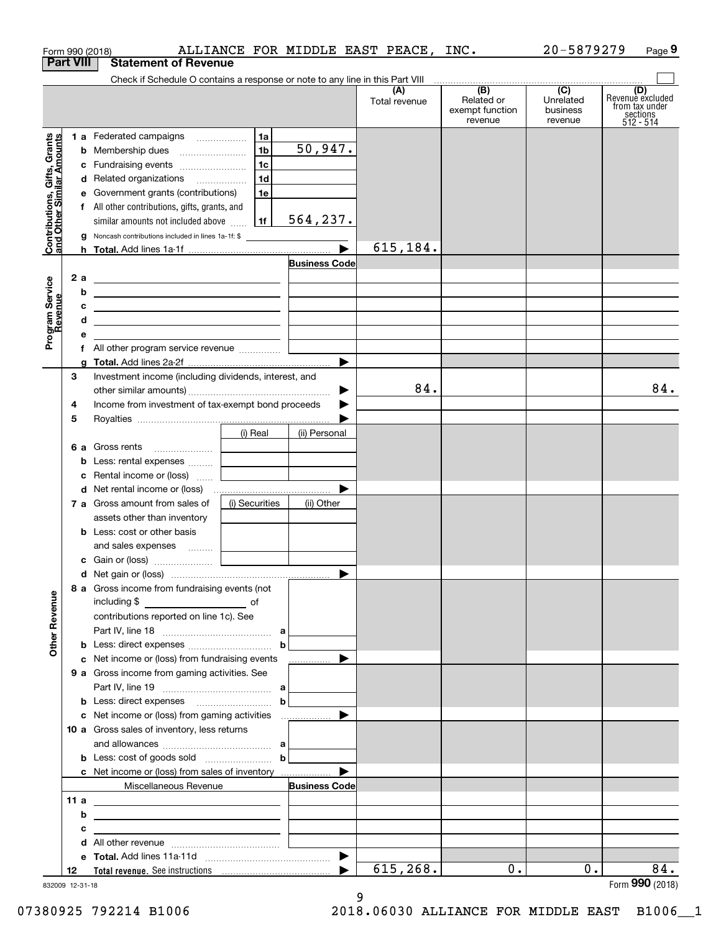|                                                           |                  | Form 990 (2018)                                                                                                                                                                                                                              |                |                      | ALLIANCE FOR MIDDLE EAST PEACE, INC. |                                          | 20-5879279                       | Page 9                                                             |
|-----------------------------------------------------------|------------------|----------------------------------------------------------------------------------------------------------------------------------------------------------------------------------------------------------------------------------------------|----------------|----------------------|--------------------------------------|------------------------------------------|----------------------------------|--------------------------------------------------------------------|
|                                                           | <b>Part VIII</b> | <b>Statement of Revenue</b>                                                                                                                                                                                                                  |                |                      |                                      |                                          |                                  |                                                                    |
|                                                           |                  | Check if Schedule O contains a response or note to any line in this Part VIII                                                                                                                                                                |                |                      |                                      | (B)                                      | $\overline{C}$                   |                                                                    |
|                                                           |                  |                                                                                                                                                                                                                                              |                |                      | (A)<br>Total revenue                 | Related or<br>exempt function<br>revenue | Unrelated<br>business<br>revenue | (D)<br>Revenue excluded<br>from tax under<br>sections<br>512 - 514 |
|                                                           |                  | 1 a Federated campaigns                                                                                                                                                                                                                      | 1a             |                      |                                      |                                          |                                  |                                                                    |
| Contributions, Gifts, Grants<br>and Other Similar Amounts |                  |                                                                                                                                                                                                                                              | 1 <sub>b</sub> | 50,947.              |                                      |                                          |                                  |                                                                    |
|                                                           |                  | c Fundraising events                                                                                                                                                                                                                         | 1 <sub>c</sub> |                      |                                      |                                          |                                  |                                                                    |
|                                                           |                  | d Related organizations                                                                                                                                                                                                                      | 1d             |                      |                                      |                                          |                                  |                                                                    |
|                                                           |                  | e Government grants (contributions)                                                                                                                                                                                                          | 1e             |                      |                                      |                                          |                                  |                                                                    |
|                                                           |                  | f All other contributions, gifts, grants, and                                                                                                                                                                                                |                |                      |                                      |                                          |                                  |                                                                    |
|                                                           |                  | similar amounts not included above                                                                                                                                                                                                           | 1f             | 564, 237.            |                                      |                                          |                                  |                                                                    |
|                                                           |                  | g Noncash contributions included in lines 1a-1f: \$                                                                                                                                                                                          |                |                      | 615,184.                             |                                          |                                  |                                                                    |
|                                                           |                  |                                                                                                                                                                                                                                              |                | <b>Business Code</b> |                                      |                                          |                                  |                                                                    |
|                                                           |                  |                                                                                                                                                                                                                                              |                |                      |                                      |                                          |                                  |                                                                    |
| Program Service<br>Revenue                                | b                | 2 a ______________________________                                                                                                                                                                                                           |                |                      |                                      |                                          |                                  |                                                                    |
|                                                           | c                | <u> 1989 - Johann Harry Barn, mars ar breist fan de Amerikaansk kommunent fan de Amerikaanske kommunent fan de A</u><br><u> 1989 - Jan Barbara Barbara, prima popular popular popular popular popular popular popular popular popular po</u> |                |                      |                                      |                                          |                                  |                                                                    |
|                                                           | d                | <u> 1989 - Johann Stein, fransk politik (f. 1989)</u>                                                                                                                                                                                        |                |                      |                                      |                                          |                                  |                                                                    |
|                                                           | е                |                                                                                                                                                                                                                                              |                |                      |                                      |                                          |                                  |                                                                    |
|                                                           |                  |                                                                                                                                                                                                                                              |                |                      |                                      |                                          |                                  |                                                                    |
|                                                           |                  |                                                                                                                                                                                                                                              |                | ▶                    |                                      |                                          |                                  |                                                                    |
|                                                           | З                | Investment income (including dividends, interest, and                                                                                                                                                                                        |                |                      |                                      |                                          |                                  |                                                                    |
|                                                           |                  |                                                                                                                                                                                                                                              |                | ▶                    | 84.                                  |                                          |                                  | 84.                                                                |
|                                                           | 4                | Income from investment of tax-exempt bond proceeds                                                                                                                                                                                           |                |                      |                                      |                                          |                                  |                                                                    |
|                                                           | 5                |                                                                                                                                                                                                                                              |                |                      |                                      |                                          |                                  |                                                                    |
|                                                           |                  |                                                                                                                                                                                                                                              | (i) Real       | (ii) Personal        |                                      |                                          |                                  |                                                                    |
|                                                           |                  |                                                                                                                                                                                                                                              |                |                      |                                      |                                          |                                  |                                                                    |
|                                                           |                  | <b>b</b> Less: rental expenses                                                                                                                                                                                                               |                |                      |                                      |                                          |                                  |                                                                    |
|                                                           |                  | c Rental income or (loss)                                                                                                                                                                                                                    |                |                      |                                      |                                          |                                  |                                                                    |
|                                                           |                  |                                                                                                                                                                                                                                              |                |                      |                                      |                                          |                                  |                                                                    |
|                                                           |                  | 7 a Gross amount from sales of                                                                                                                                                                                                               | (i) Securities | (ii) Other           |                                      |                                          |                                  |                                                                    |
|                                                           |                  | assets other than inventory                                                                                                                                                                                                                  |                |                      |                                      |                                          |                                  |                                                                    |
|                                                           |                  | <b>b</b> Less: cost or other basis                                                                                                                                                                                                           |                |                      |                                      |                                          |                                  |                                                                    |
|                                                           |                  | and sales expenses  [                                                                                                                                                                                                                        |                |                      |                                      |                                          |                                  |                                                                    |
|                                                           |                  | <b>c</b> Gain or (loss) $\ldots$ [                                                                                                                                                                                                           |                |                      |                                      |                                          |                                  |                                                                    |
|                                                           |                  |                                                                                                                                                                                                                                              |                |                      |                                      |                                          |                                  |                                                                    |
|                                                           |                  | 8 a Gross income from fundraising events (not                                                                                                                                                                                                |                |                      |                                      |                                          |                                  |                                                                    |
|                                                           |                  |                                                                                                                                                                                                                                              |                |                      |                                      |                                          |                                  |                                                                    |
|                                                           |                  | contributions reported on line 1c). See                                                                                                                                                                                                      |                |                      |                                      |                                          |                                  |                                                                    |
| <b>Other Revenue</b>                                      |                  |                                                                                                                                                                                                                                              |                |                      |                                      |                                          |                                  |                                                                    |
|                                                           |                  | c Net income or (loss) from fundraising events                                                                                                                                                                                               |                |                      |                                      |                                          |                                  |                                                                    |
|                                                           |                  | 9 a Gross income from gaming activities. See                                                                                                                                                                                                 |                |                      |                                      |                                          |                                  |                                                                    |
|                                                           |                  |                                                                                                                                                                                                                                              |                |                      |                                      |                                          |                                  |                                                                    |
|                                                           |                  |                                                                                                                                                                                                                                              |                |                      |                                      |                                          |                                  |                                                                    |
|                                                           |                  |                                                                                                                                                                                                                                              |                |                      |                                      |                                          |                                  |                                                                    |
|                                                           |                  | 10 a Gross sales of inventory, less returns                                                                                                                                                                                                  |                |                      |                                      |                                          |                                  |                                                                    |
|                                                           |                  |                                                                                                                                                                                                                                              |                |                      |                                      |                                          |                                  |                                                                    |
|                                                           |                  | <b>b</b> Less: cost of goods sold $\ldots$                                                                                                                                                                                                   |                |                      |                                      |                                          |                                  |                                                                    |
|                                                           |                  | c Net income or (loss) from sales of inventory                                                                                                                                                                                               |                |                      |                                      |                                          |                                  |                                                                    |
|                                                           |                  | Miscellaneous Revenue                                                                                                                                                                                                                        |                | <b>Business Code</b> |                                      |                                          |                                  |                                                                    |
|                                                           | 11 a             | <u> 1980 - Andrea Andrew Maria (h. 1980).</u>                                                                                                                                                                                                |                |                      |                                      |                                          |                                  |                                                                    |
|                                                           | b                |                                                                                                                                                                                                                                              |                |                      |                                      |                                          |                                  |                                                                    |
|                                                           | c                | <u> 1989 - John Stein, Amerikaansk politiker (</u> † 1920)                                                                                                                                                                                   |                |                      |                                      |                                          |                                  |                                                                    |
|                                                           | d                |                                                                                                                                                                                                                                              |                |                      |                                      |                                          |                                  |                                                                    |
|                                                           |                  |                                                                                                                                                                                                                                              |                |                      |                                      |                                          |                                  |                                                                    |
|                                                           | 12               |                                                                                                                                                                                                                                              |                |                      | 615,268.                             | 0.                                       | $0$ .                            | 84.<br>Form 990 (2018)                                             |

9

832009 12-31-18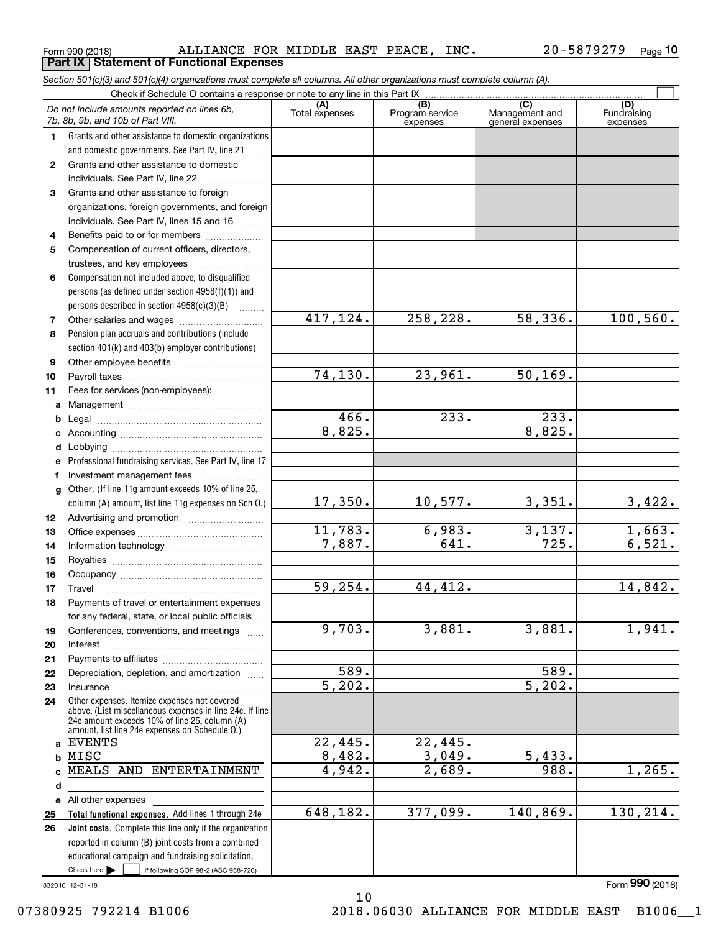| Grants and other assistance to domestic                                                                   |                       |          |                      |  |
|-----------------------------------------------------------------------------------------------------------|-----------------------|----------|----------------------|--|
| individuals. See Part IV, line 22                                                                         |                       |          |                      |  |
| Grants and other assistance to foreign                                                                    |                       |          |                      |  |
| organizations, foreign governments, and foreign                                                           |                       |          |                      |  |
| individuals. See Part IV, lines 15 and 16                                                                 |                       |          |                      |  |
| Benefits paid to or for members                                                                           |                       |          |                      |  |
| Compensation of current officers, directors,                                                              |                       |          |                      |  |
| trustees, and key employees                                                                               |                       |          |                      |  |
| Compensation not included above, to disqualified                                                          |                       |          |                      |  |
| persons (as defined under section $4958(f)(1)$ ) and                                                      |                       |          |                      |  |
| persons described in section $4958(c)(3)(B)$                                                              |                       |          |                      |  |
|                                                                                                           | 417,124.              | 258,228. | 58,336.              |  |
| Pension plan accruals and contributions (include                                                          |                       |          |                      |  |
| section 401(k) and 403(b) employer contributions)                                                         |                       |          |                      |  |
|                                                                                                           |                       |          |                      |  |
|                                                                                                           | 74,130.               | 23,961.  | 50, 169.             |  |
| Fees for services (non-employees):                                                                        |                       |          |                      |  |
|                                                                                                           |                       |          |                      |  |
|                                                                                                           | 466.                  | 233.     | 233.                 |  |
|                                                                                                           | 8,825.                |          | 8,825.               |  |
|                                                                                                           |                       |          |                      |  |
| Professional fundraising services. See Part IV, line 17                                                   |                       |          |                      |  |
|                                                                                                           |                       |          |                      |  |
| Other. (If line 11g amount exceeds 10% of line 25,                                                        |                       |          |                      |  |
| column (A) amount, list line 11g expenses on Sch 0.)                                                      | 17,350.               | 10,577.  | 3,351.               |  |
|                                                                                                           |                       |          |                      |  |
|                                                                                                           | 11,783.               | 6,983.   | 3,137.               |  |
|                                                                                                           | 7,887.                | 641.     | 725.                 |  |
|                                                                                                           |                       |          |                      |  |
|                                                                                                           |                       |          |                      |  |
| Travel                                                                                                    | $\overline{59,254}$ . | 44,412.  |                      |  |
| Payments of travel or entertainment expenses                                                              |                       |          |                      |  |
| for any federal, state, or local public officials                                                         |                       |          |                      |  |
| Conferences, conventions, and meetings                                                                    | 9,703.                | 3,881.   | 3,881.               |  |
| Interest                                                                                                  |                       |          |                      |  |
|                                                                                                           |                       |          |                      |  |
| Depreciation, depletion, and amortization                                                                 | 589.                  |          | 589.                 |  |
| Insurance                                                                                                 | $\overline{5,202}$ .  |          | $\overline{5,202}$ . |  |
| Other expenses. Itemize expenses not covered                                                              |                       |          |                      |  |
| above. (List miscellaneous expenses in line 24e. If line<br>24e amount exceeds 10% of line 25, column (A) |                       |          |                      |  |
| amount, list line 24e expenses on Schedule O.)                                                            |                       |          |                      |  |
| <b>EVENTS</b>                                                                                             | 22,445.               | 22,445.  |                      |  |
| MISC                                                                                                      | 8,482.                | 3,049.   | 5.<br>433.           |  |
| MEALS AND ENTERTAINMENT                                                                                   | 4,942.                | 2,689.   | 988.                 |  |

### <code>Form</code> 990 (2018) ALLIANCE FOR MIDDLE EAST PEACE, INC.  $20$  – 5879279  $\,$  Page **Part IX Statement of Functional Expenses**

Check if Schedule O contains a response or note to any line in this Part IX

**10**

Fundraising expenses

100,560.

10,577. 3,351. 3,422.

1,663.  $6,521.$ 

14,842.

1,941.

1,265.

 $\mathcal{L}^{\text{max}}$ 

**(C)** (C) (C)<br>
penses Program service Management and Fundrai<br>
expenses general expenses expen

Program service expenses

Form (2018) **990**

377,099. 140,869. 130,214.

10

**56**

Grants and other assistance to domestic organizations and domestic governments. See Part IV, line 21

*Do not include amounts reported on lines 6b,*

# **7**

**89**

**1011**

**ab**

**cdefg**

**121314**

**15161718**

## **192021222324**

**abcd**MEALS AND ENTERTAINMENT

Check here  $\bullet$  if following SOP 98-2 (ASC 958-720) **Total functional expenses.**  Add lines 1 through 24e **Joint costs.** Complete this line only if the organization **e25 26**reported in column (B) joint costs from a combined educational campaign and fundraising solicitation. All other expenses Check here  $\blacktriangleright$ 648,182.

832010 12-31-18

*7b, 8b, 9b, and 10b of Part VIII.*

**1**

**2**

**3**

**4**

*Section 501(c)(3) and 501(c)(4) organizations must complete all columns. All other organizations must complete column (A).*

**(A)**<br>Total expenses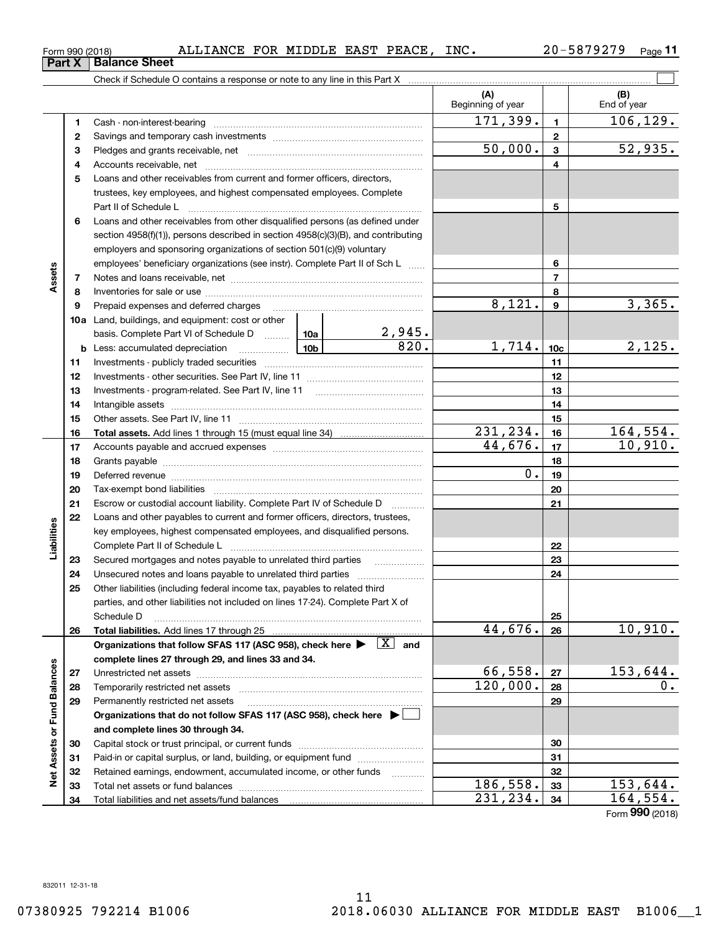# <code>Form</code> 990 (2018) ALLIANCE FOR MIDDLE EAST PEACE, INC.  $20$  – 5879279  $\,$  Page

**11**

|                             |          |                                                                                                                                                                                                                                |                 |                     | (A)<br>Beginning of year |                  | (B)<br>End of year |
|-----------------------------|----------|--------------------------------------------------------------------------------------------------------------------------------------------------------------------------------------------------------------------------------|-----------------|---------------------|--------------------------|------------------|--------------------|
|                             | 1        |                                                                                                                                                                                                                                |                 |                     | 171, 399.                | $\mathbf{1}$     | 106, 129.          |
|                             | 2        |                                                                                                                                                                                                                                |                 |                     |                          | $\mathbf 2$      |                    |
|                             | 3        |                                                                                                                                                                                                                                |                 |                     | 50,000.                  | 3                | 52,935.            |
|                             | 4        |                                                                                                                                                                                                                                |                 |                     |                          | 4                |                    |
|                             | 5        | Loans and other receivables from current and former officers, directors,                                                                                                                                                       |                 |                     |                          |                  |                    |
|                             |          | trustees, key employees, and highest compensated employees. Complete                                                                                                                                                           |                 |                     |                          |                  |                    |
|                             |          |                                                                                                                                                                                                                                |                 |                     |                          | 5                |                    |
|                             | 6        | Loans and other receivables from other disqualified persons (as defined under                                                                                                                                                  |                 |                     |                          |                  |                    |
|                             |          | section 4958(f)(1)), persons described in section 4958(c)(3)(B), and contributing                                                                                                                                              |                 |                     |                          |                  |                    |
|                             |          | employers and sponsoring organizations of section 501(c)(9) voluntary                                                                                                                                                          |                 |                     |                          |                  |                    |
|                             |          | employees' beneficiary organizations (see instr). Complete Part II of Sch L                                                                                                                                                    |                 |                     | 6                        |                  |                    |
| Assets                      | 7        |                                                                                                                                                                                                                                |                 |                     |                          | $\overline{7}$   |                    |
|                             | 8        |                                                                                                                                                                                                                                |                 |                     |                          | 8                |                    |
|                             | 9        |                                                                                                                                                                                                                                |                 |                     | 8,121.                   | $\boldsymbol{9}$ | 3,365.             |
|                             |          | <b>10a</b> Land, buildings, and equipment: cost or other                                                                                                                                                                       |                 |                     |                          |                  |                    |
|                             |          | basis. Complete Part VI of Schedule D  10a                                                                                                                                                                                     |                 | <u>2,945.</u>       |                          |                  |                    |
|                             |          | <b>b</b> Less: accumulated depreciation<br>. 1                                                                                                                                                                                 | 10 <sub>b</sub> | $\overline{820}$ .  | 1,714.                   | 10 <sub>c</sub>  | 2,125.             |
|                             | 11       |                                                                                                                                                                                                                                |                 |                     | 11                       |                  |                    |
|                             | 12       |                                                                                                                                                                                                                                |                 | 12                  |                          |                  |                    |
|                             | 13       |                                                                                                                                                                                                                                |                 |                     | 13                       |                  |                    |
|                             | 14       |                                                                                                                                                                                                                                |                 |                     |                          | 14               |                    |
|                             | 15       |                                                                                                                                                                                                                                |                 |                     |                          | 15               |                    |
|                             | 16       |                                                                                                                                                                                                                                |                 |                     | 231,234.                 | 16               | 164, 554.          |
|                             | 17       |                                                                                                                                                                                                                                |                 |                     | 44,676.                  | 17               | 10,910.            |
|                             | 18       |                                                                                                                                                                                                                                |                 |                     |                          | 18               |                    |
|                             | 19       | Deferred revenue manual contracts and contracts are all the contracts and contracts are contracted and contracts are contracted and contract are contracted and contract are contracted and contract are contracted and contra |                 |                     | 0.                       | 19               |                    |
|                             | 20       |                                                                                                                                                                                                                                |                 |                     |                          | 20               |                    |
|                             | 21       | Escrow or custodial account liability. Complete Part IV of Schedule D                                                                                                                                                          |                 | 1.1.1.1.1.1.1.1.1.1 |                          | 21               |                    |
|                             | 22       | Loans and other payables to current and former officers, directors, trustees,                                                                                                                                                  |                 |                     |                          |                  |                    |
|                             |          | key employees, highest compensated employees, and disqualified persons.                                                                                                                                                        |                 |                     |                          |                  |                    |
| Liabilities                 |          |                                                                                                                                                                                                                                |                 |                     |                          | 22               |                    |
|                             | 23       | Secured mortgages and notes payable to unrelated third parties                                                                                                                                                                 |                 |                     |                          | 23               |                    |
|                             | 24       |                                                                                                                                                                                                                                |                 |                     |                          | 24               |                    |
|                             | 25       | Other liabilities (including federal income tax, payables to related third                                                                                                                                                     |                 |                     |                          |                  |                    |
|                             |          | parties, and other liabilities not included on lines 17-24). Complete Part X of                                                                                                                                                |                 |                     |                          |                  |                    |
|                             |          | Schedule D                                                                                                                                                                                                                     |                 |                     |                          | 25               |                    |
|                             | 26       |                                                                                                                                                                                                                                |                 |                     | 44,676.                  | 26               | 10,910.            |
|                             |          | Organizations that follow SFAS 117 (ASC 958), check here $\blacktriangleright \begin{array}{ c } \hline X & \text{and} \end{array}$                                                                                            |                 |                     |                          |                  |                    |
|                             |          | complete lines 27 through 29, and lines 33 and 34.                                                                                                                                                                             |                 |                     | 66,558.                  |                  | 153,644.           |
|                             | 27       |                                                                                                                                                                                                                                |                 |                     | $\overline{120}$ ,000.   | 27               | 0.                 |
|                             | 28       |                                                                                                                                                                                                                                |                 |                     |                          | 28               |                    |
|                             | 29       | Permanently restricted net assets                                                                                                                                                                                              |                 |                     |                          | 29               |                    |
|                             |          | Organizations that do not follow SFAS 117 (ASC 958), check here ▶ □                                                                                                                                                            |                 |                     |                          |                  |                    |
|                             |          | and complete lines 30 through 34.                                                                                                                                                                                              |                 |                     |                          |                  |                    |
|                             | 30       |                                                                                                                                                                                                                                |                 |                     |                          | 30               |                    |
| Net Assets or Fund Balances | 31       | Paid-in or capital surplus, or land, building, or equipment fund                                                                                                                                                               |                 |                     |                          | 31<br>32         |                    |
|                             | 32<br>33 | Retained earnings, endowment, accumulated income, or other funds                                                                                                                                                               |                 |                     | 186,558.                 | 33               | 153,644.           |
|                             | 34       |                                                                                                                                                                                                                                |                 |                     | 231,234.                 | 34               | 164,554.           |
|                             |          |                                                                                                                                                                                                                                |                 |                     |                          |                  |                    |

Form (2018) **990**

**Part X Balance Sheet**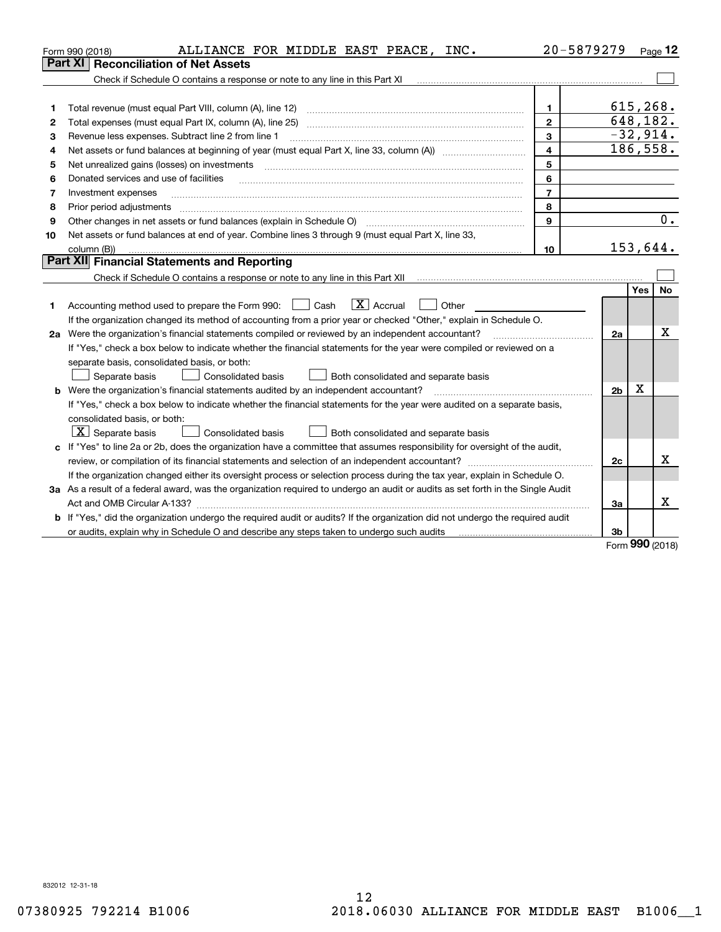|    | ALLIANCE FOR MIDDLE EAST PEACE, INC.<br>Form 990 (2018)                                                                                                                                 | 20-5879279              |                |            | Page $12$  |
|----|-----------------------------------------------------------------------------------------------------------------------------------------------------------------------------------------|-------------------------|----------------|------------|------------|
|    | <b>Reconciliation of Net Assets</b><br>Part XI                                                                                                                                          |                         |                |            |            |
|    |                                                                                                                                                                                         |                         |                |            |            |
|    |                                                                                                                                                                                         |                         |                |            |            |
| 1  | Total revenue (must equal Part VIII, column (A), line 12)                                                                                                                               | $\mathbf{1}$            |                | 615, 268.  |            |
| 2  |                                                                                                                                                                                         | $\overline{2}$          |                | 648,182.   |            |
| 3  | Revenue less expenses. Subtract line 2 from line 1                                                                                                                                      | $\mathbf{3}$            |                |            | $-32,914.$ |
| 4  | Net assets or fund balances at beginning of year (must equal Part X, line 33, column (A)) <i>massets</i> or fund balances at beginning of year (must equal Part X, line 33, column (A)) | $\overline{\mathbf{4}}$ |                |            | 186, 558.  |
| 5  | Net unrealized gains (losses) on investments                                                                                                                                            | 5                       |                |            |            |
| 6  | Donated services and use of facilities                                                                                                                                                  | 6                       |                |            |            |
| 7  | Investment expenses                                                                                                                                                                     | $\overline{7}$          |                |            |            |
| 8  | Prior period adjustments                                                                                                                                                                | 8                       |                |            |            |
| 9  |                                                                                                                                                                                         | 9                       |                |            | 0.         |
| 10 | Net assets or fund balances at end of year. Combine lines 3 through 9 (must equal Part X, line 33,                                                                                      |                         |                |            |            |
|    | column (B))                                                                                                                                                                             | 10                      |                | 153,644.   |            |
|    | Part XII Financial Statements and Reporting                                                                                                                                             |                         |                |            |            |
|    |                                                                                                                                                                                         |                         |                |            |            |
|    |                                                                                                                                                                                         |                         |                | <b>Yes</b> | <b>No</b>  |
| 1  | $\boxed{\mathbf{X}}$ Accrual<br>Accounting method used to prepare the Form 990: <u>June</u> Cash<br>Other                                                                               |                         |                |            |            |
|    | If the organization changed its method of accounting from a prior year or checked "Other," explain in Schedule O.                                                                       |                         |                |            |            |
|    | 2a Were the organization's financial statements compiled or reviewed by an independent accountant?                                                                                      |                         | 2a             |            | Χ          |
|    | If "Yes," check a box below to indicate whether the financial statements for the year were compiled or reviewed on a                                                                    |                         |                |            |            |
|    | separate basis, consolidated basis, or both:                                                                                                                                            |                         |                |            |            |
|    | Both consolidated and separate basis<br>Separate basis<br>Consolidated basis                                                                                                            |                         |                |            |            |
|    | <b>b</b> Were the organization's financial statements audited by an independent accountant?                                                                                             |                         | 2 <sub>b</sub> | X          |            |
|    | If "Yes," check a box below to indicate whether the financial statements for the year were audited on a separate basis,                                                                 |                         |                |            |            |
|    | consolidated basis, or both:                                                                                                                                                            |                         |                |            |            |
|    | $X$ Separate basis<br><b>Consolidated basis</b><br>Both consolidated and separate basis                                                                                                 |                         |                |            |            |
|    | c If "Yes" to line 2a or 2b, does the organization have a committee that assumes responsibility for oversight of the audit,                                                             |                         |                |            |            |
|    | review, or compilation of its financial statements and selection of an independent accountant?                                                                                          |                         | 2c             |            | x          |
|    | If the organization changed either its oversight process or selection process during the tax year, explain in Schedule O.                                                               |                         |                |            |            |
|    | 3a As a result of a federal award, was the organization required to undergo an audit or audits as set forth in the Single Audit                                                         |                         |                |            |            |
|    |                                                                                                                                                                                         |                         | 3a             |            | x          |
| b  | If "Yes," did the organization undergo the required audit or audits? If the organization did not undergo the required audit                                                             |                         |                |            |            |
|    | or audits, explain why in Schedule O and describe any steps taken to undergo such audits                                                                                                |                         | 3b             | nnn        |            |

Form (2018) **990**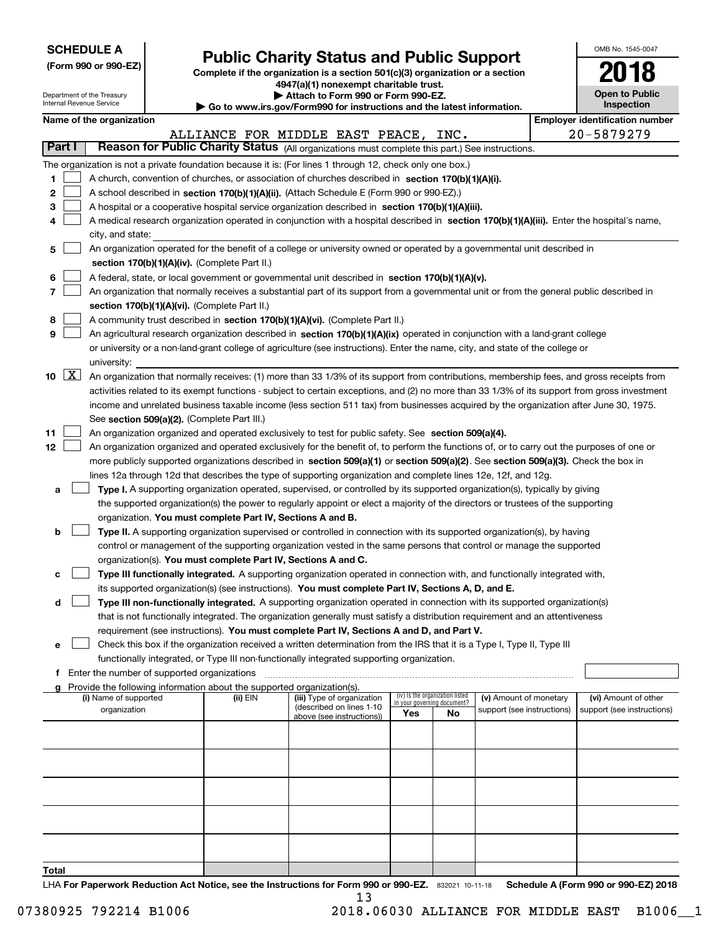| <b>SCHEDULE A</b> |
|-------------------|
|-------------------|

**(Form 990 or 990-EZ)**

# **Public Charity Status and Public Support**

**Complete if the organization is a section 501(c)(3) organization or a section 4947(a)(1) nonexempt charitable trust.**

| OMB No. 1545-0047     |
|-----------------------|
| 2018                  |
| <b>Open to Public</b> |

|                                           |          | Department of the Treasury<br>Internal Revenue Service |                                             |                                                                                                                             | Attach to Form 990 or Form 990-EZ.<br>Go to www.irs.gov/Form990 for instructions and the latest information.                                                                                                                                                                                                                                                                                                                                                                                                                                                                                                                                                                                                                                                                                                                                                                                                                                                                                                                                                                                                                                                                                                                                                                                                                                                |     |                                                                      |                                                      | <b>Open to Public</b><br>Inspection                |
|-------------------------------------------|----------|--------------------------------------------------------|---------------------------------------------|-----------------------------------------------------------------------------------------------------------------------------|-------------------------------------------------------------------------------------------------------------------------------------------------------------------------------------------------------------------------------------------------------------------------------------------------------------------------------------------------------------------------------------------------------------------------------------------------------------------------------------------------------------------------------------------------------------------------------------------------------------------------------------------------------------------------------------------------------------------------------------------------------------------------------------------------------------------------------------------------------------------------------------------------------------------------------------------------------------------------------------------------------------------------------------------------------------------------------------------------------------------------------------------------------------------------------------------------------------------------------------------------------------------------------------------------------------------------------------------------------------|-----|----------------------------------------------------------------------|------------------------------------------------------|----------------------------------------------------|
|                                           |          | Name of the organization                               |                                             |                                                                                                                             |                                                                                                                                                                                                                                                                                                                                                                                                                                                                                                                                                                                                                                                                                                                                                                                                                                                                                                                                                                                                                                                                                                                                                                                                                                                                                                                                                             |     |                                                                      |                                                      | <b>Employer identification number</b>              |
|                                           |          |                                                        |                                             |                                                                                                                             | ALLIANCE FOR MIDDLE EAST PEACE, INC.                                                                                                                                                                                                                                                                                                                                                                                                                                                                                                                                                                                                                                                                                                                                                                                                                                                                                                                                                                                                                                                                                                                                                                                                                                                                                                                        |     |                                                                      |                                                      | 20-5879279                                         |
| Part I                                    |          |                                                        |                                             |                                                                                                                             | Reason for Public Charity Status (All organizations must complete this part.) See instructions.                                                                                                                                                                                                                                                                                                                                                                                                                                                                                                                                                                                                                                                                                                                                                                                                                                                                                                                                                                                                                                                                                                                                                                                                                                                             |     |                                                                      |                                                      |                                                    |
| 1<br>2<br>з<br>4<br>5<br>6<br>7<br>8<br>9 |          | city, and state:                                       |                                             | section 170(b)(1)(A)(iv). (Complete Part II.)<br>section 170(b)(1)(A)(vi). (Complete Part II.)                              | The organization is not a private foundation because it is: (For lines 1 through 12, check only one box.)<br>A church, convention of churches, or association of churches described in section 170(b)(1)(A)(i).<br>A school described in section 170(b)(1)(A)(ii). (Attach Schedule E (Form 990 or 990-EZ).)<br>A hospital or a cooperative hospital service organization described in section 170(b)(1)(A)(iii).<br>A medical research organization operated in conjunction with a hospital described in section 170(b)(1)(A)(iii). Enter the hospital's name,<br>An organization operated for the benefit of a college or university owned or operated by a governmental unit described in<br>A federal, state, or local government or governmental unit described in section 170(b)(1)(A)(v).<br>An organization that normally receives a substantial part of its support from a governmental unit or from the general public described in<br>A community trust described in section 170(b)(1)(A)(vi). (Complete Part II.)<br>An agricultural research organization described in section 170(b)(1)(A)(ix) operated in conjunction with a land-grant college<br>or university or a non-land-grant college of agriculture (see instructions). Enter the name, city, and state of the college or                                                            |     |                                                                      |                                                      |                                                    |
| 11<br>12                                  | 10 $ X $ | university:                                            |                                             | See section 509(a)(2). (Complete Part III.)                                                                                 | An organization that normally receives: (1) more than 33 1/3% of its support from contributions, membership fees, and gross receipts from<br>activities related to its exempt functions - subject to certain exceptions, and (2) no more than 33 1/3% of its support from gross investment<br>income and unrelated business taxable income (less section 511 tax) from businesses acquired by the organization after June 30, 1975.<br>An organization organized and operated exclusively to test for public safety. See section 509(a)(4).<br>An organization organized and operated exclusively for the benefit of, to perform the functions of, or to carry out the purposes of one or<br>more publicly supported organizations described in section 509(a)(1) or section 509(a)(2). See section 509(a)(3). Check the box in                                                                                                                                                                                                                                                                                                                                                                                                                                                                                                                             |     |                                                                      |                                                      |                                                    |
| а<br>b<br>c<br>d<br>е                     |          |                                                        |                                             | organization. You must complete Part IV, Sections A and B.<br>organization(s). You must complete Part IV, Sections A and C. | lines 12a through 12d that describes the type of supporting organization and complete lines 12e, 12f, and 12g.<br>Type I. A supporting organization operated, supervised, or controlled by its supported organization(s), typically by giving<br>the supported organization(s) the power to regularly appoint or elect a majority of the directors or trustees of the supporting<br>Type II. A supporting organization supervised or controlled in connection with its supported organization(s), by having<br>control or management of the supporting organization vested in the same persons that control or manage the supported<br>Type III functionally integrated. A supporting organization operated in connection with, and functionally integrated with,<br>its supported organization(s) (see instructions). You must complete Part IV, Sections A, D, and E.<br>Type III non-functionally integrated. A supporting organization operated in connection with its supported organization(s)<br>that is not functionally integrated. The organization generally must satisfy a distribution requirement and an attentiveness<br>requirement (see instructions). You must complete Part IV, Sections A and D, and Part V.<br>Check this box if the organization received a written determination from the IRS that it is a Type I, Type II, Type III |     |                                                                      |                                                      |                                                    |
|                                           |          |                                                        |                                             |                                                                                                                             | functionally integrated, or Type III non-functionally integrated supporting organization.                                                                                                                                                                                                                                                                                                                                                                                                                                                                                                                                                                                                                                                                                                                                                                                                                                                                                                                                                                                                                                                                                                                                                                                                                                                                   |     |                                                                      |                                                      |                                                    |
| Ť.                                        |          |                                                        | Enter the number of supported organizations |                                                                                                                             |                                                                                                                                                                                                                                                                                                                                                                                                                                                                                                                                                                                                                                                                                                                                                                                                                                                                                                                                                                                                                                                                                                                                                                                                                                                                                                                                                             |     |                                                                      |                                                      |                                                    |
|                                           |          | (i) Name of supported<br>organization                  |                                             | Provide the following information about the supported organization(s).<br>(ii) EIN                                          | (iii) Type of organization<br>(described on lines 1-10<br>above (see instructions))                                                                                                                                                                                                                                                                                                                                                                                                                                                                                                                                                                                                                                                                                                                                                                                                                                                                                                                                                                                                                                                                                                                                                                                                                                                                         | Yes | (iv) Is the organization listed<br>in your governing document?<br>No | (v) Amount of monetary<br>support (see instructions) | (vi) Amount of other<br>support (see instructions) |
|                                           |          |                                                        |                                             |                                                                                                                             |                                                                                                                                                                                                                                                                                                                                                                                                                                                                                                                                                                                                                                                                                                                                                                                                                                                                                                                                                                                                                                                                                                                                                                                                                                                                                                                                                             |     |                                                                      |                                                      |                                                    |
| Total                                     |          |                                                        |                                             |                                                                                                                             |                                                                                                                                                                                                                                                                                                                                                                                                                                                                                                                                                                                                                                                                                                                                                                                                                                                                                                                                                                                                                                                                                                                                                                                                                                                                                                                                                             |     |                                                                      |                                                      |                                                    |

LHA For Paperwork Reduction Act Notice, see the Instructions for Form 990 or 990-EZ. 832021 10-11-18 Schedule A (Form 990 or 990-EZ) 2018 13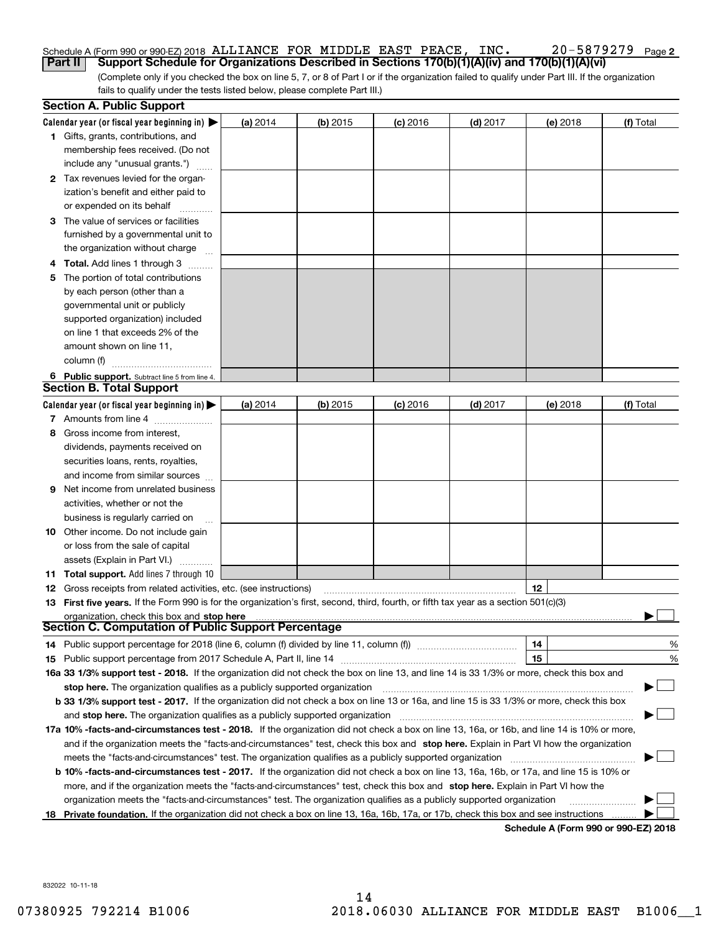### Schedule A (Form 990 or 990-EZ) 2018 Page ALLIANCE FOR MIDDLE EAST PEACE, INC. 20-5879279 **Part II Support Schedule for Organizations Described in Sections 170(b)(1)(A)(iv) and 170(b)(1)(A)(vi)**

(Complete only if you checked the box on line 5, 7, or 8 of Part I or if the organization failed to qualify under Part III. If the organization fails to qualify under the tests listed below, please complete Part III.)

|   | <b>Section A. Public Support</b>                                                                                                               |          |            |            |            |                                             |           |
|---|------------------------------------------------------------------------------------------------------------------------------------------------|----------|------------|------------|------------|---------------------------------------------|-----------|
|   | Calendar year (or fiscal year beginning in) $\blacktriangleright$                                                                              | (a) 2014 | $(b)$ 2015 | $(c)$ 2016 | $(d)$ 2017 | (e) 2018                                    | (f) Total |
|   | <b>1</b> Gifts, grants, contributions, and                                                                                                     |          |            |            |            |                                             |           |
|   | membership fees received. (Do not                                                                                                              |          |            |            |            |                                             |           |
|   | include any "unusual grants.")                                                                                                                 |          |            |            |            |                                             |           |
|   | 2 Tax revenues levied for the organ-                                                                                                           |          |            |            |            |                                             |           |
|   | ization's benefit and either paid to                                                                                                           |          |            |            |            |                                             |           |
|   | or expended on its behalf                                                                                                                      |          |            |            |            |                                             |           |
|   | 3 The value of services or facilities                                                                                                          |          |            |            |            |                                             |           |
|   | furnished by a governmental unit to                                                                                                            |          |            |            |            |                                             |           |
|   | the organization without charge                                                                                                                |          |            |            |            |                                             |           |
| 4 | <b>Total.</b> Add lines 1 through 3<br>a serenga dan serengai                                                                                  |          |            |            |            |                                             |           |
| 5 | The portion of total contributions                                                                                                             |          |            |            |            |                                             |           |
|   | by each person (other than a                                                                                                                   |          |            |            |            |                                             |           |
|   | governmental unit or publicly                                                                                                                  |          |            |            |            |                                             |           |
|   | supported organization) included                                                                                                               |          |            |            |            |                                             |           |
|   | on line 1 that exceeds 2% of the                                                                                                               |          |            |            |            |                                             |           |
|   | amount shown on line 11,                                                                                                                       |          |            |            |            |                                             |           |
|   | column (f)                                                                                                                                     |          |            |            |            |                                             |           |
|   | 6 Public support. Subtract line 5 from line 4.                                                                                                 |          |            |            |            |                                             |           |
|   | <b>Section B. Total Support</b>                                                                                                                |          |            |            |            |                                             |           |
|   | Calendar year (or fiscal year beginning in)                                                                                                    | (a) 2014 | $(b)$ 2015 | $(c)$ 2016 | $(d)$ 2017 | (e) 2018                                    | (f) Total |
|   | 7 Amounts from line 4                                                                                                                          |          |            |            |            |                                             |           |
| 8 | Gross income from interest,                                                                                                                    |          |            |            |            |                                             |           |
|   | dividends, payments received on                                                                                                                |          |            |            |            |                                             |           |
|   | securities loans, rents, royalties,                                                                                                            |          |            |            |            |                                             |           |
|   | and income from similar sources                                                                                                                |          |            |            |            |                                             |           |
| 9 | Net income from unrelated business                                                                                                             |          |            |            |            |                                             |           |
|   | activities, whether or not the                                                                                                                 |          |            |            |            |                                             |           |
|   | business is regularly carried on                                                                                                               |          |            |            |            |                                             |           |
|   | <b>10</b> Other income. Do not include gain                                                                                                    |          |            |            |            |                                             |           |
|   | or loss from the sale of capital                                                                                                               |          |            |            |            |                                             |           |
|   | assets (Explain in Part VI.)                                                                                                                   |          |            |            |            |                                             |           |
|   | <b>11 Total support.</b> Add lines 7 through 10                                                                                                |          |            |            |            |                                             |           |
|   | <b>12</b> Gross receipts from related activities, etc. (see instructions)                                                                      |          |            |            |            | 12                                          |           |
|   | 13 First five years. If the Form 990 is for the organization's first, second, third, fourth, or fifth tax year as a section 501(c)(3)          |          |            |            |            |                                             |           |
|   | organization, check this box and stop here                                                                                                     |          |            |            |            |                                             |           |
|   | Section C. Computation of Public Support Percentage                                                                                            |          |            |            |            |                                             |           |
|   | 14 Public support percentage for 2018 (line 6, column (f) divided by line 11, column (f) <i>manumumumumum</i>                                  |          |            |            |            | 14                                          | %         |
|   |                                                                                                                                                |          |            |            |            | 15                                          | %         |
|   | 16a 33 1/3% support test - 2018. If the organization did not check the box on line 13, and line 14 is 33 1/3% or more, check this box and      |          |            |            |            |                                             |           |
|   | stop here. The organization qualifies as a publicly supported organization                                                                     |          |            |            |            |                                             |           |
|   | b 33 1/3% support test - 2017. If the organization did not check a box on line 13 or 16a, and line 15 is 33 1/3% or more, check this box       |          |            |            |            |                                             |           |
|   | and stop here. The organization qualifies as a publicly supported organization                                                                 |          |            |            |            |                                             |           |
|   | 17a 10% -facts-and-circumstances test - 2018. If the organization did not check a box on line 13, 16a, or 16b, and line 14 is 10% or more,     |          |            |            |            |                                             |           |
|   | and if the organization meets the "facts-and-circumstances" test, check this box and stop here. Explain in Part VI how the organization        |          |            |            |            |                                             |           |
|   | meets the "facts-and-circumstances" test. The organization qualifies as a publicly supported organization                                      |          |            |            |            |                                             |           |
|   | <b>b 10% -facts-and-circumstances test - 2017.</b> If the organization did not check a box on line 13, 16a, 16b, or 17a, and line 15 is 10% or |          |            |            |            |                                             |           |
|   | more, and if the organization meets the "facts-and-circumstances" test, check this box and stop here. Explain in Part VI how the               |          |            |            |            |                                             |           |
|   | organization meets the "facts-and-circumstances" test. The organization qualifies as a publicly supported organization                         |          |            |            |            |                                             |           |
|   | 18 Private foundation. If the organization did not check a box on line 13, 16a, 16b, 17a, or 17b, check this box and see instructions          |          |            |            |            | <b>Cohodulo A (Form 000 or 000 EZ) 2010</b> |           |

**Schedule A (Form 990 or 990-EZ) 2018**

**2**

832022 10-11-18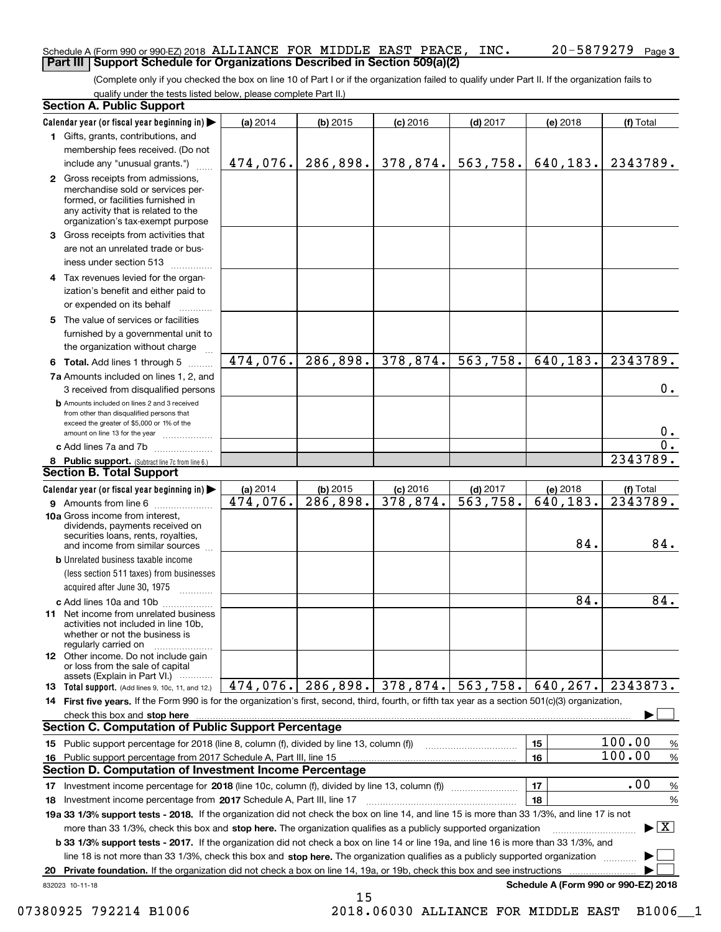### Schedule A (Form 990 or 990-EZ) 2018 Page ALLIANCE FOR MIDDLE EAST PEACE, INC. 20-5879279 **Part III Support Schedule for Organizations Described in Section 509(a)(2)**

(Complete only if you checked the box on line 10 of Part I or if the organization failed to qualify under Part II. If the organization fails to qualify under the tests listed below, please complete Part II.)

|    | <b>Section A. Public Support</b>                                                                                                                                                         |          |                        |            |            |                                      |                                                        |
|----|------------------------------------------------------------------------------------------------------------------------------------------------------------------------------------------|----------|------------------------|------------|------------|--------------------------------------|--------------------------------------------------------|
|    | Calendar year (or fiscal year beginning in)                                                                                                                                              | (a) 2014 | $(b)$ 2015             | $(c)$ 2016 | $(d)$ 2017 | (e) 2018                             | (f) Total                                              |
|    | 1 Gifts, grants, contributions, and                                                                                                                                                      |          |                        |            |            |                                      |                                                        |
|    | membership fees received. (Do not                                                                                                                                                        |          |                        |            |            |                                      |                                                        |
|    | include any "unusual grants.")                                                                                                                                                           | 474,076. | 286,898.               | 378,874.   | 563,758.   | 640,183.                             | 2343789.                                               |
|    | 2 Gross receipts from admissions,<br>merchandise sold or services per-<br>formed, or facilities furnished in<br>any activity that is related to the<br>organization's tax-exempt purpose |          |                        |            |            |                                      |                                                        |
|    | 3 Gross receipts from activities that                                                                                                                                                    |          |                        |            |            |                                      |                                                        |
|    | are not an unrelated trade or bus-                                                                                                                                                       |          |                        |            |            |                                      |                                                        |
|    | iness under section 513                                                                                                                                                                  |          |                        |            |            |                                      |                                                        |
|    | 4 Tax revenues levied for the organ-                                                                                                                                                     |          |                        |            |            |                                      |                                                        |
|    | ization's benefit and either paid to                                                                                                                                                     |          |                        |            |            |                                      |                                                        |
|    | or expended on its behalf                                                                                                                                                                |          |                        |            |            |                                      |                                                        |
|    | 5 The value of services or facilities<br>furnished by a governmental unit to                                                                                                             |          |                        |            |            |                                      |                                                        |
|    | the organization without charge                                                                                                                                                          |          |                        |            |            |                                      |                                                        |
|    | <b>6 Total.</b> Add lines 1 through 5                                                                                                                                                    | 474,076. | $\overline{286,898}$ . | 378,874.   | 563,758.   | 640,183.                             | $\overline{23}43789.$                                  |
|    | 7a Amounts included on lines 1, 2, and<br>3 received from disqualified persons                                                                                                           |          |                        |            |            |                                      | 0.                                                     |
|    | <b>b</b> Amounts included on lines 2 and 3 received<br>from other than disqualified persons that<br>exceed the greater of \$5,000 or 1% of the                                           |          |                        |            |            |                                      |                                                        |
|    | amount on line 13 for the year                                                                                                                                                           |          |                        |            |            |                                      | 0.                                                     |
|    | c Add lines 7a and 7b                                                                                                                                                                    |          |                        |            |            |                                      | 0.                                                     |
|    | 8 Public support. (Subtract line 7c from line 6.)<br>Section B. Total Support                                                                                                            |          |                        |            |            |                                      | 2343789.                                               |
|    | Calendar year (or fiscal year beginning in)                                                                                                                                              | (a) 2014 | $(b)$ 2015             | $(c)$ 2016 | $(d)$ 2017 | (e) 2018                             | (f) Total                                              |
|    | 9 Amounts from line 6                                                                                                                                                                    | 474,076. | 286,898.               | 378,874.   | 563,758.   | 640,183.                             | 2343789.                                               |
|    | 10a Gross income from interest,<br>dividends, payments received on<br>securities loans, rents, royalties,<br>and income from similar sources                                             |          |                        |            |            | 84.                                  | 84.                                                    |
|    | <b>b</b> Unrelated business taxable income                                                                                                                                               |          |                        |            |            |                                      |                                                        |
|    | (less section 511 taxes) from businesses<br>acquired after June 30, 1975                                                                                                                 |          |                        |            |            |                                      |                                                        |
|    | c Add lines 10a and 10b                                                                                                                                                                  |          |                        |            |            | 84.                                  | $\overline{84}$ .                                      |
|    | <b>11</b> Net income from unrelated business<br>activities not included in line 10b,<br>whether or not the business is<br>regularly carried on                                           |          |                        |            |            |                                      |                                                        |
|    | <b>12</b> Other income. Do not include gain<br>or loss from the sale of capital<br>assets (Explain in Part VI.)                                                                          |          |                        |            |            |                                      |                                                        |
|    | <b>13 Total support.</b> (Add lines 9, 10c, 11, and 12.)                                                                                                                                 | 474,076. | 286,898.               | 378,874.   | 563,758.   | 640, 267.                            | 2343873.                                               |
|    | 14 First five years. If the Form 990 is for the organization's first, second, third, fourth, or fifth tax year as a section 501(c)(3) organization,                                      |          |                        |            |            |                                      |                                                        |
|    |                                                                                                                                                                                          |          |                        |            |            |                                      |                                                        |
|    | <b>Section C. Computation of Public Support Percentage</b>                                                                                                                               |          |                        |            |            |                                      |                                                        |
|    | 15 Public support percentage for 2018 (line 8, column (f), divided by line 13, column (f))                                                                                               |          |                        |            |            | 15                                   | 100.00<br>$\%$                                         |
|    | 16 Public support percentage from 2017 Schedule A, Part III, line 15                                                                                                                     |          |                        |            |            | 16                                   | 100.00<br>%                                            |
|    | <b>Section D. Computation of Investment Income Percentage</b>                                                                                                                            |          |                        |            |            |                                      |                                                        |
|    | 17 Investment income percentage for 2018 (line 10c, column (f), divided by line 13, column (f))                                                                                          |          |                        |            |            | 17                                   | .00<br>%                                               |
|    | <b>18</b> Investment income percentage from <b>2017</b> Schedule A, Part III, line 17                                                                                                    |          |                        |            |            | 18                                   | %                                                      |
|    | 19a 33 1/3% support tests - 2018. If the organization did not check the box on line 14, and line 15 is more than 33 1/3%, and line 17 is not                                             |          |                        |            |            |                                      |                                                        |
|    | more than 33 1/3%, check this box and stop here. The organization qualifies as a publicly supported organization                                                                         |          |                        |            |            |                                      | $\blacktriangleright$ $\lfloor$ $\mathbf{X}$ $\rfloor$ |
|    | <b>b 33 1/3% support tests - 2017.</b> If the organization did not check a box on line 14 or line 19a, and line 16 is more than 33 1/3%, and                                             |          |                        |            |            |                                      |                                                        |
|    | line 18 is not more than 33 1/3%, check this box and stop here. The organization qualifies as a publicly supported organization                                                          |          |                        |            |            |                                      |                                                        |
| 20 | Private foundation. If the organization did not check a box on line 14, 19a, or 19b, check this box and see instructions                                                                 |          |                        |            |            |                                      |                                                        |
|    | 832023 10-11-18                                                                                                                                                                          |          | 15                     |            |            | Schedule A (Form 990 or 990-EZ) 2018 |                                                        |

07380925 792214 B1006 2018.06030 ALLIANCE FOR MIDDLE EAST B1006\_1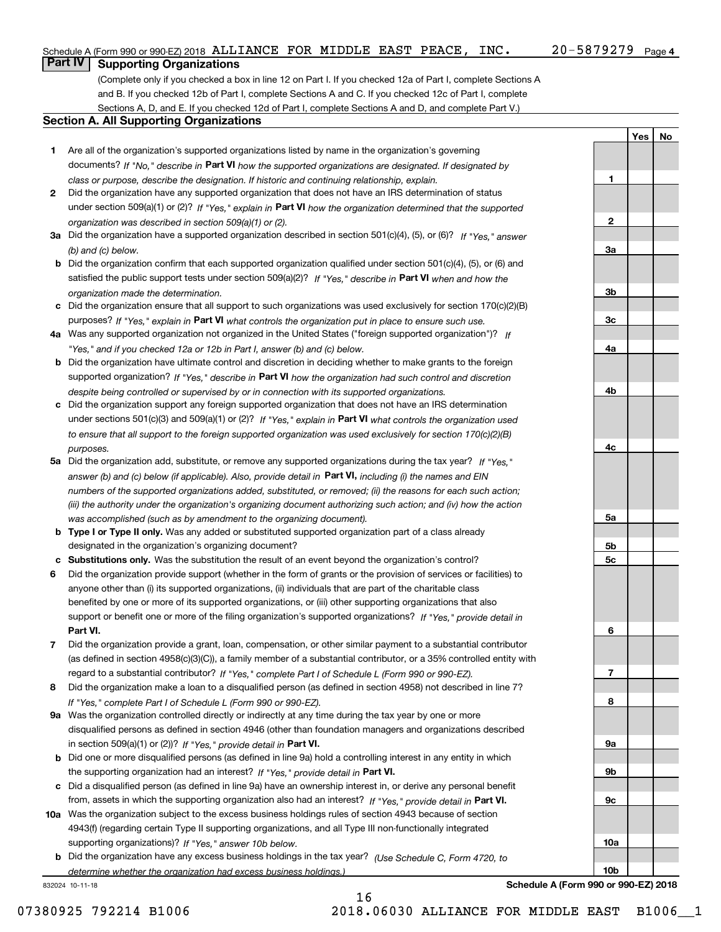**1**

**2**

**3a**

**3b**

**3c**

**4a**

**4b**

**4c**

**5a**

**5b5c**

**6**

**7**

**8**

**YesNo**

### **Part IV Supporting Organizations**

(Complete only if you checked a box in line 12 on Part I. If you checked 12a of Part I, complete Sections A and B. If you checked 12b of Part I, complete Sections A and C. If you checked 12c of Part I, complete Sections A, D, and E. If you checked 12d of Part I, complete Sections A and D, and complete Part V.)

### **Section A. All Supporting Organizations**

- **1** Are all of the organization's supported organizations listed by name in the organization's governing documents? If "No," describe in **Part VI** how the supported organizations are designated. If designated by *class or purpose, describe the designation. If historic and continuing relationship, explain.*
- **2** Did the organization have any supported organization that does not have an IRS determination of status under section 509(a)(1) or (2)? If "Yes," explain in Part VI how the organization determined that the supported *organization was described in section 509(a)(1) or (2).*
- **3a** Did the organization have a supported organization described in section 501(c)(4), (5), or (6)? If "Yes," answer *(b) and (c) below.*
- **b** Did the organization confirm that each supported organization qualified under section 501(c)(4), (5), or (6) and satisfied the public support tests under section 509(a)(2)? If "Yes," describe in **Part VI** when and how the *organization made the determination.*
- **c**Did the organization ensure that all support to such organizations was used exclusively for section 170(c)(2)(B) purposes? If "Yes," explain in **Part VI** what controls the organization put in place to ensure such use.
- **4a***If* Was any supported organization not organized in the United States ("foreign supported organization")? *"Yes," and if you checked 12a or 12b in Part I, answer (b) and (c) below.*
- **b** Did the organization have ultimate control and discretion in deciding whether to make grants to the foreign supported organization? If "Yes," describe in **Part VI** how the organization had such control and discretion *despite being controlled or supervised by or in connection with its supported organizations.*
- **c** Did the organization support any foreign supported organization that does not have an IRS determination under sections 501(c)(3) and 509(a)(1) or (2)? If "Yes," explain in **Part VI** what controls the organization used *to ensure that all support to the foreign supported organization was used exclusively for section 170(c)(2)(B) purposes.*
- **5a** Did the organization add, substitute, or remove any supported organizations during the tax year? If "Yes," answer (b) and (c) below (if applicable). Also, provide detail in **Part VI,** including (i) the names and EIN *numbers of the supported organizations added, substituted, or removed; (ii) the reasons for each such action; (iii) the authority under the organization's organizing document authorizing such action; and (iv) how the action was accomplished (such as by amendment to the organizing document).*
- **b** Type I or Type II only. Was any added or substituted supported organization part of a class already designated in the organization's organizing document?
- **cSubstitutions only.**  Was the substitution the result of an event beyond the organization's control?
- **6** Did the organization provide support (whether in the form of grants or the provision of services or facilities) to **Part VI.** *If "Yes," provide detail in* support or benefit one or more of the filing organization's supported organizations? anyone other than (i) its supported organizations, (ii) individuals that are part of the charitable class benefited by one or more of its supported organizations, or (iii) other supporting organizations that also
- **7**Did the organization provide a grant, loan, compensation, or other similar payment to a substantial contributor *If "Yes," complete Part I of Schedule L (Form 990 or 990-EZ).* regard to a substantial contributor? (as defined in section 4958(c)(3)(C)), a family member of a substantial contributor, or a 35% controlled entity with
- **8** Did the organization make a loan to a disqualified person (as defined in section 4958) not described in line 7? *If "Yes," complete Part I of Schedule L (Form 990 or 990-EZ).*
- **9a** Was the organization controlled directly or indirectly at any time during the tax year by one or more in section 509(a)(1) or (2))? If "Yes," *provide detail in* <code>Part VI.</code> disqualified persons as defined in section 4946 (other than foundation managers and organizations described
- **b** Did one or more disqualified persons (as defined in line 9a) hold a controlling interest in any entity in which the supporting organization had an interest? If "Yes," provide detail in P**art VI**.
- **c**Did a disqualified person (as defined in line 9a) have an ownership interest in, or derive any personal benefit from, assets in which the supporting organization also had an interest? If "Yes," provide detail in P**art VI.**
- **10a** Was the organization subject to the excess business holdings rules of section 4943 because of section supporting organizations)? If "Yes," answer 10b below. 4943(f) (regarding certain Type II supporting organizations, and all Type III non-functionally integrated
- **b** Did the organization have any excess business holdings in the tax year? (Use Schedule C, Form 4720, to *determine whether the organization had excess business holdings.)*

832024 10-11-18



07380925 792214 B1006 2018.06030 ALLIANCE FOR MIDDLE EAST B1006 1

16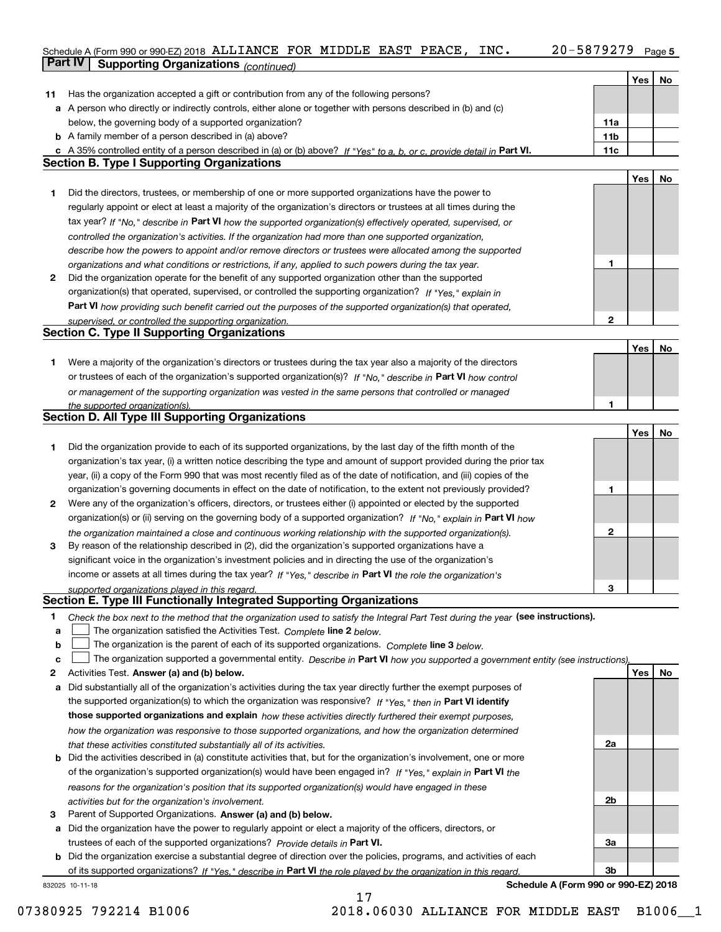### Schedule A (Form 990 or 990-EZ) 2018 ALLIANCE FOR MIDDLE EAST PEACE, INC. 20-5879279 Page 5 ALLIANCE FOR MIDDLE EAST PEACE, INC. 20-5879279

|    | Part IV<br><b>Supporting Organizations (continued)</b>                                                                            |                 |     |    |
|----|-----------------------------------------------------------------------------------------------------------------------------------|-----------------|-----|----|
|    |                                                                                                                                   |                 | Yes | No |
| 11 | Has the organization accepted a gift or contribution from any of the following persons?                                           |                 |     |    |
|    | a A person who directly or indirectly controls, either alone or together with persons described in (b) and (c)                    |                 |     |    |
|    | below, the governing body of a supported organization?                                                                            | 11a             |     |    |
|    | <b>b</b> A family member of a person described in (a) above?                                                                      | 11 <sub>b</sub> |     |    |
|    | c A 35% controlled entity of a person described in (a) or (b) above? If "Yes" to a, b, or c, provide detail in Part VI.           | 11c             |     |    |
|    | <b>Section B. Type I Supporting Organizations</b>                                                                                 |                 |     |    |
|    |                                                                                                                                   |                 | Yes | No |
| 1  | Did the directors, trustees, or membership of one or more supported organizations have the power to                               |                 |     |    |
|    | regularly appoint or elect at least a majority of the organization's directors or trustees at all times during the                |                 |     |    |
|    | tax year? If "No," describe in Part VI how the supported organization(s) effectively operated, supervised, or                     |                 |     |    |
|    | controlled the organization's activities. If the organization had more than one supported organization,                           |                 |     |    |
|    | describe how the powers to appoint and/or remove directors or trustees were allocated among the supported                         |                 |     |    |
|    | organizations and what conditions or restrictions, if any, applied to such powers during the tax year.                            | 1               |     |    |
| 2  | Did the organization operate for the benefit of any supported organization other than the supported                               |                 |     |    |
|    | organization(s) that operated, supervised, or controlled the supporting organization? If "Yes," explain in                        |                 |     |    |
|    | Part VI how providing such benefit carried out the purposes of the supported organization(s) that operated,                       |                 |     |    |
|    | supervised, or controlled the supporting organization.                                                                            | 2               |     |    |
|    | <b>Section C. Type II Supporting Organizations</b>                                                                                |                 |     |    |
|    |                                                                                                                                   |                 | Yes | No |
| 1  | Were a majority of the organization's directors or trustees during the tax year also a majority of the directors                  |                 |     |    |
|    | or trustees of each of the organization's supported organization(s)? If "No," describe in Part VI how control                     |                 |     |    |
|    | or management of the supporting organization was vested in the same persons that controlled or managed                            |                 |     |    |
|    | the supported organization(s).                                                                                                    | 1               |     |    |
|    | <b>Section D. All Type III Supporting Organizations</b>                                                                           |                 |     |    |
|    |                                                                                                                                   |                 | Yes | No |
| 1  | Did the organization provide to each of its supported organizations, by the last day of the fifth month of the                    |                 |     |    |
|    | organization's tax year, (i) a written notice describing the type and amount of support provided during the prior tax             |                 |     |    |
|    | year, (ii) a copy of the Form 990 that was most recently filed as of the date of notification, and (iii) copies of the            |                 |     |    |
|    | organization's governing documents in effect on the date of notification, to the extent not previously provided?                  | 1               |     |    |
| 2  | Were any of the organization's officers, directors, or trustees either (i) appointed or elected by the supported                  |                 |     |    |
|    | organization(s) or (ii) serving on the governing body of a supported organization? If "No," explain in Part VI how                |                 |     |    |
|    | the organization maintained a close and continuous working relationship with the supported organization(s).                       | 2               |     |    |
| з  | By reason of the relationship described in (2), did the organization's supported organizations have a                             |                 |     |    |
|    | significant voice in the organization's investment policies and in directing the use of the organization's                        |                 |     |    |
|    | income or assets at all times during the tax year? If "Yes," describe in Part VI the role the organization's                      |                 |     |    |
|    | supported organizations played in this regard.                                                                                    | 3               |     |    |
|    | Section E. Type III Functionally Integrated Supporting Organizations                                                              |                 |     |    |
| 1  | Check the box next to the method that the organization used to satisfy the Integral Part Test during the year (see instructions). |                 |     |    |
| a  | The organization satisfied the Activities Test. Complete line 2 below.                                                            |                 |     |    |
| b  | The organization is the parent of each of its supported organizations. Complete line 3 below.                                     |                 |     |    |
| C  | The organization supported a governmental entity. Describe in Part VI how you supported a government entity (see instructions),   |                 |     |    |
| 2  | Activities Test. Answer (a) and (b) below.                                                                                        |                 | Yes | No |
| a  | Did substantially all of the organization's activities during the tax year directly further the exempt purposes of                |                 |     |    |
|    | the supported organization(s) to which the organization was responsive? If "Yes," then in Part VI identify                        |                 |     |    |
|    | those supported organizations and explain how these activities directly furthered their exempt purposes,                          |                 |     |    |
|    | how the organization was responsive to those supported organizations, and how the organization determined                         |                 |     |    |
|    | that these activities constituted substantially all of its activities.                                                            | 2a              |     |    |
|    | <b>b</b> Did the activities described in (a) constitute activities that, but for the organization's involvement, one or more      |                 |     |    |
|    | of the organization's supported organization(s) would have been engaged in? If "Yes," explain in Part VI the                      |                 |     |    |
|    | reasons for the organization's position that its supported organization(s) would have engaged in these                            |                 |     |    |
|    | activities but for the organization's involvement.                                                                                | 2b              |     |    |
| з  | Parent of Supported Organizations. Answer (a) and (b) below.                                                                      |                 |     |    |
| а  | Did the organization have the power to regularly appoint or elect a majority of the officers, directors, or                       |                 |     |    |
|    | trustees of each of the supported organizations? Provide details in Part VI.                                                      | За              |     |    |
| b  | Did the organization exercise a substantial degree of direction over the policies, programs, and activities of each               |                 |     |    |
|    | of its supported organizations? If "Yes," describe in Part VI the role played by the organization in this regard                  | 3b              |     |    |
|    | Schedule A (Form 990 or 990-EZ) 2018<br>832025 10-11-18                                                                           |                 |     |    |

17

07380925 792214 B1006 2018.06030 ALLIANCE FOR MIDDLE EAST B1006 1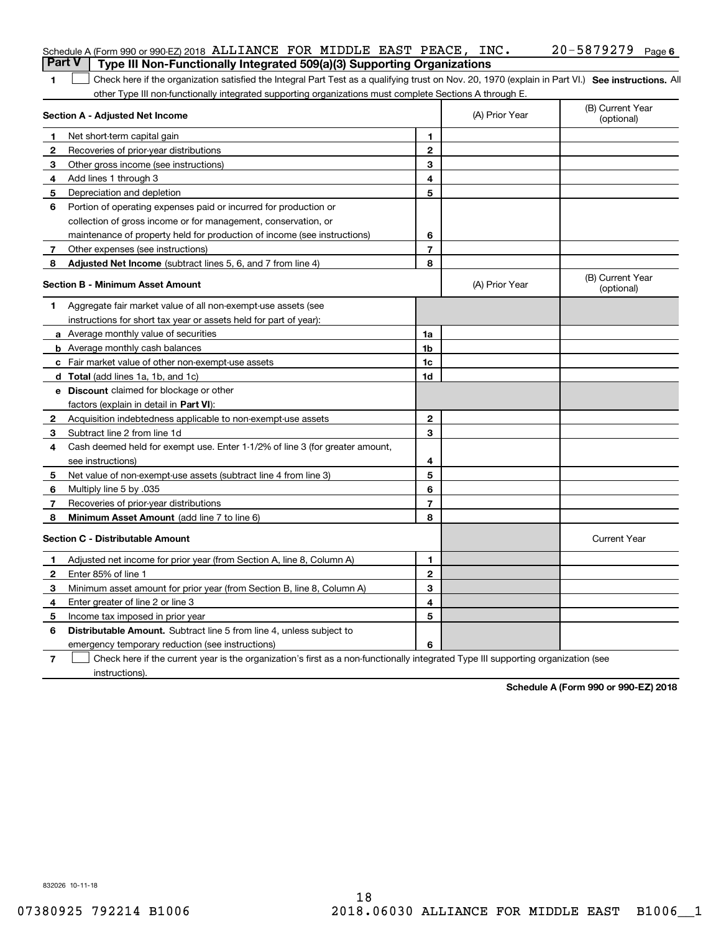| <b>Part V</b> | Schedule A (Form 990 or 990-EZ) 2018 ALLIANCE FOR MIDDLE EAST PEACE, INC.                                                                                                                                                                                     |                |                | $20 - 5879279$ Page 6          |
|---------------|---------------------------------------------------------------------------------------------------------------------------------------------------------------------------------------------------------------------------------------------------------------|----------------|----------------|--------------------------------|
| 1             | Type III Non-Functionally Integrated 509(a)(3) Supporting Organizations                                                                                                                                                                                       |                |                |                                |
|               | Check here if the organization satisfied the Integral Part Test as a qualifying trust on Nov. 20, 1970 (explain in Part VI.) See instructions. All<br>other Type III non-functionally integrated supporting organizations must complete Sections A through E. |                |                |                                |
|               | Section A - Adjusted Net Income                                                                                                                                                                                                                               |                | (A) Prior Year | (B) Current Year<br>(optional) |
| 1             | Net short-term capital gain                                                                                                                                                                                                                                   | 1.             |                |                                |
| 2             | Recoveries of prior-year distributions                                                                                                                                                                                                                        | $\mathbf{2}$   |                |                                |
| З             | Other gross income (see instructions)                                                                                                                                                                                                                         | 3              |                |                                |
| 4             | Add lines 1 through 3                                                                                                                                                                                                                                         | 4              |                |                                |
| 5             | Depreciation and depletion                                                                                                                                                                                                                                    | 5              |                |                                |
| 6             | Portion of operating expenses paid or incurred for production or                                                                                                                                                                                              |                |                |                                |
|               | collection of gross income or for management, conservation, or                                                                                                                                                                                                |                |                |                                |
|               | maintenance of property held for production of income (see instructions)                                                                                                                                                                                      | 6              |                |                                |
| 7             | Other expenses (see instructions)                                                                                                                                                                                                                             | $\overline{7}$ |                |                                |
| 8             | Adjusted Net Income (subtract lines 5, 6, and 7 from line 4)                                                                                                                                                                                                  | 8              |                |                                |
|               | <b>Section B - Minimum Asset Amount</b>                                                                                                                                                                                                                       |                | (A) Prior Year | (B) Current Year<br>(optional) |
| 1             | Aggregate fair market value of all non-exempt-use assets (see                                                                                                                                                                                                 |                |                |                                |
|               | instructions for short tax year or assets held for part of year):                                                                                                                                                                                             |                |                |                                |
|               | a Average monthly value of securities                                                                                                                                                                                                                         | 1a             |                |                                |
|               | <b>b</b> Average monthly cash balances                                                                                                                                                                                                                        | 1b             |                |                                |
|               | c Fair market value of other non-exempt-use assets                                                                                                                                                                                                            | 1c             |                |                                |
|               | d Total (add lines 1a, 1b, and 1c)                                                                                                                                                                                                                            | 1d             |                |                                |
|               | <b>e</b> Discount claimed for blockage or other                                                                                                                                                                                                               |                |                |                                |
|               | factors (explain in detail in Part VI):                                                                                                                                                                                                                       |                |                |                                |
| 2             | Acquisition indebtedness applicable to non-exempt-use assets                                                                                                                                                                                                  | $\mathbf{2}$   |                |                                |
| З             | Subtract line 2 from line 1d                                                                                                                                                                                                                                  | 3              |                |                                |
| 4             | Cash deemed held for exempt use. Enter 1-1/2% of line 3 (for greater amount,                                                                                                                                                                                  |                |                |                                |
|               | see instructions)                                                                                                                                                                                                                                             | 4              |                |                                |
| 5             | Net value of non-exempt-use assets (subtract line 4 from line 3)                                                                                                                                                                                              | 5              |                |                                |
| 6             | Multiply line 5 by .035                                                                                                                                                                                                                                       | 6              |                |                                |
| 7             | Recoveries of prior-year distributions                                                                                                                                                                                                                        | $\overline{7}$ |                |                                |
| 8             | Minimum Asset Amount (add line 7 to line 6)                                                                                                                                                                                                                   | 8              |                |                                |
|               | <b>Section C - Distributable Amount</b>                                                                                                                                                                                                                       |                |                | <b>Current Year</b>            |
|               | Adjusted net income for prior year (from Section A, line 8, Column A)                                                                                                                                                                                         | 1              |                |                                |
|               | Enter 85% of line 1                                                                                                                                                                                                                                           | 2              |                |                                |
| 3             | Minimum asset amount for prior year (from Section B, line 8, Column A)                                                                                                                                                                                        | 3              |                |                                |
| 4             | Enter greater of line 2 or line 3                                                                                                                                                                                                                             | 4              |                |                                |
| 5             | Income tax imposed in prior year                                                                                                                                                                                                                              | 5              |                |                                |
| 6             | <b>Distributable Amount.</b> Subtract line 5 from line 4, unless subject to                                                                                                                                                                                   |                |                |                                |
|               | emergency temporary reduction (see instructions)                                                                                                                                                                                                              | 6              |                |                                |
| 7             | Check here if the current year is the organization's first as a non-functionally integrated Type III supporting organization (see                                                                                                                             |                |                |                                |

instructions).

**Schedule A (Form 990 or 990-EZ) 2018**

832026 10-11-18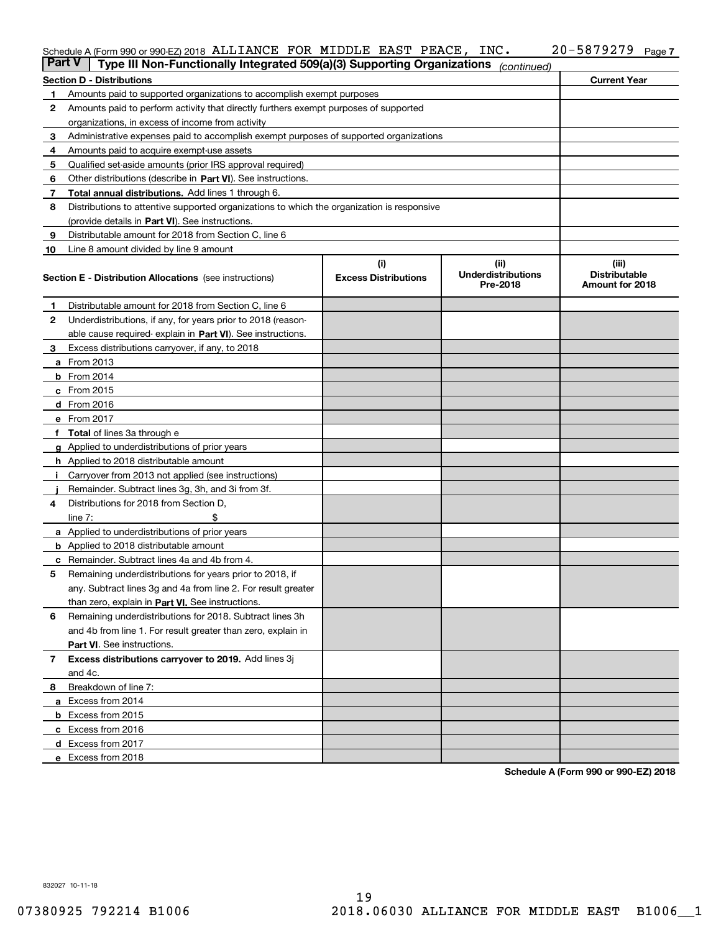### Schedule A (Form 990 or 990-EZ) 2018 Page ALLIANCE FOR MIDDLE EAST PEACE, INC. 20-5879279

| <b>Part V</b> | Type III Non-Functionally Integrated 509(a)(3) Supporting Organizations                    |                             | (continued)                           |                                         |
|---------------|--------------------------------------------------------------------------------------------|-----------------------------|---------------------------------------|-----------------------------------------|
|               | <b>Section D - Distributions</b>                                                           |                             |                                       | <b>Current Year</b>                     |
| 1             | Amounts paid to supported organizations to accomplish exempt purposes                      |                             |                                       |                                         |
| 2             | Amounts paid to perform activity that directly furthers exempt purposes of supported       |                             |                                       |                                         |
|               | organizations, in excess of income from activity                                           |                             |                                       |                                         |
| 3             | Administrative expenses paid to accomplish exempt purposes of supported organizations      |                             |                                       |                                         |
| 4             | Amounts paid to acquire exempt-use assets                                                  |                             |                                       |                                         |
| 5             | Qualified set-aside amounts (prior IRS approval required)                                  |                             |                                       |                                         |
| 6             | Other distributions (describe in Part VI). See instructions.                               |                             |                                       |                                         |
| 7             | Total annual distributions. Add lines 1 through 6.                                         |                             |                                       |                                         |
| 8             | Distributions to attentive supported organizations to which the organization is responsive |                             |                                       |                                         |
|               | (provide details in Part VI). See instructions.                                            |                             |                                       |                                         |
| 9             | Distributable amount for 2018 from Section C, line 6                                       |                             |                                       |                                         |
| 10            | Line 8 amount divided by line 9 amount                                                     |                             |                                       |                                         |
|               |                                                                                            | (i)                         | (iii)                                 | (iii)                                   |
|               | <b>Section E - Distribution Allocations</b> (see instructions)                             | <b>Excess Distributions</b> | <b>Underdistributions</b><br>Pre-2018 | <b>Distributable</b><br>Amount for 2018 |
| 1.            | Distributable amount for 2018 from Section C, line 6                                       |                             |                                       |                                         |
| 2             | Underdistributions, if any, for years prior to 2018 (reason-                               |                             |                                       |                                         |
|               | able cause required-explain in Part VI). See instructions.                                 |                             |                                       |                                         |
| З             | Excess distributions carryover, if any, to 2018                                            |                             |                                       |                                         |
|               | <b>a</b> From 2013                                                                         |                             |                                       |                                         |
|               | <b>b</b> From $2014$                                                                       |                             |                                       |                                         |
|               | $c$ From 2015                                                                              |                             |                                       |                                         |
|               | $d$ From 2016                                                                              |                             |                                       |                                         |
|               | e From 2017                                                                                |                             |                                       |                                         |
|               | <b>Total</b> of lines 3a through e                                                         |                             |                                       |                                         |
|               | <b>g</b> Applied to underdistributions of prior years                                      |                             |                                       |                                         |
|               | <b>h</b> Applied to 2018 distributable amount                                              |                             |                                       |                                         |
|               | Carryover from 2013 not applied (see instructions)                                         |                             |                                       |                                         |
|               | Remainder. Subtract lines 3g, 3h, and 3i from 3f.                                          |                             |                                       |                                         |
| 4             | Distributions for 2018 from Section D,                                                     |                             |                                       |                                         |
|               | line $7:$                                                                                  |                             |                                       |                                         |
|               | <b>a</b> Applied to underdistributions of prior years                                      |                             |                                       |                                         |
|               | <b>b</b> Applied to 2018 distributable amount                                              |                             |                                       |                                         |
|               | c Remainder. Subtract lines 4a and 4b from 4.                                              |                             |                                       |                                         |
| 5             | Remaining underdistributions for years prior to 2018, if                                   |                             |                                       |                                         |
|               | any. Subtract lines 3g and 4a from line 2. For result greater                              |                             |                                       |                                         |
|               | than zero, explain in Part VI. See instructions.                                           |                             |                                       |                                         |
| 6             | Remaining underdistributions for 2018. Subtract lines 3h                                   |                             |                                       |                                         |
|               | and 4b from line 1. For result greater than zero, explain in                               |                             |                                       |                                         |
|               | Part VI. See instructions.                                                                 |                             |                                       |                                         |
|               |                                                                                            |                             |                                       |                                         |
| 7             | Excess distributions carryover to 2019. Add lines 3j                                       |                             |                                       |                                         |
|               | and 4c.                                                                                    |                             |                                       |                                         |
| 8             | Breakdown of line 7:                                                                       |                             |                                       |                                         |
|               | a Excess from 2014                                                                         |                             |                                       |                                         |
|               | <b>b</b> Excess from 2015                                                                  |                             |                                       |                                         |
|               | c Excess from 2016                                                                         |                             |                                       |                                         |
|               | d Excess from 2017                                                                         |                             |                                       |                                         |
|               | e Excess from 2018                                                                         |                             |                                       |                                         |

**Schedule A (Form 990 or 990-EZ) 2018**

832027 10-11-18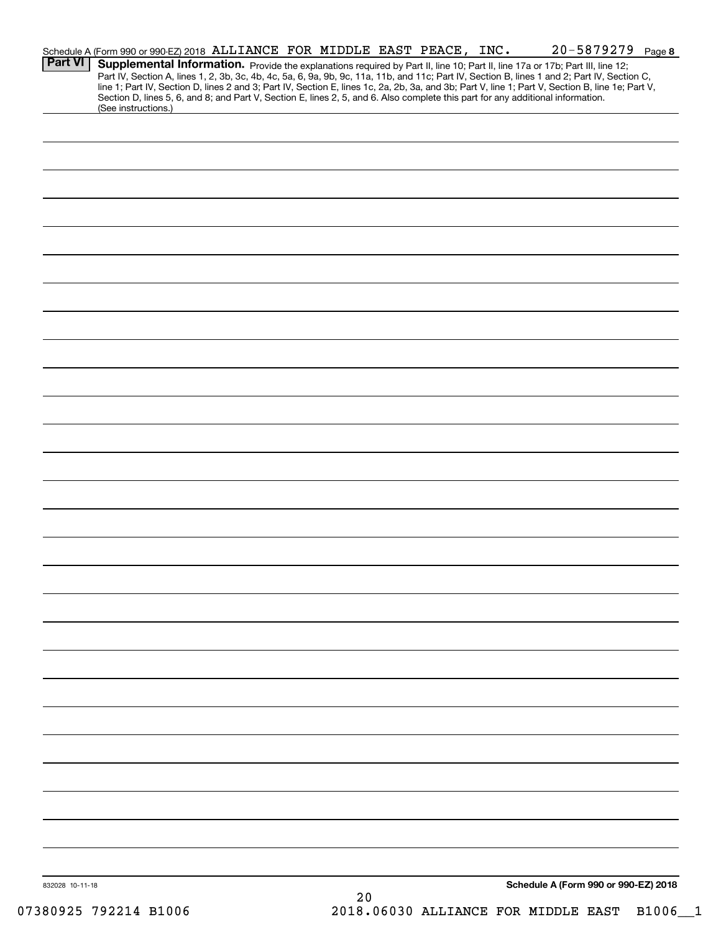|                 | Schedule A (Form 990 or 990-EZ) 2018 ALLIANCE FOR MIDDLE EAST PEACE, INC. |  |  |    |  | $20 - 5879279$ Page 8                                                                                                                                                                                                                                                                                                                                                                                                             |  |
|-----------------|---------------------------------------------------------------------------|--|--|----|--|-----------------------------------------------------------------------------------------------------------------------------------------------------------------------------------------------------------------------------------------------------------------------------------------------------------------------------------------------------------------------------------------------------------------------------------|--|
| <b>Part VI</b>  |                                                                           |  |  |    |  | Supplemental Information. Provide the explanations required by Part II, line 10; Part II, line 17a or 17b; Part III, line 12;<br>Part IV, Section A, lines 1, 2, 3b, 3c, 4b, 4c, 5a, 6, 9a, 9b, 9c, 11a, 11b, and 11c; Part IV, Section B, lines 1 and 2; Part IV, Section C,<br>line 1; Part IV, Section D, lines 2 and 3; Part IV, Section E, lines 1c, 2a, 2b, 3a, and 3b; Part V, line 1; Part V, Section B, line 1e; Part V, |  |
|                 | (See instructions.)                                                       |  |  |    |  | Section D, lines 5, 6, and 8; and Part V, Section E, lines 2, 5, and 6. Also complete this part for any additional information.                                                                                                                                                                                                                                                                                                   |  |
|                 |                                                                           |  |  |    |  |                                                                                                                                                                                                                                                                                                                                                                                                                                   |  |
|                 |                                                                           |  |  |    |  |                                                                                                                                                                                                                                                                                                                                                                                                                                   |  |
|                 |                                                                           |  |  |    |  |                                                                                                                                                                                                                                                                                                                                                                                                                                   |  |
|                 |                                                                           |  |  |    |  |                                                                                                                                                                                                                                                                                                                                                                                                                                   |  |
|                 |                                                                           |  |  |    |  |                                                                                                                                                                                                                                                                                                                                                                                                                                   |  |
|                 |                                                                           |  |  |    |  |                                                                                                                                                                                                                                                                                                                                                                                                                                   |  |
|                 |                                                                           |  |  |    |  |                                                                                                                                                                                                                                                                                                                                                                                                                                   |  |
|                 |                                                                           |  |  |    |  |                                                                                                                                                                                                                                                                                                                                                                                                                                   |  |
|                 |                                                                           |  |  |    |  |                                                                                                                                                                                                                                                                                                                                                                                                                                   |  |
|                 |                                                                           |  |  |    |  |                                                                                                                                                                                                                                                                                                                                                                                                                                   |  |
|                 |                                                                           |  |  |    |  |                                                                                                                                                                                                                                                                                                                                                                                                                                   |  |
|                 |                                                                           |  |  |    |  |                                                                                                                                                                                                                                                                                                                                                                                                                                   |  |
|                 |                                                                           |  |  |    |  |                                                                                                                                                                                                                                                                                                                                                                                                                                   |  |
|                 |                                                                           |  |  |    |  |                                                                                                                                                                                                                                                                                                                                                                                                                                   |  |
|                 |                                                                           |  |  |    |  |                                                                                                                                                                                                                                                                                                                                                                                                                                   |  |
|                 |                                                                           |  |  |    |  |                                                                                                                                                                                                                                                                                                                                                                                                                                   |  |
|                 |                                                                           |  |  |    |  |                                                                                                                                                                                                                                                                                                                                                                                                                                   |  |
|                 |                                                                           |  |  |    |  |                                                                                                                                                                                                                                                                                                                                                                                                                                   |  |
|                 |                                                                           |  |  |    |  |                                                                                                                                                                                                                                                                                                                                                                                                                                   |  |
|                 |                                                                           |  |  |    |  |                                                                                                                                                                                                                                                                                                                                                                                                                                   |  |
|                 |                                                                           |  |  |    |  |                                                                                                                                                                                                                                                                                                                                                                                                                                   |  |
|                 |                                                                           |  |  |    |  |                                                                                                                                                                                                                                                                                                                                                                                                                                   |  |
|                 |                                                                           |  |  |    |  |                                                                                                                                                                                                                                                                                                                                                                                                                                   |  |
|                 |                                                                           |  |  |    |  |                                                                                                                                                                                                                                                                                                                                                                                                                                   |  |
|                 |                                                                           |  |  |    |  |                                                                                                                                                                                                                                                                                                                                                                                                                                   |  |
|                 |                                                                           |  |  |    |  |                                                                                                                                                                                                                                                                                                                                                                                                                                   |  |
|                 |                                                                           |  |  |    |  |                                                                                                                                                                                                                                                                                                                                                                                                                                   |  |
|                 |                                                                           |  |  |    |  |                                                                                                                                                                                                                                                                                                                                                                                                                                   |  |
|                 |                                                                           |  |  |    |  |                                                                                                                                                                                                                                                                                                                                                                                                                                   |  |
|                 |                                                                           |  |  |    |  |                                                                                                                                                                                                                                                                                                                                                                                                                                   |  |
|                 |                                                                           |  |  |    |  |                                                                                                                                                                                                                                                                                                                                                                                                                                   |  |
|                 |                                                                           |  |  |    |  |                                                                                                                                                                                                                                                                                                                                                                                                                                   |  |
|                 |                                                                           |  |  |    |  |                                                                                                                                                                                                                                                                                                                                                                                                                                   |  |
|                 |                                                                           |  |  |    |  |                                                                                                                                                                                                                                                                                                                                                                                                                                   |  |
|                 |                                                                           |  |  |    |  |                                                                                                                                                                                                                                                                                                                                                                                                                                   |  |
| 832028 10-11-18 |                                                                           |  |  | 20 |  | Schedule A (Form 990 or 990-EZ) 2018                                                                                                                                                                                                                                                                                                                                                                                              |  |

07380925 792214 B1006 2018.06030 ALLIANCE FOR MIDDLE EAST B1006\_1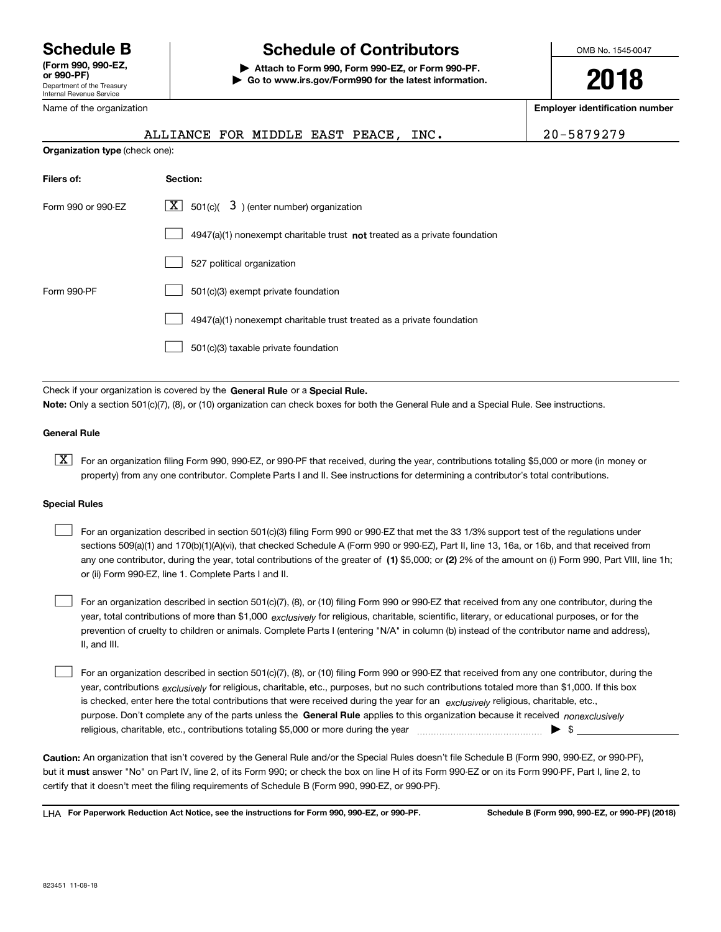Department of the Treasury Internal Revenue Service **(Form 990, 990-EZ, or 990-PF)** Name of the organization

# **Schedule B Schedule of Contributors**

**| Attach to Form 990, Form 990-EZ, or Form 990-PF. | Go to www.irs.gov/Form990 for the latest information.** OMB No. 1545-0047

**2018**

**Employer identification number**

|                                | ALLIANCE FOR MIDDLE EAST PEACE, INC.                                               | 20-5879279 |
|--------------------------------|------------------------------------------------------------------------------------|------------|
| Organization type (check one): |                                                                                    |            |
| Filers of:                     | Section:                                                                           |            |
| Form 990 or 990-EZ             | ΧI<br>$501(c)$ $\overline{3}$ ) (enter number) organization                        |            |
|                                | $4947(a)(1)$ nonexempt charitable trust <b>not</b> treated as a private foundation |            |
|                                | 527 political organization                                                         |            |
| Form 990-PF                    | 501(c)(3) exempt private foundation                                                |            |
|                                | 4947(a)(1) nonexempt charitable trust treated as a private foundation              |            |

501(c)(3) taxable private foundation  $\mathcal{L}^{\text{max}}$ 

Check if your organization is covered by the **General Rule** or a **Special Rule. Note:**  Only a section 501(c)(7), (8), or (10) organization can check boxes for both the General Rule and a Special Rule. See instructions.

### **General Rule**

 $\boxed{\textbf{X}}$  For an organization filing Form 990, 990-EZ, or 990-PF that received, during the year, contributions totaling \$5,000 or more (in money or property) from any one contributor. Complete Parts I and II. See instructions for determining a contributor's total contributions.

### **Special Rules**

| For an organization described in section 501(c)(3) filing Form 990 or 990-EZ that met the 33 1/3% support test of the regulations under               |
|-------------------------------------------------------------------------------------------------------------------------------------------------------|
| sections 509(a)(1) and 170(b)(1)(A)(vi), that checked Schedule A (Form 990 or 990-EZ), Part II, line 13, 16a, or 16b, and that received from          |
| any one contributor, during the year, total contributions of the greater of (1) \$5,000; or (2) 2% of the amount on (i) Form 990, Part VIII, line 1h; |
| or (ii) Form 990-EZ, line 1. Complete Parts I and II.                                                                                                 |

year, total contributions of more than \$1,000 *exclusively* for religious, charitable, scientific, literary, or educational purposes, or for the For an organization described in section 501(c)(7), (8), or (10) filing Form 990 or 990-EZ that received from any one contributor, during the prevention of cruelty to children or animals. Complete Parts I (entering "N/A" in column (b) instead of the contributor name and address), II, and III.  $\mathcal{L}^{\text{max}}$ 

purpose. Don't complete any of the parts unless the **General Rule** applies to this organization because it received *nonexclusively* year, contributions <sub>exclusively</sub> for religious, charitable, etc., purposes, but no such contributions totaled more than \$1,000. If this box is checked, enter here the total contributions that were received during the year for an  $\;$ exclusively religious, charitable, etc., For an organization described in section 501(c)(7), (8), or (10) filing Form 990 or 990-EZ that received from any one contributor, during the religious, charitable, etc., contributions totaling \$5,000 or more during the year  $\Box$ — $\Box$  =  $\Box$  $\mathcal{L}^{\text{max}}$ 

**Caution:**  An organization that isn't covered by the General Rule and/or the Special Rules doesn't file Schedule B (Form 990, 990-EZ, or 990-PF),  **must** but it answer "No" on Part IV, line 2, of its Form 990; or check the box on line H of its Form 990-EZ or on its Form 990-PF, Part I, line 2, to certify that it doesn't meet the filing requirements of Schedule B (Form 990, 990-EZ, or 990-PF).

**For Paperwork Reduction Act Notice, see the instructions for Form 990, 990-EZ, or 990-PF. Schedule B (Form 990, 990-EZ, or 990-PF) (2018)** LHA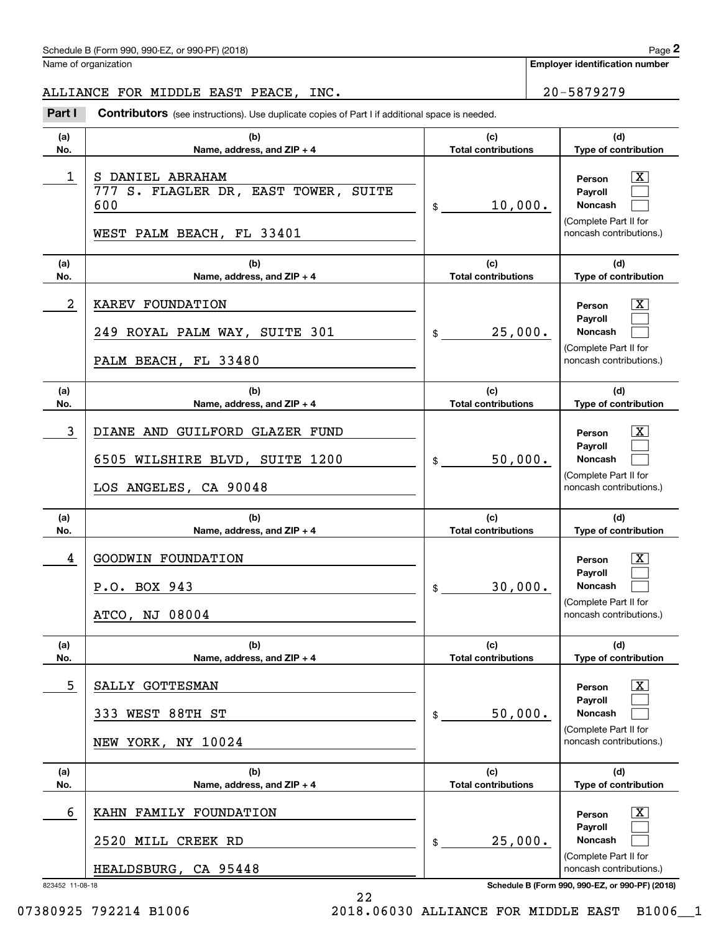### Schedule B (Form 990, 990-EZ, or 990-PF) (2018) Page 2

Name of organization

**Employer identification number**

### ALLIANCE FOR MIDDLE EAST PEACE, INC. 20-5879279

(schedule B (Form 990, 990-EZ, or 990-PF) (2018)<br> **20 Ame of organization**<br> **20 - 5879279**<br> **20 - 5879279**<br> **Part I Contributors** (see instructions). Use duplicate copies of Part I if additional space is needed.

| (a)                  | (b)                                                                                          | (c)                        | (d)                                                                                                                                                 |
|----------------------|----------------------------------------------------------------------------------------------|----------------------------|-----------------------------------------------------------------------------------------------------------------------------------------------------|
| No.                  | Name, address, and ZIP + 4                                                                   | <b>Total contributions</b> | <b>Type of contribution</b>                                                                                                                         |
| 1                    | S DANIEL ABRAHAM<br>777 S. FLAGLER DR, EAST TOWER, SUITE<br>600<br>WEST PALM BEACH, FL 33401 | 10,000.<br>$\frac{1}{2}$   | X<br>Person<br><b>Payroll</b><br><b>Noncash</b><br>(Complete Part II for<br>noncash contributions.)                                                 |
| (a)                  | (b)                                                                                          | (c)                        | (d)                                                                                                                                                 |
| No.                  | Name, address, and $ZIP + 4$                                                                 | <b>Total contributions</b> | Type of contribution                                                                                                                                |
| 2                    | KAREV FOUNDATION<br>249 ROYAL PALM WAY, SUITE 301<br>PALM BEACH, FL 33480                    | 25,000.<br>\$              | $\mathbf{X}$<br>Person<br>Payroll<br><b>Noncash</b><br>(Complete Part II for<br>noncash contributions.)                                             |
| (a)                  | (b)                                                                                          | (c)                        | (d)                                                                                                                                                 |
| No.                  | Name, address, and $ZIP + 4$                                                                 | <b>Total contributions</b> | Type of contribution                                                                                                                                |
| 3                    | DIANE AND GUILFORD GLAZER FUND<br>6505 WILSHIRE BLVD, SUITE 1200<br>LOS ANGELES, CA 90048    | 50,000.<br>$\frac{1}{2}$   | X<br>Person<br>Payroll<br><b>Noncash</b><br>(Complete Part II for<br>noncash contributions.)                                                        |
| (a)                  | (b)                                                                                          | (c)                        | (d)                                                                                                                                                 |
| No.                  | Name, address, and $ZIP + 4$                                                                 | <b>Total contributions</b> | Type of contribution                                                                                                                                |
| 4                    | GOODWIN FOUNDATION<br>P.O. BOX 943<br>ATCO, NJ 08004                                         | 30,000.<br>\$              | $\mathbf{X}$<br>Person<br>Payroll<br><b>Noncash</b><br>(Complete Part II for<br>noncash contributions.)                                             |
| (a)                  | (b)                                                                                          | (c)                        | (d)                                                                                                                                                 |
| No.                  | Name, address, and $ZIP + 4$                                                                 | <b>Total contributions</b> | Type of contribution                                                                                                                                |
| 5                    | SALLY GOTTESMAN<br>333 WEST 88TH ST<br>NEW YORK, NY 10024                                    | 50,000.<br>\$              | $\mathbf{X}$<br>Person<br>Payroll<br><b>Noncash</b><br>(Complete Part II for<br>noncash contributions.)                                             |
| (a)                  | (b)                                                                                          | (c)                        | (d)                                                                                                                                                 |
| No.                  | Name, address, and ZIP + 4                                                                   | <b>Total contributions</b> | Type of contribution                                                                                                                                |
| 6<br>823452 11-08-18 | KAHN FAMILY FOUNDATION<br>2520 MILL CREEK RD<br>HEALDSBURG, CA 95448                         | 25,000.<br>\$              | $\mathbf{X}$<br>Person<br>Payroll<br>Noncash<br>(Complete Part II for<br>noncash contributions.)<br>Schedule B (Form 990, 990-EZ, or 990-PF) (2018) |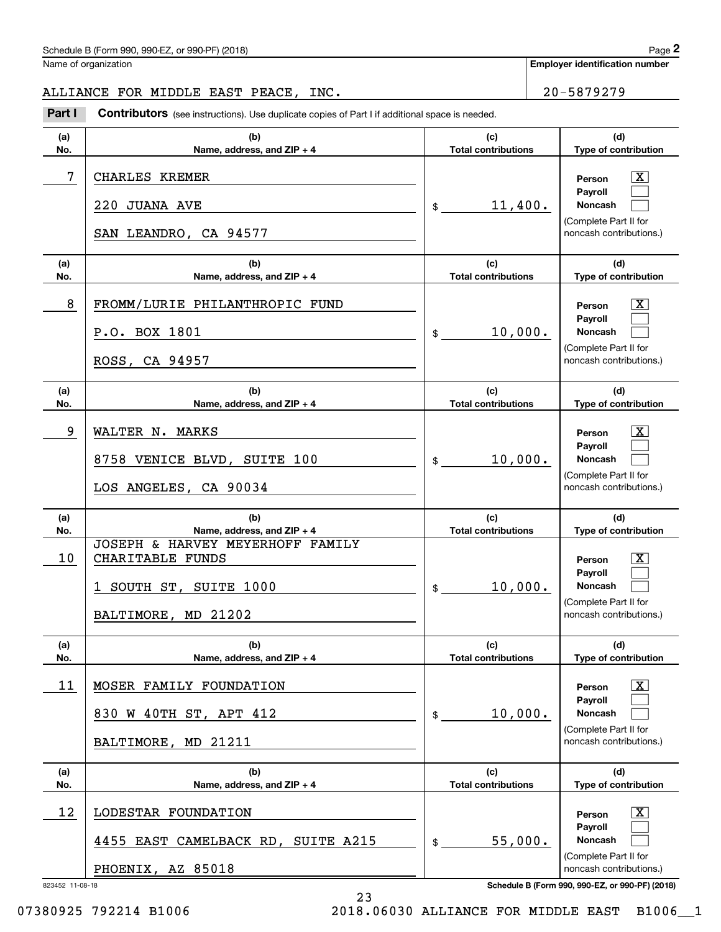### Schedule B (Form 990, 990-EZ, or 990-PF) (2018) **Page 2** Page 2

### ALLIANCE FOR MIDDLE EAST PEACE, INC. 20-5879279

Contributors (see instructions). Use duplicate copies of Part I if additional space is needed. Chedule B (Form 990, 990-EZ, or 990-PF) (2018)<br>Iame of organization<br>LILIANCE FOR MIDDLE EAST PEACE, INC.<br>**Part I** Contributors (see instructions). Use duplicate copies of Part I if additional space is needed.

| (a)<br>No. | (b)<br>Name, address, and ZIP + 4                                                                                                   | (c)<br><b>Total contributions</b>           | (d)<br>Type of contribution                                                                                                     |
|------------|-------------------------------------------------------------------------------------------------------------------------------------|---------------------------------------------|---------------------------------------------------------------------------------------------------------------------------------|
| 7          | CHARLES KREMER<br>220 JUANA AVE<br>SAN LEANDRO, CA 94577                                                                            | $\frac{11,400}{\cdot}$                      | X<br>Person<br>Payroll<br>Noncash<br>(Complete Part II for<br>noncash contributions.)                                           |
| (a)<br>No. | (b)<br>Name, address, and $ZIP + 4$                                                                                                 | (c)<br><b>Total contributions</b>           | (d)<br>Type of contribution                                                                                                     |
| 8          | FROMM/LURIE PHILANTHROPIC FUND<br>P.O. BOX 1801<br>ROSS, CA 94957                                                                   | 10,000.<br>$\frac{1}{2}$                    | X<br>Person<br>Payroll<br><b>Noncash</b><br>(Complete Part II for<br>noncash contributions.)                                    |
| (a)<br>No. | (b)<br>Name, address, and ZIP + 4                                                                                                   | (c)<br><b>Total contributions</b>           | (d)<br>Type of contribution                                                                                                     |
| 9          | WALTER N. MARKS<br>8758 VENICE BLVD, SUITE 100<br>LOS ANGELES, CA 90034                                                             | 10,000.<br>$\frac{1}{2}$                    | $\mathbf{X}$<br>Person<br>Payroll<br><b>Noncash</b><br>(Complete Part II for<br>noncash contributions.)                         |
|            |                                                                                                                                     |                                             |                                                                                                                                 |
| (a)        | (b)                                                                                                                                 | (c)                                         | (d)                                                                                                                             |
| No.<br>10  | Name, address, and ZIP + 4<br>JOSEPH & HARVEY MEYERHOFF FAMILY<br>CHARITABLE FUNDS<br>1 SOUTH ST, SUITE 1000<br>BALTIMORE, MD 21202 | <b>Total contributions</b><br>10,000.<br>\$ | Type of contribution<br>$\mathbf{X}$<br>Person<br>Payroll<br><b>Noncash</b><br>(Complete Part II for<br>noncash contributions.) |
| (a)<br>No. | (b)<br>Name, address, and ZIP + 4                                                                                                   | (c)<br><b>Total contributions</b>           | (d)<br><b>Type of contribution</b>                                                                                              |
| 11         | MOSER FAMILY FOUNDATION<br>830 W 40TH ST, APT 412<br>BALTIMORE, MD 21211                                                            | 10,000.<br>$\mathsf{\$}$                    | $\overline{\text{X}}$<br>Person<br>Payroll<br><b>Noncash</b><br>(Complete Part II for<br>noncash contributions.)                |
| (a)<br>No. | (b)<br>Name, address, and ZIP + 4                                                                                                   | (c)<br><b>Total contributions</b>           | (d)<br>Type of contribution                                                                                                     |
| 12         | LODESTAR FOUNDATION<br>4455 EAST CAMELBACK RD, SUITE A215<br>PHOENIX, AZ 85018                                                      | 55,000.<br>$\mathsf{\$}$                    | $\overline{\text{X}}$<br>Person<br>Payroll<br>Noncash<br>(Complete Part II for<br>noncash contributions.)                       |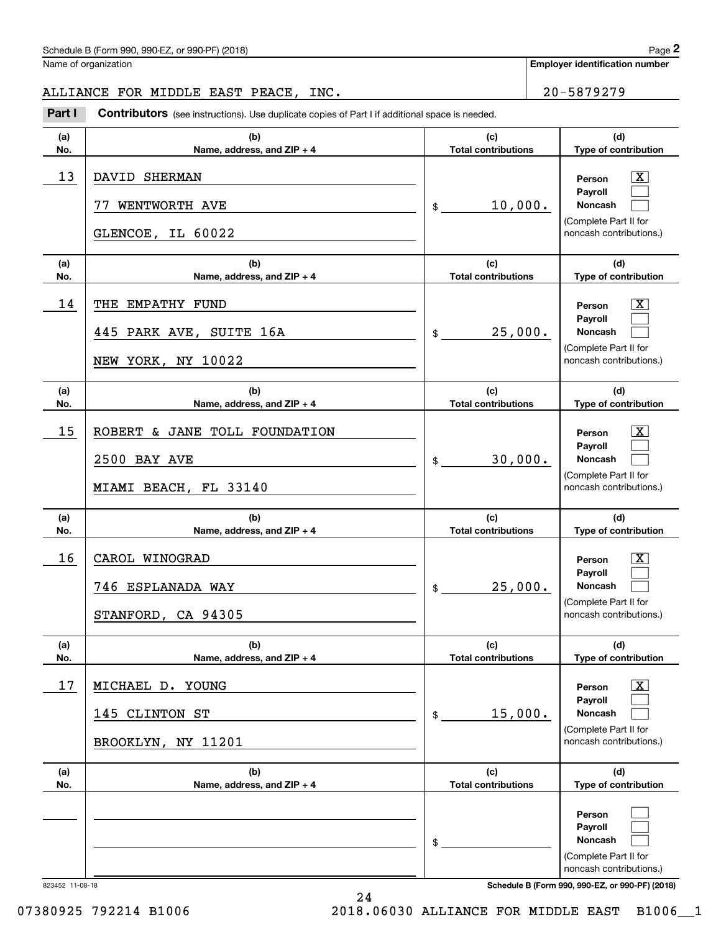### Schedule B (Form 990, 990-EZ, or 990-PF) (2018) Page 2

Name of organization

**Employer identification number**

### ALLIANCE FOR MIDDLE EAST PEACE, INC. 20-5879279

(schedule B (Form 990, 990-EZ, or 990-PF) (2018)<br> **20 Ame of organization**<br> **20 - 5879279**<br> **20 - 5879279**<br> **Part I Contributors** (see instructions). Use duplicate copies of Part I if additional space is needed.

| (a)             | (b)                                                                           | (c)                               | (d)                                                                                                                                 |
|-----------------|-------------------------------------------------------------------------------|-----------------------------------|-------------------------------------------------------------------------------------------------------------------------------------|
| No.             | Name, address, and ZIP + 4                                                    | <b>Total contributions</b>        | Type of contribution                                                                                                                |
| 13              | DAVID SHERMAN<br>WENTWORTH AVE<br>GLENCOE, IL 60022                           | 10,000.<br>$^{\circ}$             | $\overline{\text{X}}$<br>Person<br>Payroll<br>Noncash<br>(Complete Part II for<br>noncash contributions.)                           |
| (a)<br>No.      | (b)<br>Name, address, and ZIP + 4                                             | (c)<br><b>Total contributions</b> | (d)<br>Type of contribution                                                                                                         |
| 14              | THE EMPATHY FUND<br>445 PARK AVE,<br>SUITE 16A<br>NEW YORK, NY 10022          | 25,000.<br>$^{\circ}$             | $\overline{\text{X}}$<br>Person<br>Payroll<br>Noncash<br>(Complete Part II for<br>noncash contributions.)                           |
| (a)<br>No.      | (b)<br>Name, address, and ZIP + 4                                             | (c)<br><b>Total contributions</b> | (d)<br>Type of contribution                                                                                                         |
| 15              | ROBERT & JANE TOLL FOUNDATION<br><b>2500 BAY AVE</b><br>MIAMI BEACH, FL 33140 | 30,000.<br>$^{\circ}$             | $\overline{\texttt{X}}$<br>Person<br>Payroll<br>Noncash<br>(Complete Part II for<br>noncash contributions.)                         |
| (a)<br>No.      | (b)<br>Name, address, and ZIP + 4                                             | (c)<br><b>Total contributions</b> | (d)<br>Type of contribution                                                                                                         |
| 16              | CAROL WINOGRAD<br>746 ESPLANADA WAY<br>STANFORD, CA 94305                     | 25,000.<br>\$                     | $\overline{\texttt{X}}$<br>Person<br>Payroll<br>Noncash<br>(Complete Part II for<br>noncash contributions.)                         |
| (a)<br>No.      | (b)<br>Name, address, and ZIP + 4                                             | (c)<br><b>Total contributions</b> | (d)<br>Type of contribution                                                                                                         |
| 17              | MICHAEL D. YOUNG<br>145<br>CLINTON ST<br>BROOKLYN, NY 11201                   | 15,000.<br>\$                     | $\overline{\text{X}}$<br>Person<br>Payroll<br>Noncash<br>(Complete Part II for<br>noncash contributions.)                           |
| (a)<br>No.      | (b)<br>Name, address, and ZIP + 4                                             | (c)<br><b>Total contributions</b> | (d)<br>Type of contribution                                                                                                         |
| 823452 11-08-18 |                                                                               | \$                                | Person<br>Payroll<br>Noncash<br>(Complete Part II for<br>noncash contributions.)<br>Schedule B (Form 990, 990-EZ, or 990-PF) (2018) |

24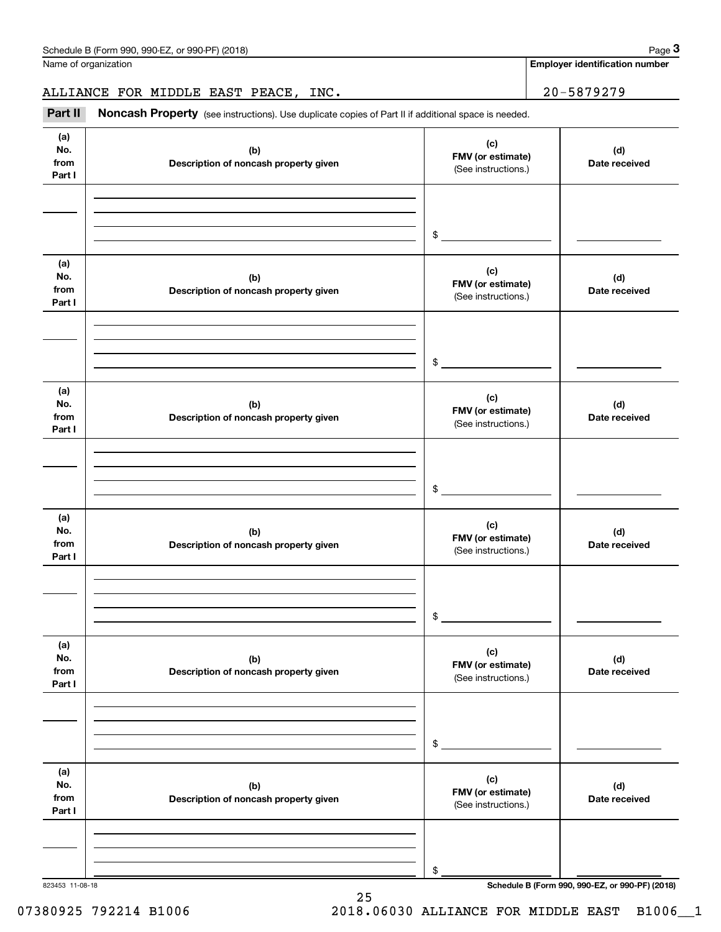Name of organization

**Employer identification number**

ALLIANCE FOR MIDDLE EAST PEACE, INC. 20-5879279

(see instructions). Use duplicate copies of Part II if additional space is needed.<br> **3Part II Noncash Property** (see instructions). Use duplicate copies of Part II if additional space is needed.

| (a)<br>No.<br>from<br>Part I | (b)<br>Description of noncash property given | (c)<br>FMV (or estimate)<br>(See instructions.) | (d)<br>Date received                            |
|------------------------------|----------------------------------------------|-------------------------------------------------|-------------------------------------------------|
|                              |                                              |                                                 |                                                 |
|                              |                                              | \$                                              |                                                 |
| (a)<br>No.<br>from<br>Part I | (b)<br>Description of noncash property given | (c)<br>FMV (or estimate)<br>(See instructions.) | (d)<br>Date received                            |
|                              |                                              |                                                 |                                                 |
|                              |                                              |                                                 |                                                 |
|                              |                                              | \$                                              |                                                 |
| (a)<br>No.<br>from           | (b)<br>Description of noncash property given | (c)<br>FMV (or estimate)<br>(See instructions.) | (d)<br>Date received                            |
| Part I                       |                                              |                                                 |                                                 |
|                              |                                              |                                                 |                                                 |
|                              |                                              | $$^{\circ}$                                     |                                                 |
|                              |                                              |                                                 |                                                 |
| (a)<br>No.<br>from<br>Part I | (b)<br>Description of noncash property given | (c)<br>FMV (or estimate)<br>(See instructions.) | (d)<br>Date received                            |
|                              |                                              |                                                 |                                                 |
|                              |                                              |                                                 |                                                 |
|                              |                                              | \$                                              |                                                 |
|                              |                                              |                                                 |                                                 |
| (a)<br>No.<br>from<br>Part I | (b)<br>Description of noncash property given | (c)<br>FMV (or estimate)<br>(See instructions.) | (d)<br>Date received                            |
|                              |                                              |                                                 |                                                 |
|                              |                                              |                                                 |                                                 |
|                              |                                              | \$                                              |                                                 |
|                              |                                              |                                                 |                                                 |
| (a)<br>No.                   | (b)                                          | (c)                                             | (d)                                             |
| from                         | Description of noncash property given        | FMV (or estimate)<br>(See instructions.)        | Date received                                   |
| Part I                       |                                              |                                                 |                                                 |
|                              |                                              |                                                 |                                                 |
|                              |                                              |                                                 |                                                 |
| 823453 11-08-18              |                                              | \$                                              | Schedule B (Form 990, 990-EZ, or 990-PF) (2018) |

25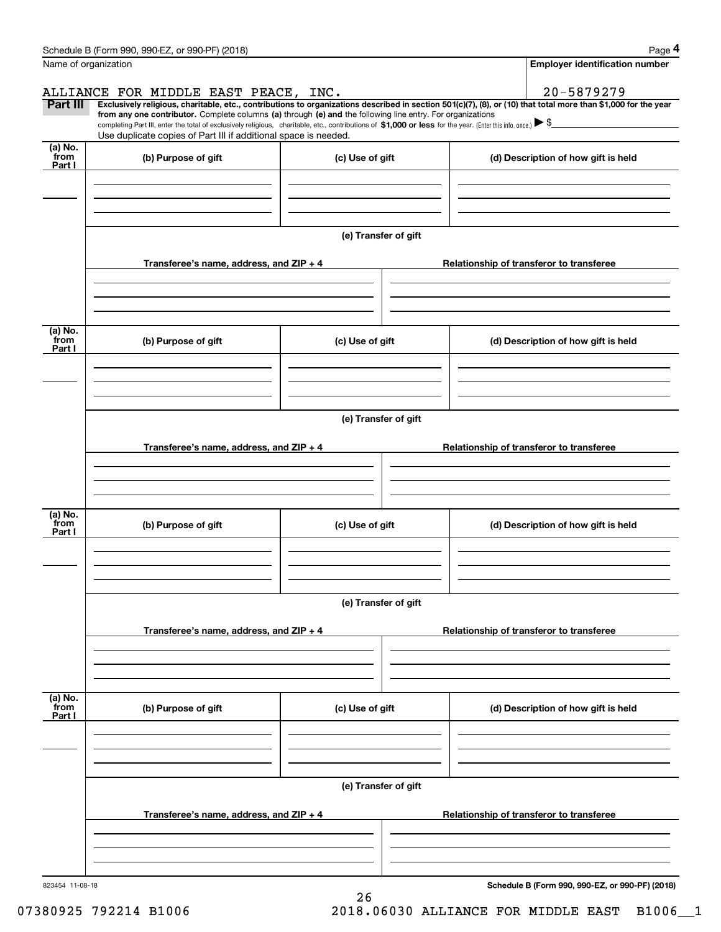|                           | Schedule B (Form 990, 990-EZ, or 990-PF) (2018)                                                                                                                                                                                                                              |                      |                                          | Page 4                                          |  |  |
|---------------------------|------------------------------------------------------------------------------------------------------------------------------------------------------------------------------------------------------------------------------------------------------------------------------|----------------------|------------------------------------------|-------------------------------------------------|--|--|
| Name of organization      |                                                                                                                                                                                                                                                                              |                      |                                          | <b>Employer identification number</b>           |  |  |
|                           | ALLIANCE FOR MIDDLE EAST PEACE, INC.                                                                                                                                                                                                                                         |                      |                                          | 20-5879279                                      |  |  |
| Part III                  | Exclusively religious, charitable, etc., contributions to organizations described in section 501(c)(7), (8), or (10) that total more than \$1,000 for the year<br>from any one contributor. Complete columns (a) through (e) and the following line entry. For organizations |                      |                                          |                                                 |  |  |
|                           | completing Part III, enter the total of exclusively religious, charitable, etc., contributions of \$1,000 or less for the year. (Enter this info. once.) $\blacktriangleright$ \$<br>Use duplicate copies of Part III if additional space is needed.                         |                      |                                          |                                                 |  |  |
| (a) No.<br>from<br>Part I | (b) Purpose of gift                                                                                                                                                                                                                                                          | (c) Use of gift      |                                          | (d) Description of how gift is held             |  |  |
|                           |                                                                                                                                                                                                                                                                              |                      |                                          |                                                 |  |  |
|                           |                                                                                                                                                                                                                                                                              |                      |                                          |                                                 |  |  |
|                           |                                                                                                                                                                                                                                                                              | (e) Transfer of gift |                                          |                                                 |  |  |
|                           | Transferee's name, address, and ZIP + 4                                                                                                                                                                                                                                      |                      |                                          | Relationship of transferor to transferee        |  |  |
|                           |                                                                                                                                                                                                                                                                              |                      |                                          |                                                 |  |  |
|                           |                                                                                                                                                                                                                                                                              |                      |                                          |                                                 |  |  |
| (a) No.<br>from<br>Part I | (b) Purpose of gift                                                                                                                                                                                                                                                          | (c) Use of gift      |                                          | (d) Description of how gift is held             |  |  |
|                           |                                                                                                                                                                                                                                                                              |                      |                                          |                                                 |  |  |
|                           |                                                                                                                                                                                                                                                                              |                      |                                          |                                                 |  |  |
|                           |                                                                                                                                                                                                                                                                              |                      |                                          |                                                 |  |  |
|                           | (e) Transfer of gift                                                                                                                                                                                                                                                         |                      |                                          |                                                 |  |  |
|                           | Transferee's name, address, and ZIP + 4                                                                                                                                                                                                                                      |                      | Relationship of transferor to transferee |                                                 |  |  |
|                           |                                                                                                                                                                                                                                                                              |                      |                                          |                                                 |  |  |
|                           |                                                                                                                                                                                                                                                                              |                      |                                          |                                                 |  |  |
| (a) No.<br>from<br>Part I | (b) Purpose of gift                                                                                                                                                                                                                                                          | (c) Use of gift      |                                          | (d) Description of how gift is held             |  |  |
|                           |                                                                                                                                                                                                                                                                              |                      |                                          |                                                 |  |  |
|                           |                                                                                                                                                                                                                                                                              |                      |                                          |                                                 |  |  |
|                           |                                                                                                                                                                                                                                                                              | (e) Transfer of gift |                                          |                                                 |  |  |
|                           |                                                                                                                                                                                                                                                                              |                      |                                          |                                                 |  |  |
|                           | Transferee's name, address, and ZIP + 4                                                                                                                                                                                                                                      |                      | Relationship of transferor to transferee |                                                 |  |  |
|                           |                                                                                                                                                                                                                                                                              |                      |                                          |                                                 |  |  |
|                           |                                                                                                                                                                                                                                                                              |                      |                                          |                                                 |  |  |
| (a) No.<br>from<br>Part I | (b) Purpose of gift                                                                                                                                                                                                                                                          | (c) Use of gift      |                                          | (d) Description of how gift is held             |  |  |
|                           |                                                                                                                                                                                                                                                                              |                      |                                          |                                                 |  |  |
|                           |                                                                                                                                                                                                                                                                              |                      |                                          |                                                 |  |  |
|                           | (e) Transfer of gift                                                                                                                                                                                                                                                         |                      |                                          |                                                 |  |  |
|                           | Transferee's name, address, and ZIP + 4                                                                                                                                                                                                                                      |                      |                                          | Relationship of transferor to transferee        |  |  |
|                           |                                                                                                                                                                                                                                                                              |                      |                                          |                                                 |  |  |
|                           |                                                                                                                                                                                                                                                                              |                      |                                          |                                                 |  |  |
|                           |                                                                                                                                                                                                                                                                              |                      |                                          |                                                 |  |  |
| 823454 11-08-18           |                                                                                                                                                                                                                                                                              | 26                   |                                          | Schedule B (Form 990, 990-EZ, or 990-PF) (2018) |  |  |

07380925 792214 B1006 2018.06030 ALLIANCE FOR MIDDLE EAST B1006\_1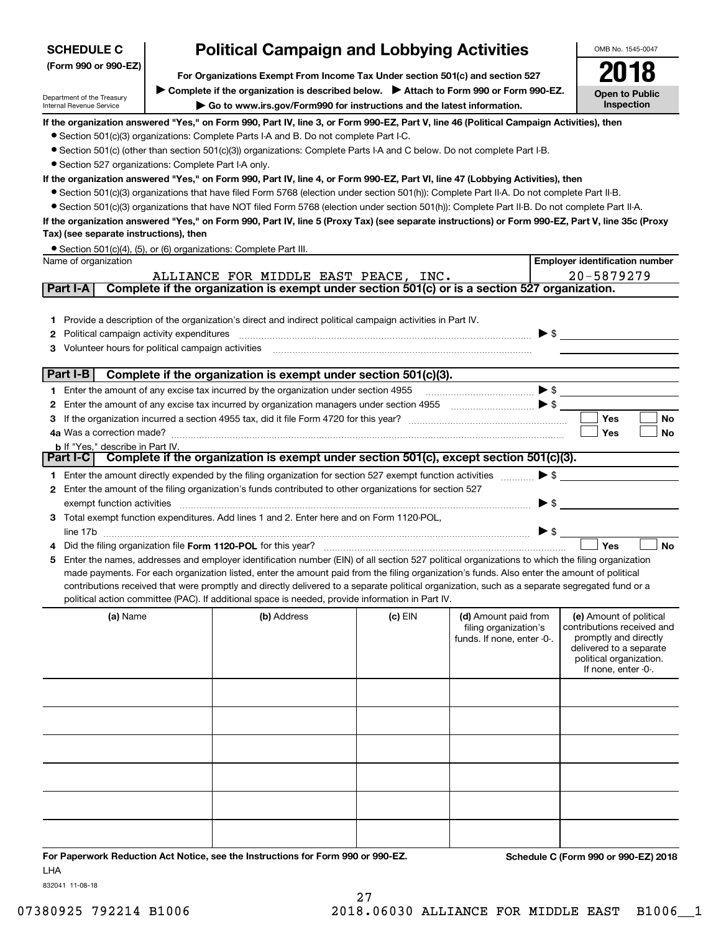| <b>Political Campaign and Lobbying Activities</b><br><b>SCHEDULE C</b>                                   |  | OMB No. 1545-0047                                                                                                                                 |           |                                                                             |                          |                                                                                                                                                             |
|----------------------------------------------------------------------------------------------------------|--|---------------------------------------------------------------------------------------------------------------------------------------------------|-----------|-----------------------------------------------------------------------------|--------------------------|-------------------------------------------------------------------------------------------------------------------------------------------------------------|
| (Form 990 or 990-EZ)                                                                                     |  | For Organizations Exempt From Income Tax Under section 501(c) and section 527                                                                     |           |                                                                             |                          |                                                                                                                                                             |
|                                                                                                          |  | Complete if the organization is described below. > Attach to Form 990 or Form 990-EZ.                                                             |           |                                                                             |                          |                                                                                                                                                             |
| Department of the Treasury<br>Internal Revenue Service                                                   |  | Go to www.irs.gov/Form990 for instructions and the latest information.                                                                            |           |                                                                             |                          | <b>Open to Public</b><br>Inspection                                                                                                                         |
|                                                                                                          |  | If the organization answered "Yes," on Form 990, Part IV, line 3, or Form 990-EZ, Part V, line 46 (Political Campaign Activities), then           |           |                                                                             |                          |                                                                                                                                                             |
|                                                                                                          |  | • Section 501(c)(3) organizations: Complete Parts I-A and B. Do not complete Part I-C.                                                            |           |                                                                             |                          |                                                                                                                                                             |
|                                                                                                          |  | • Section 501(c) (other than section 501(c)(3)) organizations: Complete Parts I-A and C below. Do not complete Part I-B.                          |           |                                                                             |                          |                                                                                                                                                             |
| • Section 527 organizations: Complete Part I-A only.                                                     |  |                                                                                                                                                   |           |                                                                             |                          |                                                                                                                                                             |
|                                                                                                          |  | If the organization answered "Yes," on Form 990, Part IV, line 4, or Form 990-EZ, Part VI, line 47 (Lobbying Activities), then                    |           |                                                                             |                          |                                                                                                                                                             |
|                                                                                                          |  | • Section 501(c)(3) organizations that have filed Form 5768 (election under section 501(h)): Complete Part II-A. Do not complete Part II-B.       |           |                                                                             |                          |                                                                                                                                                             |
|                                                                                                          |  | • Section 501(c)(3) organizations that have NOT filed Form 5768 (election under section 501(h)): Complete Part II-B. Do not complete Part II-A.   |           |                                                                             |                          |                                                                                                                                                             |
| Tax) (see separate instructions), then                                                                   |  | If the organization answered "Yes," on Form 990, Part IV, line 5 (Proxy Tax) (see separate instructions) or Form 990-EZ, Part V, line 35c (Proxy  |           |                                                                             |                          |                                                                                                                                                             |
|                                                                                                          |  | • Section 501(c)(4), (5), or (6) organizations: Complete Part III.                                                                                |           |                                                                             |                          |                                                                                                                                                             |
| Name of organization                                                                                     |  |                                                                                                                                                   |           |                                                                             |                          | <b>Employer identification number</b>                                                                                                                       |
|                                                                                                          |  | ALLIANCE FOR MIDDLE EAST PEACE, INC.                                                                                                              |           |                                                                             |                          | 20-5879279                                                                                                                                                  |
| Part I-A                                                                                                 |  | Complete if the organization is exempt under section 501(c) or is a section 527 organization.                                                     |           |                                                                             |                          |                                                                                                                                                             |
|                                                                                                          |  |                                                                                                                                                   |           |                                                                             |                          |                                                                                                                                                             |
|                                                                                                          |  | 1 Provide a description of the organization's direct and indirect political campaign activities in Part IV.                                       |           |                                                                             |                          |                                                                                                                                                             |
| Political campaign activity expenditures<br>2<br>Volunteer hours for political campaign activities<br>З. |  |                                                                                                                                                   |           |                                                                             |                          | $\blacktriangleright$ \$                                                                                                                                    |
|                                                                                                          |  |                                                                                                                                                   |           |                                                                             |                          |                                                                                                                                                             |
| Part I-B                                                                                                 |  | Complete if the organization is exempt under section 501(c)(3).                                                                                   |           |                                                                             |                          |                                                                                                                                                             |
|                                                                                                          |  | 1 Enter the amount of any excise tax incurred by the organization under section 4955                                                              |           |                                                                             |                          |                                                                                                                                                             |
| 2                                                                                                        |  | Enter the amount of any excise tax incurred by organization managers under section 4955 [100] [100] S                                             |           |                                                                             |                          |                                                                                                                                                             |
| З                                                                                                        |  |                                                                                                                                                   |           |                                                                             |                          | Yes<br>No                                                                                                                                                   |
|                                                                                                          |  |                                                                                                                                                   |           |                                                                             |                          | Yes<br>No                                                                                                                                                   |
| <b>b</b> If "Yes," describe in Part IV.                                                                  |  |                                                                                                                                                   |           |                                                                             |                          |                                                                                                                                                             |
|                                                                                                          |  | Part I-C   Complete if the organization is exempt under section 501(c), except section 501(c)(3).                                                 |           |                                                                             |                          |                                                                                                                                                             |
|                                                                                                          |  | 1 Enter the amount directly expended by the filing organization for section 527 exempt function activities                                        |           |                                                                             | $\blacktriangleright$ \$ |                                                                                                                                                             |
| 2                                                                                                        |  | Enter the amount of the filing organization's funds contributed to other organizations for section 527                                            |           |                                                                             |                          |                                                                                                                                                             |
| exempt function activities                                                                               |  |                                                                                                                                                   |           |                                                                             | $\blacktriangleright$ \$ |                                                                                                                                                             |
|                                                                                                          |  | 3 Total exempt function expenditures. Add lines 1 and 2. Enter here and on Form 1120-POL,                                                         |           |                                                                             | $\blacktriangleright$ \$ |                                                                                                                                                             |
|                                                                                                          |  | Did the filing organization file Form 1120-POL for this year?                                                                                     |           |                                                                             |                          | <b>No</b><br>Yes                                                                                                                                            |
|                                                                                                          |  | 5 Enter the names, addresses and employer identification number (EIN) of all section 527 political organizations to which the filing organization |           |                                                                             |                          |                                                                                                                                                             |
|                                                                                                          |  | made payments. For each organization listed, enter the amount paid from the filing organization's funds. Also enter the amount of political       |           |                                                                             |                          |                                                                                                                                                             |
|                                                                                                          |  | contributions received that were promptly and directly delivered to a separate political organization, such as a separate segregated fund or a    |           |                                                                             |                          |                                                                                                                                                             |
|                                                                                                          |  | political action committee (PAC). If additional space is needed, provide information in Part IV.                                                  |           |                                                                             |                          |                                                                                                                                                             |
| (a) Name                                                                                                 |  | (b) Address                                                                                                                                       | $(c)$ EIN | (d) Amount paid from<br>filing organization's<br>funds. If none, enter -0-. |                          | (e) Amount of political<br>contributions received and<br>promptly and directly<br>delivered to a separate<br>political organization.<br>If none, enter -0-. |
|                                                                                                          |  |                                                                                                                                                   |           |                                                                             |                          |                                                                                                                                                             |
|                                                                                                          |  |                                                                                                                                                   |           |                                                                             |                          |                                                                                                                                                             |
|                                                                                                          |  |                                                                                                                                                   |           |                                                                             |                          |                                                                                                                                                             |
|                                                                                                          |  |                                                                                                                                                   |           |                                                                             |                          |                                                                                                                                                             |
|                                                                                                          |  |                                                                                                                                                   |           |                                                                             |                          |                                                                                                                                                             |
|                                                                                                          |  |                                                                                                                                                   |           |                                                                             |                          |                                                                                                                                                             |
|                                                                                                          |  |                                                                                                                                                   |           |                                                                             |                          |                                                                                                                                                             |
|                                                                                                          |  |                                                                                                                                                   |           |                                                                             |                          |                                                                                                                                                             |
|                                                                                                          |  |                                                                                                                                                   |           |                                                                             |                          |                                                                                                                                                             |

**For Paperwork Reduction Act Notice, see the Instructions for Form 990 or 990-EZ. Schedule C (Form 990 or 990-EZ) 2018** LHA

832041 11-08-18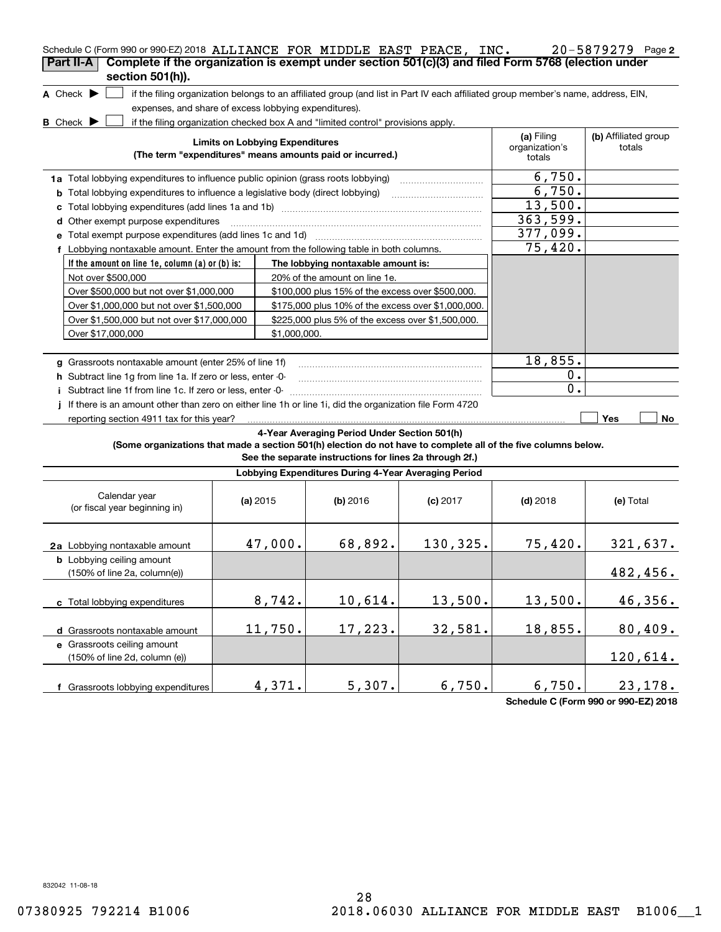| Schedule C (Form 990 or 990-EZ) 2018 ALLIANCE FOR MIDDLE EAST PEACE, INC.<br>Complete if the organization is exempt under section 501(c)(3) and filed Form 5768 (election under<br>Part II-A |                                                       |                                                                                                                                   |            |                                        | 20-5879279 Page 2              |
|----------------------------------------------------------------------------------------------------------------------------------------------------------------------------------------------|-------------------------------------------------------|-----------------------------------------------------------------------------------------------------------------------------------|------------|----------------------------------------|--------------------------------|
| section 501(h)).                                                                                                                                                                             |                                                       |                                                                                                                                   |            |                                        |                                |
| A Check $\blacktriangleright$                                                                                                                                                                |                                                       | if the filing organization belongs to an affiliated group (and list in Part IV each affiliated group member's name, address, EIN, |            |                                        |                                |
|                                                                                                                                                                                              | expenses, and share of excess lobbying expenditures). |                                                                                                                                   |            |                                        |                                |
| $B$ Check $\blacktriangleright$                                                                                                                                                              |                                                       | if the filing organization checked box A and "limited control" provisions apply.                                                  |            |                                        |                                |
|                                                                                                                                                                                              | <b>Limits on Lobbying Expenditures</b>                | (The term "expenditures" means amounts paid or incurred.)                                                                         |            | (a) Filing<br>organization's<br>totals | (b) Affiliated group<br>totals |
| 1a Total lobbying expenditures to influence public opinion (grass roots lobbying)                                                                                                            |                                                       |                                                                                                                                   |            | 6,750.                                 |                                |
| <b>b</b> Total lobbying expenditures to influence a legislative body (direct lobbying)                                                                                                       |                                                       |                                                                                                                                   |            | 6,750.                                 |                                |
| с                                                                                                                                                                                            |                                                       |                                                                                                                                   |            | 13,500.                                |                                |
| Other exempt purpose expenditures<br>d                                                                                                                                                       |                                                       |                                                                                                                                   |            | 363,599.                               |                                |
|                                                                                                                                                                                              |                                                       |                                                                                                                                   |            | 377,099.                               |                                |
| f Lobbying nontaxable amount. Enter the amount from the following table in both columns.                                                                                                     |                                                       |                                                                                                                                   |            | 75,420.                                |                                |
| If the amount on line 1e, column (a) or (b) is:                                                                                                                                              |                                                       | The lobbying nontaxable amount is:                                                                                                |            |                                        |                                |
| Not over \$500,000                                                                                                                                                                           |                                                       | 20% of the amount on line 1e.                                                                                                     |            |                                        |                                |
| Over \$500,000 but not over \$1,000,000                                                                                                                                                      |                                                       | \$100,000 plus 15% of the excess over \$500,000.                                                                                  |            |                                        |                                |
| Over \$1,000,000 but not over \$1,500,000                                                                                                                                                    |                                                       | \$175,000 plus 10% of the excess over \$1,000,000.                                                                                |            |                                        |                                |
| Over \$1,500,000 but not over \$17,000,000                                                                                                                                                   |                                                       | \$225,000 plus 5% of the excess over \$1,500,000.                                                                                 |            |                                        |                                |
| Over \$17,000,000                                                                                                                                                                            | \$1,000,000.                                          |                                                                                                                                   |            |                                        |                                |
|                                                                                                                                                                                              |                                                       |                                                                                                                                   |            |                                        |                                |
| g Grassroots nontaxable amount (enter 25% of line 1f)                                                                                                                                        |                                                       |                                                                                                                                   |            | 18,855.                                |                                |
| h Subtract line 1g from line 1a. If zero or less, enter -0-                                                                                                                                  |                                                       |                                                                                                                                   |            | 0.                                     |                                |
| i Subtract line 1f from line 1c. If zero or less, enter 0                                                                                                                                    |                                                       |                                                                                                                                   |            | 0.                                     |                                |
| j If there is an amount other than zero on either line 1h or line 1i, did the organization file Form 4720                                                                                    |                                                       |                                                                                                                                   |            |                                        |                                |
| reporting section 4911 tax for this year?                                                                                                                                                    |                                                       |                                                                                                                                   |            |                                        | Yes<br>No                      |
| (Some organizations that made a section 501(h) election do not have to complete all of the five columns below.                                                                               |                                                       | 4-Year Averaging Period Under Section 501(h)<br>See the separate instructions for lines 2a through 2f.)                           |            |                                        |                                |
|                                                                                                                                                                                              |                                                       | Lobbying Expenditures During 4-Year Averaging Period                                                                              |            |                                        |                                |
| Calendar year<br>(or fiscal year beginning in)                                                                                                                                               | (a) $2015$                                            | $(b)$ 2016                                                                                                                        | $(c)$ 2017 | $(d)$ 2018                             | (e) Total                      |
| 2a Lobbying nontaxable amount                                                                                                                                                                | 47,000.                                               | 68,892.                                                                                                                           | 130,325.   | 75,420.                                | 321,637.                       |
| <b>b</b> Lobbying ceiling amount<br>(150% of line 2a, column(e))                                                                                                                             |                                                       |                                                                                                                                   |            |                                        | 482,456.                       |
| c Total lobbying expenditures                                                                                                                                                                | 8,742.                                                | 10,614.                                                                                                                           | 13,500.    | 13,500.                                | 46,356.                        |
| d Grassroots nontaxable amount                                                                                                                                                               | 11,750.                                               | 17,223.                                                                                                                           | 32,581.    | 18,855.                                | 80,409.                        |
| e Grassroots ceiling amount<br>(150% of line 2d, column (e))                                                                                                                                 |                                                       |                                                                                                                                   |            |                                        | 120,614.                       |
| f Grassroots lobbying expenditures                                                                                                                                                           | 4,371.                                                | 5,307.                                                                                                                            | 6,750.     | 6,750.                                 | 23,178.                        |

**Schedule C (Form 990 or 990-EZ) 2018**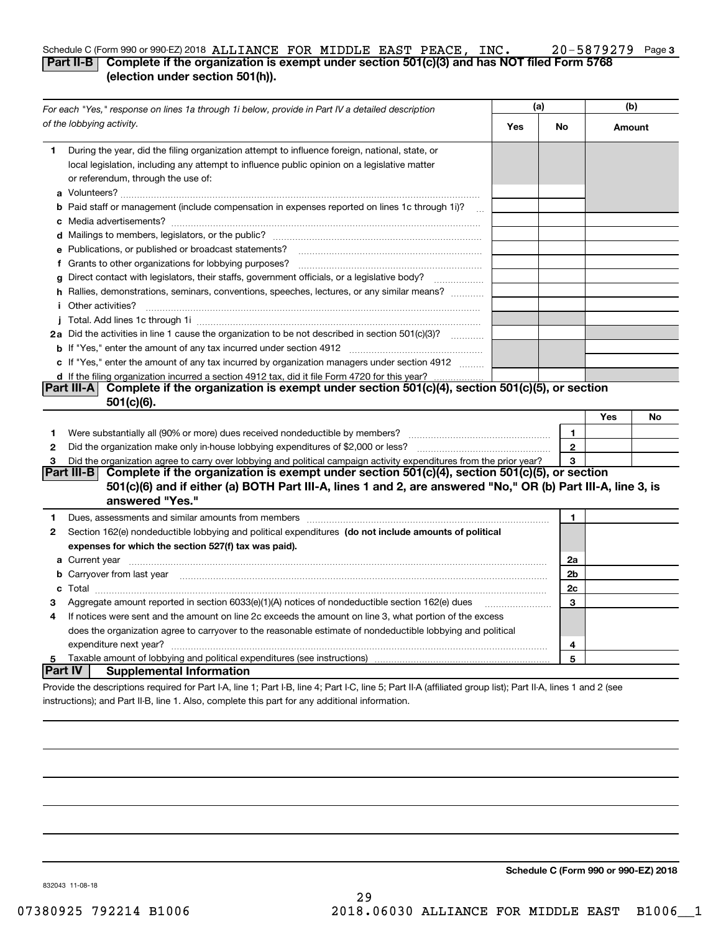### **3** Schedule C (Form 990 or 990-EZ) 2018  $\verb|ALIANCE$   $\verb|FOR MIDDLE EAST PERCE$  ,  $\verb|INC. 20-5879279$  Page **Part II-B Complete if the organization is exempt under section 501(c)(3) and has NOT filed Form 5768 (election under section 501(h)).** ALLIANCE FOR MIDDLE EAST PEACE, INC. 20-5879279

| For each "Yes," response on lines 1a through 1i below, provide in Part IV a detailed description |                                                                                                                                                                                                                                      | (a) |              | (b)    |    |
|--------------------------------------------------------------------------------------------------|--------------------------------------------------------------------------------------------------------------------------------------------------------------------------------------------------------------------------------------|-----|--------------|--------|----|
|                                                                                                  | of the lobbying activity.                                                                                                                                                                                                            | Yes | No           | Amount |    |
| 1                                                                                                | During the year, did the filing organization attempt to influence foreign, national, state, or<br>local legislation, including any attempt to influence public opinion on a legislative matter<br>or referendum, through the use of: |     |              |        |    |
|                                                                                                  | <b>b</b> Paid staff or management (include compensation in expenses reported on lines 1c through 1i)?                                                                                                                                |     |              |        |    |
|                                                                                                  |                                                                                                                                                                                                                                      |     |              |        |    |
|                                                                                                  | e Publications, or published or broadcast statements?                                                                                                                                                                                |     |              |        |    |
|                                                                                                  |                                                                                                                                                                                                                                      |     |              |        |    |
| g                                                                                                | Direct contact with legislators, their staffs, government officials, or a legislative body?                                                                                                                                          |     |              |        |    |
|                                                                                                  | h Rallies, demonstrations, seminars, conventions, speeches, lectures, or any similar means?<br><i>i</i> Other activities?                                                                                                            |     |              |        |    |
|                                                                                                  |                                                                                                                                                                                                                                      |     |              |        |    |
|                                                                                                  | 2a Did the activities in line 1 cause the organization to be not described in section 501(c)(3)?                                                                                                                                     |     |              |        |    |
|                                                                                                  |                                                                                                                                                                                                                                      |     |              |        |    |
|                                                                                                  | c If "Yes," enter the amount of any tax incurred by organization managers under section 4912                                                                                                                                         |     |              |        |    |
|                                                                                                  | d If the filing organization incurred a section 4912 tax, did it file Form 4720 for this year?                                                                                                                                       |     |              |        |    |
|                                                                                                  | Complete if the organization is exempt under section 501(c)(4), section 501(c)(5), or section<br><b>Part III-A</b><br>$501(c)(6)$ .                                                                                                  |     |              |        |    |
|                                                                                                  |                                                                                                                                                                                                                                      |     |              | Yes    | No |
| 1                                                                                                | Were substantially all (90% or more) dues received nondeductible by members?                                                                                                                                                         |     | 1            |        |    |
| 2                                                                                                |                                                                                                                                                                                                                                      |     | $\mathbf{2}$ |        |    |
| 3                                                                                                | Did the organization agree to carry over lobbying and political campaign activity expenditures from the prior year?                                                                                                                  |     | 3            |        |    |
|                                                                                                  | Complete if the organization is exempt under section 501(c)(4), section 501(c)(5), or section<br>Part III-B                                                                                                                          |     |              |        |    |
|                                                                                                  | 501(c)(6) and if either (a) BOTH Part III-A, lines 1 and 2, are answered "No," OR (b) Part III-A, line 3, is<br>answered "Yes."                                                                                                      |     |              |        |    |
| 1                                                                                                | Dues, assessments and similar amounts from members [11] matter content and state and similar amounts from members [11] matter and similar amounts from members [11] matter and similar amounts from members [11] matter and si       |     | 1            |        |    |
| 2                                                                                                | Section 162(e) nondeductible lobbying and political expenditures (do not include amounts of political                                                                                                                                |     |              |        |    |
|                                                                                                  | expenses for which the section 527(f) tax was paid).                                                                                                                                                                                 |     |              |        |    |
|                                                                                                  |                                                                                                                                                                                                                                      |     | 2a           |        |    |
|                                                                                                  | <b>b</b> Carryover from last year manufactured and contained a control of the control of the control of the control of the control of the control of the control of the control of the control of the control of the control of the  |     | 2b           |        |    |
|                                                                                                  |                                                                                                                                                                                                                                      |     | 2c           |        |    |
| 3                                                                                                | Aggregate amount reported in section 6033(e)(1)(A) notices of nondeductible section 162(e) dues                                                                                                                                      |     | 3            |        |    |
| 4                                                                                                | If notices were sent and the amount on line 2c exceeds the amount on line 3, what portion of the excess                                                                                                                              |     |              |        |    |
|                                                                                                  | does the organization agree to carryover to the reasonable estimate of nondeductible lobbying and political                                                                                                                          |     |              |        |    |
|                                                                                                  |                                                                                                                                                                                                                                      |     | 4            |        |    |
| 5                                                                                                |                                                                                                                                                                                                                                      |     | 5            |        |    |
| Part IV                                                                                          | <b>Supplemental Information</b>                                                                                                                                                                                                      |     |              |        |    |
|                                                                                                  | Provide the descriptions required for Part I-A, line 1; Part I-B, line 4; Part I-C, line 5; Part II-A (affiliated group list); Part II-A, lines 1 and 2 (see                                                                         |     |              |        |    |
|                                                                                                  | instructions); and Part II-B, line 1. Also, complete this part for any additional information.                                                                                                                                       |     |              |        |    |

**Schedule C (Form 990 or 990-EZ) 2018**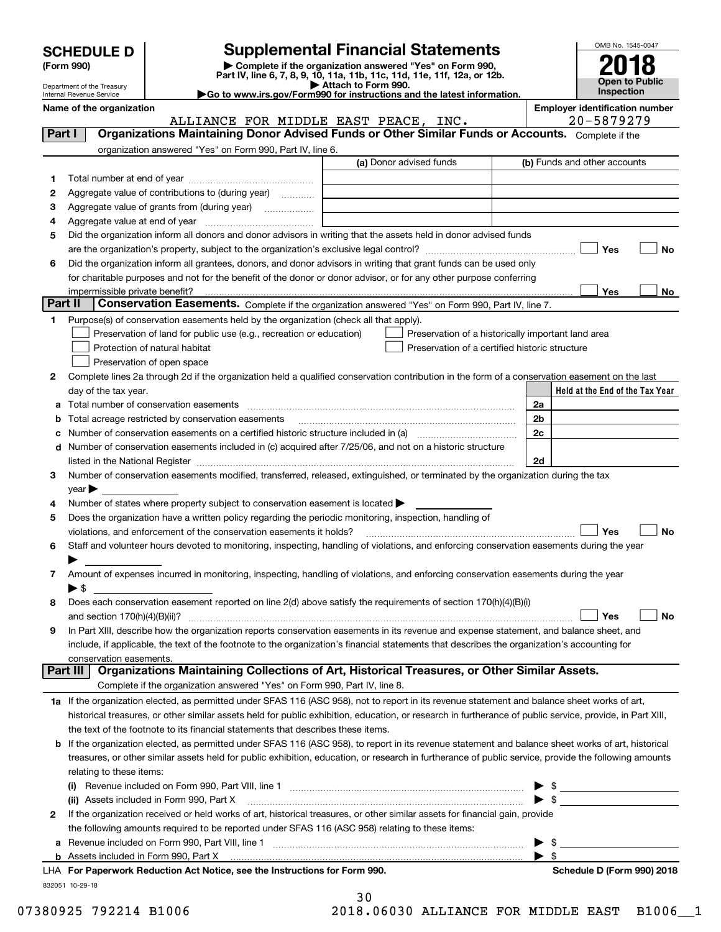| <b>SCHEDULE D</b> |  |
|-------------------|--|
|-------------------|--|

| (Form 990) |  |
|------------|--|
|------------|--|

# **SCHEDULE D Supplemental Financial Statements**

(Form 990)<br>
Pepartment of the Treasury<br>
Department of the Treasury<br>
Department of the Treasury<br>
Department of the Treasury<br> **Co to www.irs.gov/Form990 for instructions and the latest information.**<br> **Co to www.irs.gov/Form9** 



Department of the Treasury Internal Revenue Service

| Name of the organization |          |
|--------------------------|----------|
|                          | ALLIANCE |

**Employer identification number** 

|         | ALLIANCE FOR MIDDLE EAST PEACE, INC.                                                                                                                                                                             | 20-5879279                      |
|---------|------------------------------------------------------------------------------------------------------------------------------------------------------------------------------------------------------------------|---------------------------------|
| Part I  | Organizations Maintaining Donor Advised Funds or Other Similar Funds or Accounts. Complete if the                                                                                                                |                                 |
|         | organization answered "Yes" on Form 990, Part IV, line 6.                                                                                                                                                        |                                 |
|         | (a) Donor advised funds                                                                                                                                                                                          | (b) Funds and other accounts    |
| 1       |                                                                                                                                                                                                                  |                                 |
| 2       | Aggregate value of contributions to (during year)                                                                                                                                                                |                                 |
| з       | Aggregate value of grants from (during year)                                                                                                                                                                     |                                 |
| 4       |                                                                                                                                                                                                                  |                                 |
| 5       | Did the organization inform all donors and donor advisors in writing that the assets held in donor advised funds                                                                                                 |                                 |
|         |                                                                                                                                                                                                                  | Yes<br>No                       |
| 6       | Did the organization inform all grantees, donors, and donor advisors in writing that grant funds can be used only                                                                                                |                                 |
|         | for charitable purposes and not for the benefit of the donor or donor advisor, or for any other purpose conferring                                                                                               |                                 |
|         | impermissible private benefit?                                                                                                                                                                                   | Yes<br>No                       |
| Part II | Conservation Easements. Complete if the organization answered "Yes" on Form 990, Part IV, line 7.                                                                                                                |                                 |
| 1.      | Purpose(s) of conservation easements held by the organization (check all that apply).                                                                                                                            |                                 |
|         | Preservation of land for public use (e.g., recreation or education)<br>Preservation of a historically important land area                                                                                        |                                 |
|         | Preservation of a certified historic structure<br>Protection of natural habitat                                                                                                                                  |                                 |
|         | Preservation of open space                                                                                                                                                                                       |                                 |
| 2       | Complete lines 2a through 2d if the organization held a qualified conservation contribution in the form of a conservation easement on the last                                                                   |                                 |
|         | day of the tax year.                                                                                                                                                                                             | Held at the End of the Tax Year |
|         |                                                                                                                                                                                                                  | 2a                              |
|         | Total acreage restricted by conservation easements                                                                                                                                                               | 2 <sub>b</sub>                  |
|         | Number of conservation easements on a certified historic structure included in (a) manufacture included in (a)                                                                                                   | 2c                              |
| d       | Number of conservation easements included in (c) acquired after 7/25/06, and not on a historic structure                                                                                                         |                                 |
|         |                                                                                                                                                                                                                  | 2d                              |
| з       | Number of conservation easements modified, transferred, released, extinguished, or terminated by the organization during the tax                                                                                 |                                 |
|         | year                                                                                                                                                                                                             |                                 |
| 4       | Number of states where property subject to conservation easement is located >                                                                                                                                    |                                 |
| 5       | Does the organization have a written policy regarding the periodic monitoring, inspection, handling of                                                                                                           |                                 |
|         | violations, and enforcement of the conservation easements it holds?<br>Staff and volunteer hours devoted to monitoring, inspecting, handling of violations, and enforcing conservation easements during the year | Yes<br>No                       |
| 6       |                                                                                                                                                                                                                  |                                 |
| 7       | Amount of expenses incurred in monitoring, inspecting, handling of violations, and enforcing conservation easements during the year                                                                              |                                 |
|         | $\blacktriangleright$ \$                                                                                                                                                                                         |                                 |
| 8       | Does each conservation easement reported on line 2(d) above satisfy the requirements of section 170(h)(4)(B)(i)                                                                                                  |                                 |
|         | and section $170(h)(4)(B)(ii)?$                                                                                                                                                                                  | No<br>Yes                       |
| 9       | In Part XIII, describe how the organization reports conservation easements in its revenue and expense statement, and balance sheet, and                                                                          |                                 |
|         | include, if applicable, the text of the footnote to the organization's financial statements that describes the organization's accounting for                                                                     |                                 |
|         | conservation easements.                                                                                                                                                                                          |                                 |
|         | Organizations Maintaining Collections of Art, Historical Treasures, or Other Similar Assets.<br>Part III                                                                                                         |                                 |
|         | Complete if the organization answered "Yes" on Form 990, Part IV, line 8.                                                                                                                                        |                                 |
|         | 1a If the organization elected, as permitted under SFAS 116 (ASC 958), not to report in its revenue statement and balance sheet works of art,                                                                    |                                 |
|         | historical treasures, or other similar assets held for public exhibition, education, or research in furtherance of public service, provide, in Part XIII,                                                        |                                 |
|         | the text of the footnote to its financial statements that describes these items.                                                                                                                                 |                                 |
|         | <b>b</b> If the organization elected, as permitted under SFAS 116 (ASC 958), to report in its revenue statement and balance sheet works of art, historical                                                       |                                 |
|         | treasures, or other similar assets held for public exhibition, education, or research in furtherance of public service, provide the following amounts                                                            |                                 |
|         | relating to these items:                                                                                                                                                                                         |                                 |
|         |                                                                                                                                                                                                                  | $\triangleright$ \$             |
|         | (ii) Assets included in Form 990, Part X                                                                                                                                                                         | $\blacktriangleright$ \$        |
| 2       | If the organization received or held works of art, historical treasures, or other similar assets for financial gain, provide                                                                                     |                                 |
|         | the following amounts required to be reported under SFAS 116 (ASC 958) relating to these items:                                                                                                                  |                                 |
|         |                                                                                                                                                                                                                  |                                 |
|         | <b>b</b> Assets included in Form 990, Part X <i>maching and account of the contention of the sets included in Form 990, Part X</i>                                                                               |                                 |

|                 | LHA For Paperwork Reduction Act Notice, see the Instructions for Form 990. | Schedule D (Form 990) 2018 |
|-----------------|----------------------------------------------------------------------------|----------------------------|
| 832051 10-29-18 |                                                                            |                            |

|  | Schedule D (Form 990) 2018 |  |
|--|----------------------------|--|

|         | 30 |    |  |
|---------|----|----|--|
| 2 N 1 R |    | በ៨ |  |

07380925 792214 B1006 2018.06030 ALLIANCE FOR MIDDLE EAST B1006\_1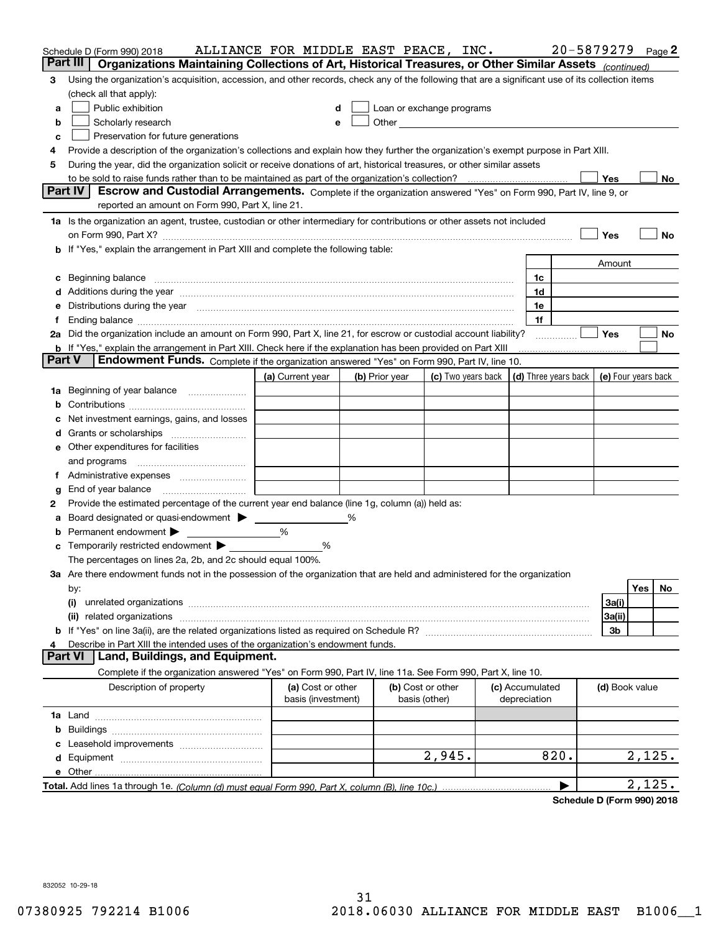|        | Schedule D (Form 990) 2018                                                                                                                                                                                                     | ALLIANCE FOR MIDDLE EAST PEACE, INC.    |   |                |                                                      |                                 | 20-5879279 |                     |        | Page $2$ |
|--------|--------------------------------------------------------------------------------------------------------------------------------------------------------------------------------------------------------------------------------|-----------------------------------------|---|----------------|------------------------------------------------------|---------------------------------|------------|---------------------|--------|----------|
|        | Part III<br>Organizations Maintaining Collections of Art, Historical Treasures, or Other Similar Assets (continued)                                                                                                            |                                         |   |                |                                                      |                                 |            |                     |        |          |
| 3      | Using the organization's acquisition, accession, and other records, check any of the following that are a significant use of its collection items                                                                              |                                         |   |                |                                                      |                                 |            |                     |        |          |
|        | (check all that apply):                                                                                                                                                                                                        |                                         |   |                |                                                      |                                 |            |                     |        |          |
| a      | Public exhibition                                                                                                                                                                                                              |                                         |   |                | Loan or exchange programs                            |                                 |            |                     |        |          |
| b      | Scholarly research                                                                                                                                                                                                             | e                                       |   |                | Other <b>Committee Committee Committee Committee</b> |                                 |            |                     |        |          |
| с      | Preservation for future generations                                                                                                                                                                                            |                                         |   |                |                                                      |                                 |            |                     |        |          |
| 4      | Provide a description of the organization's collections and explain how they further the organization's exempt purpose in Part XIII.                                                                                           |                                         |   |                |                                                      |                                 |            |                     |        |          |
| 5      | During the year, did the organization solicit or receive donations of art, historical treasures, or other similar assets                                                                                                       |                                         |   |                |                                                      |                                 |            |                     |        |          |
|        | to be sold to raise funds rather than to be maintained as part of the organization's collection?<br><b>Part IV</b>                                                                                                             |                                         |   |                |                                                      |                                 |            | Yes                 |        | No       |
|        | Escrow and Custodial Arrangements. Complete if the organization answered "Yes" on Form 990, Part IV, line 9, or<br>reported an amount on Form 990, Part X, line 21.                                                            |                                         |   |                |                                                      |                                 |            |                     |        |          |
|        | 1a Is the organization an agent, trustee, custodian or other intermediary for contributions or other assets not included                                                                                                       |                                         |   |                |                                                      |                                 |            |                     |        |          |
|        | on Form 990, Part X? [11] matter contracts and contracts and contracts are contracted and contracts are contracted and contract and contract of the contract of the contract of the contract of the contract of the contract o |                                         |   |                |                                                      |                                 |            | Yes                 |        | No       |
|        | b If "Yes," explain the arrangement in Part XIII and complete the following table:                                                                                                                                             |                                         |   |                |                                                      |                                 |            |                     |        |          |
|        |                                                                                                                                                                                                                                |                                         |   |                |                                                      |                                 |            | Amount              |        |          |
| c      | Beginning balance measurements and the contract measurement of the contract measurement of the contract measurement                                                                                                            |                                         |   |                |                                                      | 1c                              |            |                     |        |          |
|        | Additions during the year manufactured and an annual contract of the year manufactured and all the year manufactured and all the year manufactured and all the year manufactured and all the year manufactured and all the yea |                                         |   |                |                                                      | 1d                              |            |                     |        |          |
|        | Distributions during the year manufactured and continuum and continuum and continuum and continuum and continuum                                                                                                               |                                         |   |                |                                                      | 1e                              |            |                     |        |          |
| 1.     |                                                                                                                                                                                                                                |                                         |   |                |                                                      | 1f                              |            |                     |        |          |
|        | 2a Did the organization include an amount on Form 990, Part X, line 21, for escrow or custodial account liability?                                                                                                             |                                         |   |                |                                                      |                                 |            | Yes                 |        | No       |
|        | <b>b</b> If "Yes," explain the arrangement in Part XIII. Check here if the explanation has been provided on Part XIII                                                                                                          |                                         |   |                |                                                      |                                 |            |                     |        |          |
| Part V | Endowment Funds. Complete if the organization answered "Yes" on Form 990, Part IV, line 10.                                                                                                                                    |                                         |   |                |                                                      |                                 |            |                     |        |          |
|        |                                                                                                                                                                                                                                | (a) Current year                        |   | (b) Prior year | (c) Two years back                                   | (d) Three years back            |            | (e) Four years back |        |          |
| 1a     | Beginning of year balance                                                                                                                                                                                                      |                                         |   |                |                                                      |                                 |            |                     |        |          |
|        |                                                                                                                                                                                                                                |                                         |   |                |                                                      |                                 |            |                     |        |          |
|        | Net investment earnings, gains, and losses                                                                                                                                                                                     |                                         |   |                |                                                      |                                 |            |                     |        |          |
| d      |                                                                                                                                                                                                                                |                                         |   |                |                                                      |                                 |            |                     |        |          |
|        | e Other expenditures for facilities                                                                                                                                                                                            |                                         |   |                |                                                      |                                 |            |                     |        |          |
|        | and programs                                                                                                                                                                                                                   |                                         |   |                |                                                      |                                 |            |                     |        |          |
|        |                                                                                                                                                                                                                                |                                         |   |                |                                                      |                                 |            |                     |        |          |
| g      | End of year balance                                                                                                                                                                                                            |                                         |   |                |                                                      |                                 |            |                     |        |          |
| 2      | Provide the estimated percentage of the current year end balance (line 1g, column (a)) held as:                                                                                                                                |                                         |   |                |                                                      |                                 |            |                     |        |          |
| а      | Board designated or quasi-endowment                                                                                                                                                                                            |                                         | % |                |                                                      |                                 |            |                     |        |          |
|        | Permanent endowment $\blacktriangleright$                                                                                                                                                                                      | %                                       |   |                |                                                      |                                 |            |                     |        |          |
|        | Temporarily restricted endowment $\blacktriangleright$                                                                                                                                                                         | %                                       |   |                |                                                      |                                 |            |                     |        |          |
|        | The percentages on lines 2a, 2b, and 2c should equal 100%.<br>3a Are there endowment funds not in the possession of the organization that are held and administered for the organization                                       |                                         |   |                |                                                      |                                 |            |                     |        |          |
|        | by:                                                                                                                                                                                                                            |                                         |   |                |                                                      |                                 |            |                     | Yes    | No       |
|        | (i)                                                                                                                                                                                                                            |                                         |   |                |                                                      |                                 |            | 3a(i)               |        |          |
|        |                                                                                                                                                                                                                                |                                         |   |                |                                                      |                                 |            | 3a(ii)              |        |          |
|        |                                                                                                                                                                                                                                |                                         |   |                |                                                      |                                 |            | 3b                  |        |          |
| 4      | Describe in Part XIII the intended uses of the organization's endowment funds.                                                                                                                                                 |                                         |   |                |                                                      |                                 |            |                     |        |          |
|        | Land, Buildings, and Equipment.<br>Part VI                                                                                                                                                                                     |                                         |   |                |                                                      |                                 |            |                     |        |          |
|        | Complete if the organization answered "Yes" on Form 990, Part IV, line 11a. See Form 990, Part X, line 10.                                                                                                                     |                                         |   |                |                                                      |                                 |            |                     |        |          |
|        | Description of property                                                                                                                                                                                                        | (a) Cost or other<br>basis (investment) |   | basis (other)  | (b) Cost or other                                    | (c) Accumulated<br>depreciation |            | (d) Book value      |        |          |
|        |                                                                                                                                                                                                                                |                                         |   |                |                                                      |                                 |            |                     |        |          |
| b      |                                                                                                                                                                                                                                |                                         |   |                |                                                      |                                 |            |                     |        |          |
|        |                                                                                                                                                                                                                                |                                         |   |                |                                                      |                                 |            |                     |        |          |
|        |                                                                                                                                                                                                                                |                                         |   |                | 2,945.                                               |                                 | 820.       |                     | 2,125. |          |
|        |                                                                                                                                                                                                                                |                                         |   |                |                                                      |                                 |            |                     |        |          |
|        |                                                                                                                                                                                                                                |                                         |   |                |                                                      |                                 |            |                     | 2,125. |          |

**Schedule D (Form 990) 2018**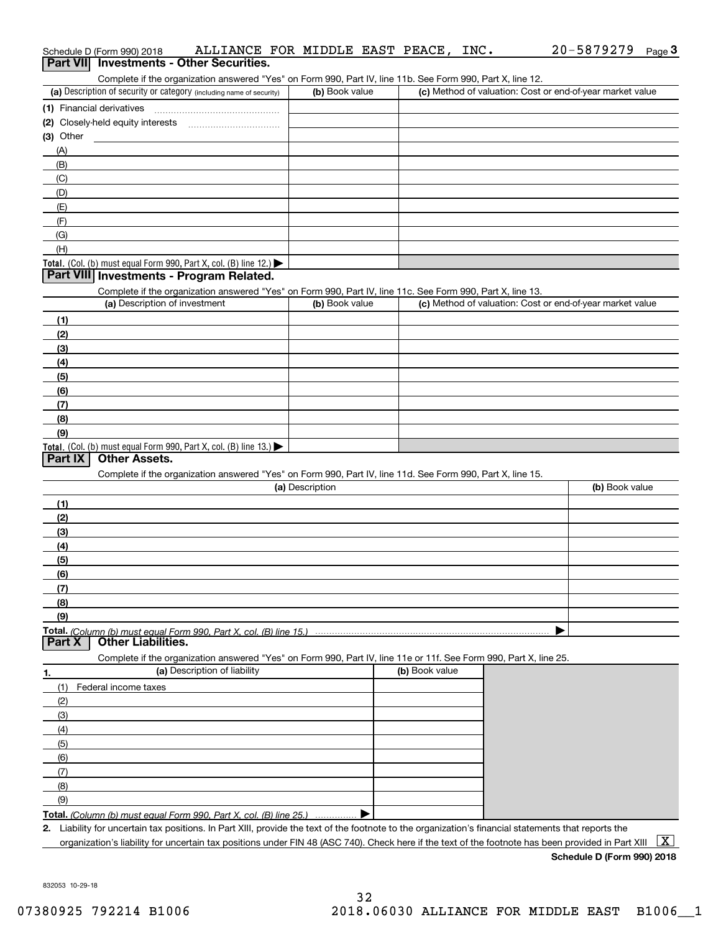|                  | Schedule D (Form 990) 2018                                                                                                                           | ALLIANCE FOR MIDDLE EAST PEACE, | INC.           | 20-5879279<br>Page $3$                                    |
|------------------|------------------------------------------------------------------------------------------------------------------------------------------------------|---------------------------------|----------------|-----------------------------------------------------------|
| <b>Part VIII</b> | <b>Investments - Other Securities.</b>                                                                                                               |                                 |                |                                                           |
|                  | Complete if the organization answered "Yes" on Form 990, Part IV, line 11b. See Form 990, Part X, line 12.                                           |                                 |                |                                                           |
|                  | (a) Description of security or category (including name of security)                                                                                 | (b) Book value                  |                | (c) Method of valuation: Cost or end-of-year market value |
|                  | (1) Financial derivatives                                                                                                                            |                                 |                |                                                           |
|                  |                                                                                                                                                      |                                 |                |                                                           |
| (3) Other        |                                                                                                                                                      |                                 |                |                                                           |
| (A)              |                                                                                                                                                      |                                 |                |                                                           |
| (B)              |                                                                                                                                                      |                                 |                |                                                           |
| (C)              |                                                                                                                                                      |                                 |                |                                                           |
| (D)              |                                                                                                                                                      |                                 |                |                                                           |
| (E)              |                                                                                                                                                      |                                 |                |                                                           |
| (F)              |                                                                                                                                                      |                                 |                |                                                           |
| (G)              |                                                                                                                                                      |                                 |                |                                                           |
| (H)              |                                                                                                                                                      |                                 |                |                                                           |
|                  | Total. (Col. (b) must equal Form 990, Part X, col. (B) line 12.) $\blacktriangleright$                                                               |                                 |                |                                                           |
|                  | Part VIII Investments - Program Related.                                                                                                             |                                 |                |                                                           |
|                  | Complete if the organization answered "Yes" on Form 990, Part IV, line 11c. See Form 990, Part X, line 13.                                           |                                 |                |                                                           |
|                  | (a) Description of investment                                                                                                                        | (b) Book value                  |                | (c) Method of valuation: Cost or end-of-year market value |
| (1)              |                                                                                                                                                      |                                 |                |                                                           |
| (2)              |                                                                                                                                                      |                                 |                |                                                           |
| (3)              |                                                                                                                                                      |                                 |                |                                                           |
| (4)              |                                                                                                                                                      |                                 |                |                                                           |
| (5)              |                                                                                                                                                      |                                 |                |                                                           |
| (6)              |                                                                                                                                                      |                                 |                |                                                           |
| (7)              |                                                                                                                                                      |                                 |                |                                                           |
| (8)              |                                                                                                                                                      |                                 |                |                                                           |
| (9)              |                                                                                                                                                      |                                 |                |                                                           |
|                  | Total. (Col. (b) must equal Form 990, Part X, col. (B) line $13.$ )                                                                                  |                                 |                |                                                           |
| Part IX          | <b>Other Assets.</b>                                                                                                                                 |                                 |                |                                                           |
|                  | Complete if the organization answered "Yes" on Form 990, Part IV, line 11d. See Form 990, Part X, line 15.                                           |                                 |                |                                                           |
|                  |                                                                                                                                                      | (a) Description                 |                | (b) Book value                                            |
| (1)              |                                                                                                                                                      |                                 |                |                                                           |
| (2)              |                                                                                                                                                      |                                 |                |                                                           |
| (3)              |                                                                                                                                                      |                                 |                |                                                           |
| (4)              |                                                                                                                                                      |                                 |                |                                                           |
| (5)              |                                                                                                                                                      |                                 |                |                                                           |
| (6)              |                                                                                                                                                      |                                 |                |                                                           |
| (7)              |                                                                                                                                                      |                                 |                |                                                           |
| (8)              |                                                                                                                                                      |                                 |                |                                                           |
| (9)              |                                                                                                                                                      |                                 |                |                                                           |
| Part X           | Total. (Column (b) must equal Form 990. Part X, col. (B) line 15.)<br><b>Other Liabilities.</b>                                                      |                                 |                |                                                           |
|                  |                                                                                                                                                      |                                 |                |                                                           |
|                  | Complete if the organization answered "Yes" on Form 990, Part IV, line 11e or 11f. See Form 990, Part X, line 25.                                    |                                 | (b) Book value |                                                           |
| 1.               | (a) Description of liability                                                                                                                         |                                 |                |                                                           |
| (1)              | Federal income taxes                                                                                                                                 |                                 |                |                                                           |
| (2)              |                                                                                                                                                      |                                 |                |                                                           |
| (3)              |                                                                                                                                                      |                                 |                |                                                           |
| (4)              |                                                                                                                                                      |                                 |                |                                                           |
| (5)              |                                                                                                                                                      |                                 |                |                                                           |
| (6)              |                                                                                                                                                      |                                 |                |                                                           |
| (7)              |                                                                                                                                                      |                                 |                |                                                           |
| (8)              |                                                                                                                                                      |                                 |                |                                                           |
| (9)              |                                                                                                                                                      |                                 |                |                                                           |
|                  | Total. (Column (b) must equal Form 990, Part X, col. (B) line 25.)                                                                                   |                                 |                |                                                           |
|                  | 2. Liability for uncertain tax positions. In Part XIII, provide the text of the footnote to the organization's financial statements that reports the |                                 |                |                                                           |
|                  | organization's liability for uncertain tax positions under FIN 48 (ASC 740). Check here if the text of the footnote has been provided in Part XIII   |                                 |                | X                                                         |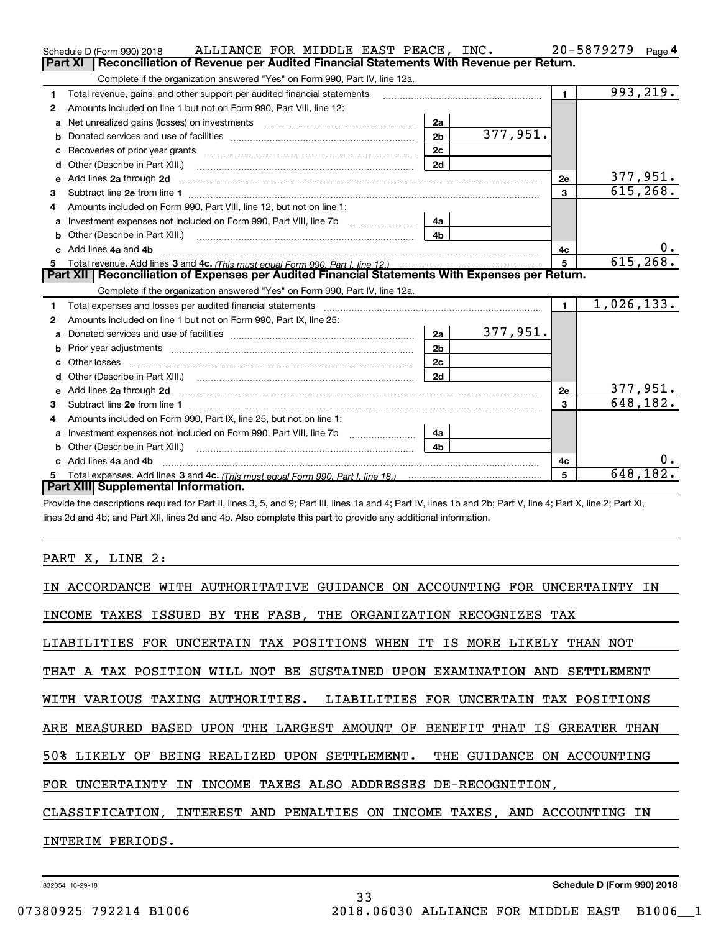|   | ALLIANCE FOR MIDDLE EAST PEACE, INC.<br>Schedule D (Form 990) 2018                                                                                                                                                                  |                |           |                | 20-5879279<br>Page 4 |
|---|-------------------------------------------------------------------------------------------------------------------------------------------------------------------------------------------------------------------------------------|----------------|-----------|----------------|----------------------|
|   | Reconciliation of Revenue per Audited Financial Statements With Revenue per Return.<br>Part XI                                                                                                                                      |                |           |                |                      |
|   | Complete if the organization answered "Yes" on Form 990, Part IV, line 12a.                                                                                                                                                         |                |           |                |                      |
| 1 | Total revenue, gains, and other support per audited financial statements                                                                                                                                                            |                |           | $\mathbf{1}$   | 993,219.             |
| 2 | Amounts included on line 1 but not on Form 990, Part VIII, line 12:                                                                                                                                                                 |                |           |                |                      |
| a |                                                                                                                                                                                                                                     | 2a             |           |                |                      |
| b |                                                                                                                                                                                                                                     | 2 <sub>b</sub> | 377,951.  |                |                      |
|   |                                                                                                                                                                                                                                     | 2c             |           |                |                      |
| d | Other (Describe in Part XIII.) <b>Construction Construction</b> Chern Construction Chern Chern Chern Chern Chern Chern                                                                                                              | 2d             |           |                |                      |
| е | Add lines 2a through 2d                                                                                                                                                                                                             |                |           | <b>2e</b>      | 377,951.             |
| 3 |                                                                                                                                                                                                                                     |                |           | 3              | 615, 268.            |
| 4 | Amounts included on Form 990, Part VIII, line 12, but not on line 1:                                                                                                                                                                |                |           |                |                      |
| a |                                                                                                                                                                                                                                     | 4a             |           |                |                      |
|   |                                                                                                                                                                                                                                     | 4b             |           |                |                      |
|   | c Add lines 4a and 4b                                                                                                                                                                                                               |                |           | 4c             | 0.                   |
|   |                                                                                                                                                                                                                                     |                |           | 5              | 615, 268.            |
| 5 |                                                                                                                                                                                                                                     |                |           |                |                      |
|   | Part XII   Reconciliation of Expenses per Audited Financial Statements With Expenses per Return.                                                                                                                                    |                |           |                |                      |
|   | Complete if the organization answered "Yes" on Form 990, Part IV, line 12a.                                                                                                                                                         |                |           |                |                      |
| 1 | Total expenses and losses per audited financial statements [11] [12] manuscription control expenses and losses per audited financial statements [12] [12] manuscription of the statements [12] manuscription of the statements      |                |           | $\blacksquare$ | 1,026,133.           |
| 2 | Amounts included on line 1 but not on Form 990, Part IX, line 25:                                                                                                                                                                   |                |           |                |                      |
| a |                                                                                                                                                                                                                                     | 2a             | 377, 951. |                |                      |
| b |                                                                                                                                                                                                                                     | 2 <sub>b</sub> |           |                |                      |
|   |                                                                                                                                                                                                                                     | 2c             |           |                |                      |
| d |                                                                                                                                                                                                                                     | 2d             |           |                |                      |
| е | Add lines 2a through 2d <b>contained a contained a contained a contained a</b> contained a contact the state of the state of the state of the state of the state of the state of the state of the state of the state of the state o |                |           | <b>2e</b>      | <u>377,951.</u>      |
| 3 | Subtract line 2e from line 1 <b>manufacture in the contract of the 2e</b> from line 1                                                                                                                                               |                |           | $\overline{3}$ | 648, 182.            |
| 4 | Amounts included on Form 990, Part IX, line 25, but not on line 1:                                                                                                                                                                  |                |           |                |                      |
| a | Investment expenses not included on Form 990, Part VIII, line 7b [100] [100] [100] [100] [100] [100] [100] [10                                                                                                                      | 4a             |           |                |                      |
|   | Other (Describe in Part XIII.)                                                                                                                                                                                                      | 4 <sub>b</sub> |           |                |                      |
|   | c Add lines 4a and 4b                                                                                                                                                                                                               |                |           | 4с             |                      |
|   | Part XIII Supplemental Information.                                                                                                                                                                                                 |                |           | 5              | 648,182.             |

Provide the descriptions required for Part II, lines 3, 5, and 9; Part III, lines 1a and 4; Part IV, lines 1b and 2b; Part V, line 4; Part X, line 2; Part XI, lines 2d and 4b; and Part XII, lines 2d and 4b. Also complete this part to provide any additional information.

### PART X, LINE 2:

| IN ACCORDANCE WITH AUTHORITATIVE GUIDANCE ON ACCOUNTING FOR UNCERTAINTY IN |
|----------------------------------------------------------------------------|
| INCOME TAXES ISSUED BY THE FASB, THE ORGANIZATION RECOGNIZES TAX           |
| LIABILITIES FOR UNCERTAIN TAX POSITIONS WHEN IT IS MORE LIKELY THAN NOT    |
| THAT A TAX POSITION WILL NOT BE SUSTAINED UPON EXAMINATION AND SETTLEMENT  |
| WITH VARIOUS TAXING AUTHORITIES. LIABILITIES FOR UNCERTAIN TAX POSITIONS   |
| ARE MEASURED BASED UPON THE LARGEST AMOUNT OF BENEFIT THAT IS GREATER THAN |
| 50% LIKELY OF BEING REALIZED UPON SETTLEMENT. THE GUIDANCE ON ACCOUNTING   |
| FOR UNCERTAINTY IN INCOME TAXES ALSO ADDRESSES DE-RECOGNITION,             |
| CLASSIFICATION, INTEREST AND PENALTIES ON INCOME TAXES, AND ACCOUNTING IN  |
| INTERIM PERIODS.                                                           |
|                                                                            |

33

832054 10-29-18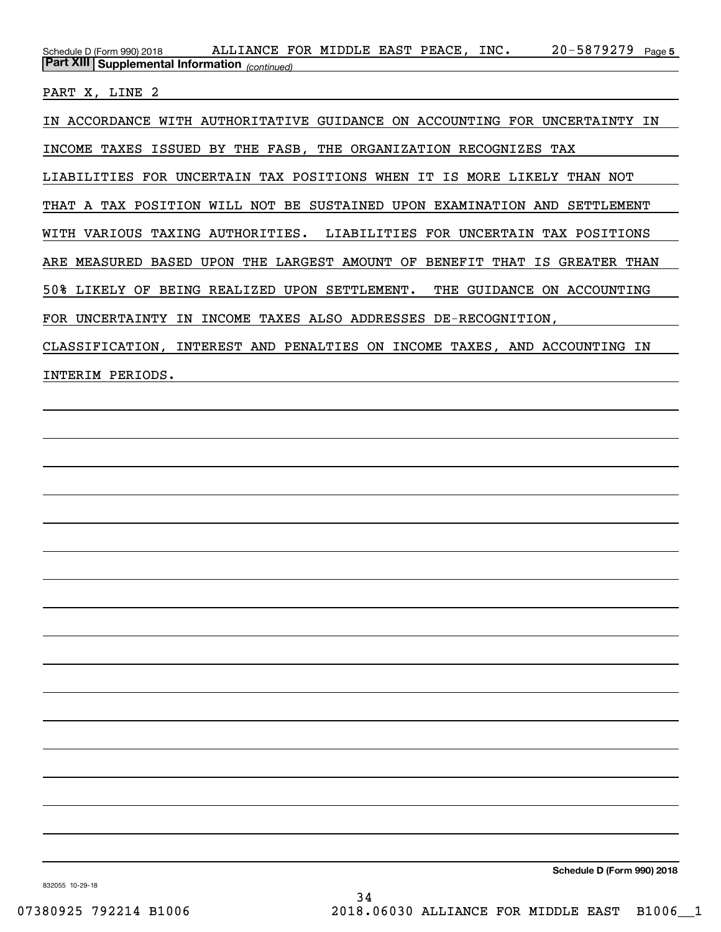20-5879279 Page 5 *(continued)* **Part XIII Supplemental Information**  Schedule D (Form 990) 2018 ALLIANCE FOR MIDDLE EAST PEACE , INC 20-5879279 Page

PART X, LINE 2

IN ACCORDANCE WITH AUTHORITATIVE GUIDANCE ON ACCOUNTING FOR UNCERTAINTY IN INCOME TAXES ISSUED BY THE FASB, THE ORGANIZATION RECOGNIZES TAX LIABILITIES FOR UNCERTAIN TAX POSITIONS WHEN IT IS MORE LIKELY THAN NOT THAT A TAX POSITION WILL NOT BE SUSTAINED UPON EXAMINATION AND SETTLEMENT WITH VARIOUS TAXING AUTHORITIES. LIABILITIES FOR UNCERTAIN TAX POSITIONS ARE MEASURED BASED UPON THE LARGEST AMOUNT OF BENEFIT THAT IS GREATER THAN 50% LIKELY OF BEING REALIZED UPON SETTLEMENT. THE GUIDANCE ON ACCOUNTING FOR UNCERTAINTY IN INCOME TAXES ALSO ADDRESSES DE-RECOGNITION, CLASSIFICATION, INTEREST AND PENALTIES ON INCOME TAXES, AND ACCOUNTING IN INTERIM PERIODS.

**Schedule D (Form 990) 2018**

832055 10-29-18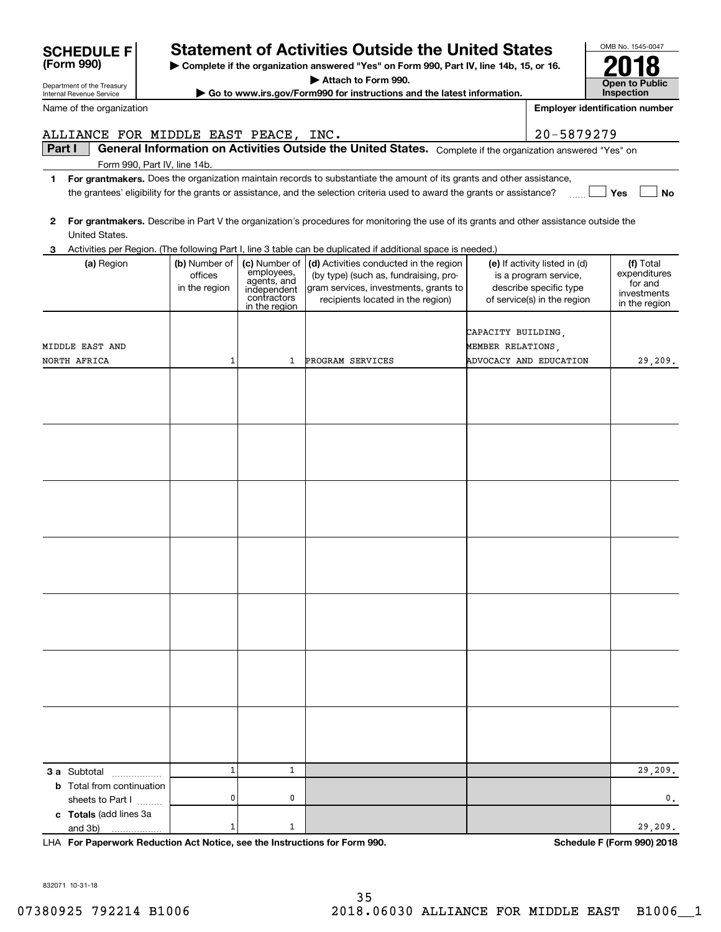|        | Internal Revenue Service                             |                                           |                                                                          | Go to www.irs.gov/Form990 for instructions and the latest information.                                                                                                          |                                         |                                                                                                                 | Inspection                                                           |
|--------|------------------------------------------------------|-------------------------------------------|--------------------------------------------------------------------------|---------------------------------------------------------------------------------------------------------------------------------------------------------------------------------|-----------------------------------------|-----------------------------------------------------------------------------------------------------------------|----------------------------------------------------------------------|
|        | Name of the organization                             |                                           |                                                                          |                                                                                                                                                                                 |                                         |                                                                                                                 | <b>Employer identification number</b>                                |
|        | ALLIANCE FOR MIDDLE EAST PEACE, INC.                 |                                           |                                                                          |                                                                                                                                                                                 |                                         | 20-5879279                                                                                                      |                                                                      |
| Part I |                                                      |                                           |                                                                          | General Information on Activities Outside the United States. Complete if the organization answered "Yes" on                                                                     |                                         |                                                                                                                 |                                                                      |
|        | Form 990, Part IV, line 14b.                         |                                           |                                                                          |                                                                                                                                                                                 |                                         |                                                                                                                 |                                                                      |
| 1      |                                                      |                                           |                                                                          | For grantmakers. Does the organization maintain records to substantiate the amount of its grants and other assistance,                                                          |                                         |                                                                                                                 |                                                                      |
|        |                                                      |                                           |                                                                          | the grantees' eligibility for the grants or assistance, and the selection criteria used to award the grants or assistance?                                                      |                                         |                                                                                                                 | Yes<br>No                                                            |
| 2      | United States.                                       |                                           |                                                                          | For grantmakers. Describe in Part V the organization's procedures for monitoring the use of its grants and other assistance outside the                                         |                                         |                                                                                                                 |                                                                      |
| З      |                                                      |                                           |                                                                          | Activities per Region. (The following Part I, line 3 table can be duplicated if additional space is needed.)                                                                    |                                         |                                                                                                                 |                                                                      |
|        | (a) Region                                           | (b) Number of<br>offices<br>in the region | employees,<br>agents, and<br>independent<br>contractors<br>in the region | (c) Number of $ $ (d) Activities conducted in the region<br>(by type) (such as, fundraising, pro-<br>gram services, investments, grants to<br>recipients located in the region) |                                         | (e) If activity listed in (d)<br>is a program service,<br>describe specific type<br>of service(s) in the region | (f) Total<br>expenditures<br>for and<br>investments<br>in the region |
|        |                                                      |                                           |                                                                          |                                                                                                                                                                                 |                                         |                                                                                                                 |                                                                      |
|        | MIDDLE EAST AND                                      |                                           |                                                                          |                                                                                                                                                                                 | CAPACITY BUILDING,<br>MEMBER RELATIONS, |                                                                                                                 |                                                                      |
|        | NORTH AFRICA                                         | 1                                         | 1                                                                        | PROGRAM SERVICES                                                                                                                                                                |                                         | ADVOCACY AND EDUCATION                                                                                          | 29,209.                                                              |
|        |                                                      |                                           |                                                                          |                                                                                                                                                                                 |                                         |                                                                                                                 |                                                                      |
|        |                                                      |                                           |                                                                          |                                                                                                                                                                                 |                                         |                                                                                                                 |                                                                      |
|        |                                                      |                                           |                                                                          |                                                                                                                                                                                 |                                         |                                                                                                                 |                                                                      |
|        |                                                      |                                           |                                                                          |                                                                                                                                                                                 |                                         |                                                                                                                 |                                                                      |
|        |                                                      |                                           |                                                                          |                                                                                                                                                                                 |                                         |                                                                                                                 |                                                                      |
|        |                                                      |                                           |                                                                          |                                                                                                                                                                                 |                                         |                                                                                                                 |                                                                      |
|        |                                                      |                                           |                                                                          |                                                                                                                                                                                 |                                         |                                                                                                                 |                                                                      |
|        |                                                      |                                           |                                                                          |                                                                                                                                                                                 |                                         |                                                                                                                 |                                                                      |
|        |                                                      |                                           |                                                                          |                                                                                                                                                                                 |                                         |                                                                                                                 |                                                                      |
|        |                                                      |                                           |                                                                          |                                                                                                                                                                                 |                                         |                                                                                                                 |                                                                      |
|        |                                                      |                                           |                                                                          |                                                                                                                                                                                 |                                         |                                                                                                                 |                                                                      |
|        |                                                      |                                           |                                                                          |                                                                                                                                                                                 |                                         |                                                                                                                 |                                                                      |
|        |                                                      |                                           |                                                                          |                                                                                                                                                                                 |                                         |                                                                                                                 |                                                                      |
|        |                                                      |                                           |                                                                          |                                                                                                                                                                                 |                                         |                                                                                                                 |                                                                      |
|        | 3 a Subtotal                                         | $\mathbf 1$                               | 1                                                                        |                                                                                                                                                                                 |                                         |                                                                                                                 | 29,209.                                                              |
|        | <b>b</b> Total from continuation<br>sheets to Part I | 0                                         | 0                                                                        |                                                                                                                                                                                 |                                         |                                                                                                                 | 0.                                                                   |
|        | c Totals (add lines 3a<br>and 3b)                    | 1                                         | 1                                                                        |                                                                                                                                                                                 |                                         |                                                                                                                 | 29,209.                                                              |

**For Paperwork Reduction Act Notice, see the Instructions for Form 990. Schedule F (Form 990) 2018** LHA

832071 10-31-18

# **Statement of Activities Outside the United States**

**| Complete if the organization answered "Yes" on Form 990, Part IV, line 14b, 15, or 16.**

**| Attach to Form 990.**

OMB No. 1545-0047 **Open to Public 2018**

| atement of A            |  |
|-------------------------|--|
| complete if the organiz |  |

Department of the Treasury

**(Form 990)**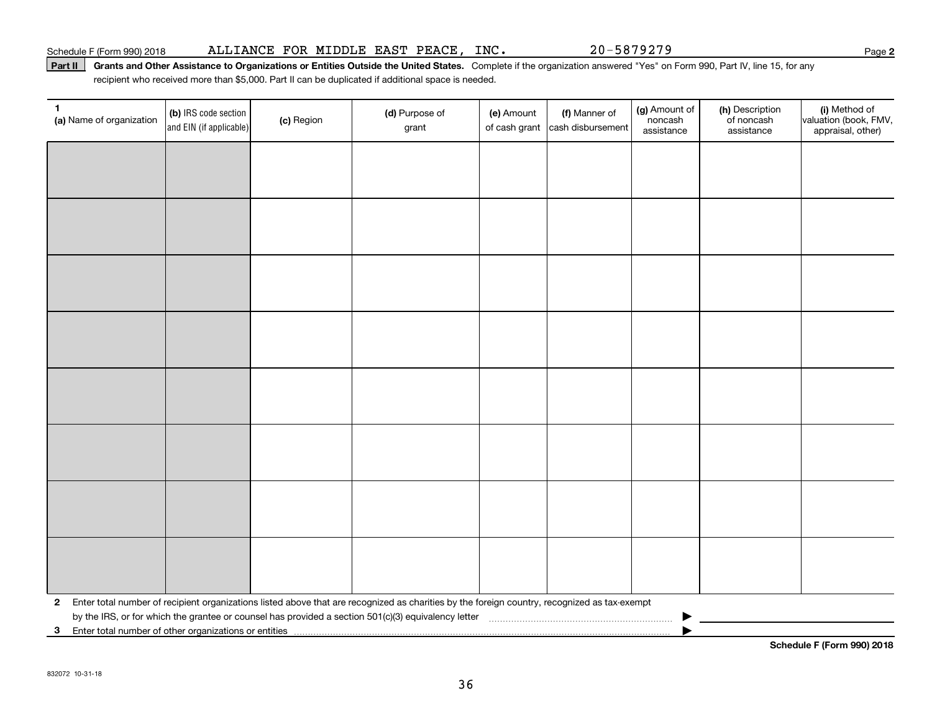### Part II | Grants and Other Assistance to Organizations or Entities Outside the United States. Complete if the organization answered "Yes" on Form 990, Part IV, line 15, for any recipient who received more than \$5,000. Part II can be duplicated if additional space is needed.

| 1<br>(a) Name of organization | (b) IRS code section<br>and EIN (if applicable)         | (c) Region | (d) Purpose of<br>grant                                                                                                                      | (e) Amount<br>of cash grant | (f) Manner of<br>cash disbursement | (g) Amount of<br>noncash<br>assistance | (h) Description<br>of noncash<br>assistance | (i) Method of<br>valuation (book, FMV,<br>appraisal, other) |
|-------------------------------|---------------------------------------------------------|------------|----------------------------------------------------------------------------------------------------------------------------------------------|-----------------------------|------------------------------------|----------------------------------------|---------------------------------------------|-------------------------------------------------------------|
|                               |                                                         |            |                                                                                                                                              |                             |                                    |                                        |                                             |                                                             |
|                               |                                                         |            |                                                                                                                                              |                             |                                    |                                        |                                             |                                                             |
|                               |                                                         |            |                                                                                                                                              |                             |                                    |                                        |                                             |                                                             |
|                               |                                                         |            |                                                                                                                                              |                             |                                    |                                        |                                             |                                                             |
|                               |                                                         |            |                                                                                                                                              |                             |                                    |                                        |                                             |                                                             |
|                               |                                                         |            |                                                                                                                                              |                             |                                    |                                        |                                             |                                                             |
|                               |                                                         |            |                                                                                                                                              |                             |                                    |                                        |                                             |                                                             |
|                               |                                                         |            |                                                                                                                                              |                             |                                    |                                        |                                             |                                                             |
|                               |                                                         |            |                                                                                                                                              |                             |                                    |                                        |                                             |                                                             |
|                               |                                                         |            |                                                                                                                                              |                             |                                    |                                        |                                             |                                                             |
|                               |                                                         |            |                                                                                                                                              |                             |                                    |                                        |                                             |                                                             |
|                               |                                                         |            |                                                                                                                                              |                             |                                    |                                        |                                             |                                                             |
|                               |                                                         |            |                                                                                                                                              |                             |                                    |                                        |                                             |                                                             |
|                               |                                                         |            |                                                                                                                                              |                             |                                    |                                        |                                             |                                                             |
|                               |                                                         |            |                                                                                                                                              |                             |                                    |                                        |                                             |                                                             |
|                               |                                                         |            |                                                                                                                                              |                             |                                    |                                        |                                             |                                                             |
| $\mathbf{2}$                  |                                                         |            | Enter total number of recipient organizations listed above that are recognized as charities by the foreign country, recognized as tax-exempt |                             |                                    |                                        |                                             |                                                             |
|                               | 3 Enter total number of other organizations or entities |            |                                                                                                                                              |                             |                                    |                                        |                                             |                                                             |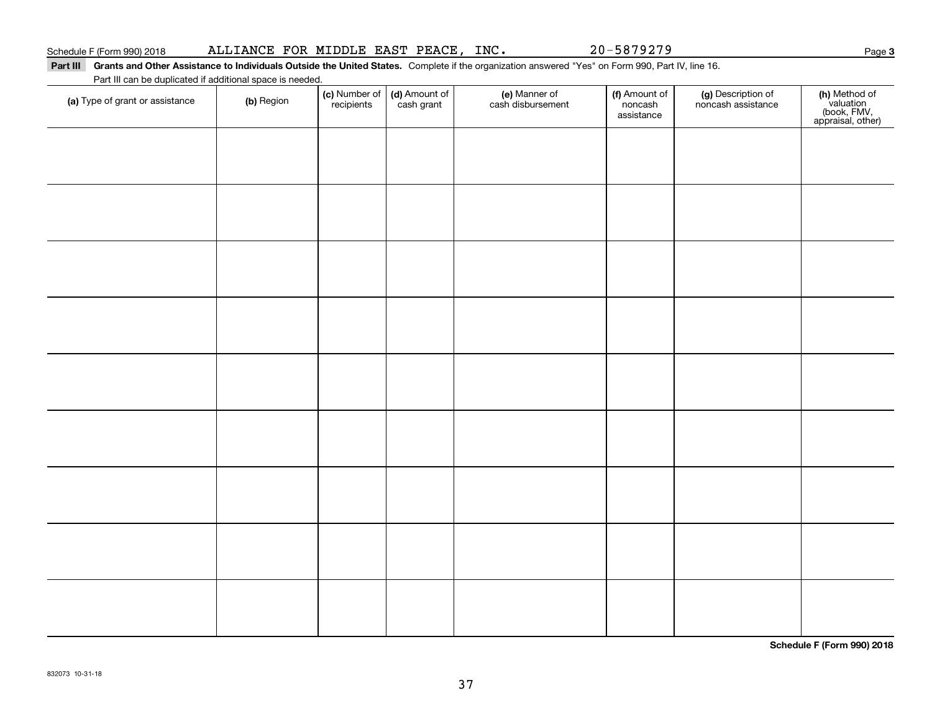### Part III Grants and Other Assistance to Individuals Outside the United States. Complete if the organization answered "Yes" on Form 990, Part IV, line 16. Part III can be duplicated if additional space is needed.

| Part in can be duplicated if additional space is needed.<br>(a) Type of grant or assistance | (b) Region | (c) Number of<br>recipients | (d) Amount of<br>cash grant | (e) Manner of<br>cash disbursement | (f) Amount of<br>noncash<br>assistance | (g) Description of<br>noncash assistance | (h) Method of<br>valuation<br>(book, FMV,<br>appraisal, other) |
|---------------------------------------------------------------------------------------------|------------|-----------------------------|-----------------------------|------------------------------------|----------------------------------------|------------------------------------------|----------------------------------------------------------------|
|                                                                                             |            |                             |                             |                                    |                                        |                                          |                                                                |
|                                                                                             |            |                             |                             |                                    |                                        |                                          |                                                                |
|                                                                                             |            |                             |                             |                                    |                                        |                                          |                                                                |
|                                                                                             |            |                             |                             |                                    |                                        |                                          |                                                                |
|                                                                                             |            |                             |                             |                                    |                                        |                                          |                                                                |
|                                                                                             |            |                             |                             |                                    |                                        |                                          |                                                                |
|                                                                                             |            |                             |                             |                                    |                                        |                                          |                                                                |
|                                                                                             |            |                             |                             |                                    |                                        |                                          |                                                                |
|                                                                                             |            |                             |                             |                                    |                                        |                                          |                                                                |
|                                                                                             |            |                             |                             |                                    |                                        |                                          |                                                                |

**Schedule F (Form 990) 2018**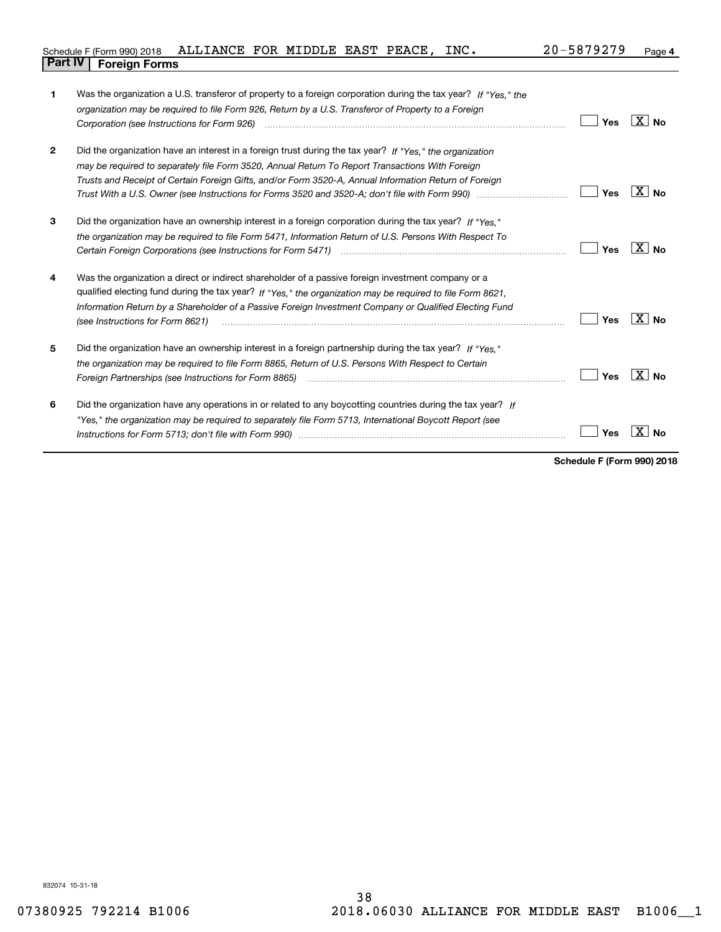|                                | Schedule F (Form 990) 2018 ALLIANCE FOR MIDDLE EAST PEACE, INC. |  |  | 20-5879279 | Page |
|--------------------------------|-----------------------------------------------------------------|--|--|------------|------|
| <b>Part IV   Foreign Forms</b> |                                                                 |  |  |            |      |

| 1            | Was the organization a U.S. transferor of property to a foreign corporation during the tax year? If "Yes." the                             |     |                   |
|--------------|--------------------------------------------------------------------------------------------------------------------------------------------|-----|-------------------|
|              | organization may be required to file Form 926, Return by a U.S. Transferor of Property to a Foreign                                        |     |                   |
|              |                                                                                                                                            | Yes | $X$ No            |
| $\mathbf{2}$ | Did the organization have an interest in a foreign trust during the tax year? If "Yes," the organization                                   |     |                   |
|              | may be required to separately file Form 3520, Annual Return To Report Transactions With Foreign                                            |     |                   |
|              | Trusts and Receipt of Certain Foreign Gifts, and/or Form 3520-A, Annual Information Return of Foreign                                      |     |                   |
|              |                                                                                                                                            | Yes | X∣No              |
| 3            | Did the organization have an ownership interest in a foreign corporation during the tax year? If "Yes."                                    |     |                   |
|              | the organization may be required to file Form 5471, Information Return of U.S. Persons With Respect To                                     |     |                   |
|              |                                                                                                                                            | Yes | ⊦X ∣No            |
| 4            | Was the organization a direct or indirect shareholder of a passive foreign investment company or a                                         |     |                   |
|              | qualified electing fund during the tax year? If "Yes," the organization may be required to file Form 8621,                                 |     |                   |
|              | Information Return by a Shareholder of a Passive Foreign Investment Company or Qualified Electing Fund<br>(see Instructions for Form 8621) | Yes | $\overline{X}$ No |
| 5            | Did the organization have an ownership interest in a foreign partnership during the tax year? If "Yes."                                    |     |                   |
|              | the organization may be required to file Form 8865, Return of U.S. Persons With Respect to Certain                                         |     |                   |
|              | Foreign Partnerships (see Instructions for Form 8865) manufactured contains and contained and contained and co                             | Yes | ∣X∣No             |
|              |                                                                                                                                            |     |                   |
| 6            | Did the organization have any operations in or related to any boycotting countries during the tax year? If                                 |     |                   |
|              | "Yes," the organization may be required to separately file Form 5713, International Boycott Report (see                                    |     |                   |
|              |                                                                                                                                            | Yes |                   |
|              |                                                                                                                                            |     |                   |

**Schedule F (Form 990) 2018**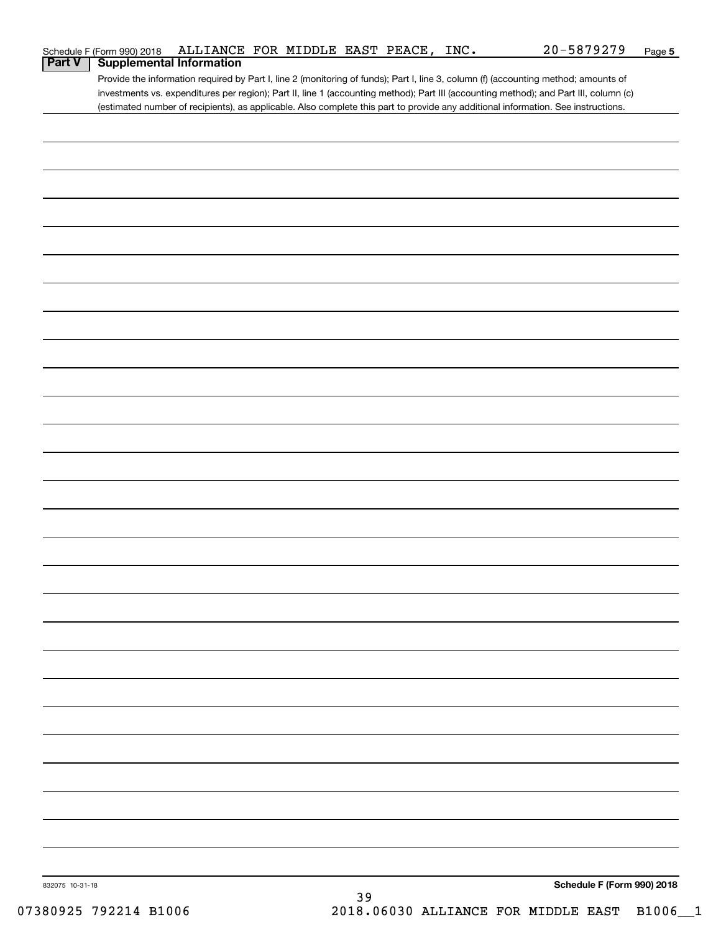|                 | Schedule F (Form 990) 2018 | ALLIANCE FOR MIDDLE EAST PEACE, INC. |  |    |  | 20-5879279                                                                                                                            | Page 5 |
|-----------------|----------------------------|--------------------------------------|--|----|--|---------------------------------------------------------------------------------------------------------------------------------------|--------|
| <b>Part V</b>   |                            | <b>Supplemental Information</b>      |  |    |  |                                                                                                                                       |        |
|                 |                            |                                      |  |    |  | Provide the information required by Part I, line 2 (monitoring of funds); Part I, line 3, column (f) (accounting method; amounts of   |        |
|                 |                            |                                      |  |    |  | investments vs. expenditures per region); Part II, line 1 (accounting method); Part III (accounting method); and Part III, column (c) |        |
|                 |                            |                                      |  |    |  | (estimated number of recipients), as applicable. Also complete this part to provide any additional information. See instructions.     |        |
|                 |                            |                                      |  |    |  |                                                                                                                                       |        |
|                 |                            |                                      |  |    |  |                                                                                                                                       |        |
|                 |                            |                                      |  |    |  |                                                                                                                                       |        |
|                 |                            |                                      |  |    |  |                                                                                                                                       |        |
|                 |                            |                                      |  |    |  |                                                                                                                                       |        |
|                 |                            |                                      |  |    |  |                                                                                                                                       |        |
|                 |                            |                                      |  |    |  |                                                                                                                                       |        |
|                 |                            |                                      |  |    |  |                                                                                                                                       |        |
|                 |                            |                                      |  |    |  |                                                                                                                                       |        |
|                 |                            |                                      |  |    |  |                                                                                                                                       |        |
|                 |                            |                                      |  |    |  |                                                                                                                                       |        |
|                 |                            |                                      |  |    |  |                                                                                                                                       |        |
|                 |                            |                                      |  |    |  |                                                                                                                                       |        |
|                 |                            |                                      |  |    |  |                                                                                                                                       |        |
|                 |                            |                                      |  |    |  |                                                                                                                                       |        |
|                 |                            |                                      |  |    |  |                                                                                                                                       |        |
|                 |                            |                                      |  |    |  |                                                                                                                                       |        |
|                 |                            |                                      |  |    |  |                                                                                                                                       |        |
|                 |                            |                                      |  |    |  |                                                                                                                                       |        |
|                 |                            |                                      |  |    |  |                                                                                                                                       |        |
|                 |                            |                                      |  |    |  |                                                                                                                                       |        |
|                 |                            |                                      |  |    |  |                                                                                                                                       |        |
|                 |                            |                                      |  |    |  |                                                                                                                                       |        |
|                 |                            |                                      |  |    |  |                                                                                                                                       |        |
|                 |                            |                                      |  |    |  |                                                                                                                                       |        |
|                 |                            |                                      |  |    |  |                                                                                                                                       |        |
|                 |                            |                                      |  |    |  |                                                                                                                                       |        |
|                 |                            |                                      |  |    |  |                                                                                                                                       |        |
|                 |                            |                                      |  |    |  |                                                                                                                                       |        |
|                 |                            |                                      |  |    |  |                                                                                                                                       |        |
|                 |                            |                                      |  |    |  |                                                                                                                                       |        |
|                 |                            |                                      |  |    |  |                                                                                                                                       |        |
|                 |                            |                                      |  |    |  |                                                                                                                                       |        |
|                 |                            |                                      |  |    |  |                                                                                                                                       |        |
|                 |                            |                                      |  |    |  |                                                                                                                                       |        |
|                 |                            |                                      |  |    |  |                                                                                                                                       |        |
|                 |                            |                                      |  |    |  |                                                                                                                                       |        |
|                 |                            |                                      |  |    |  |                                                                                                                                       |        |
|                 |                            |                                      |  |    |  |                                                                                                                                       |        |
|                 |                            |                                      |  |    |  |                                                                                                                                       |        |
|                 |                            |                                      |  |    |  |                                                                                                                                       |        |
|                 |                            |                                      |  |    |  |                                                                                                                                       |        |
|                 |                            |                                      |  |    |  |                                                                                                                                       |        |
|                 |                            |                                      |  |    |  |                                                                                                                                       |        |
|                 |                            |                                      |  |    |  |                                                                                                                                       |        |
|                 |                            |                                      |  |    |  |                                                                                                                                       |        |
|                 |                            |                                      |  |    |  |                                                                                                                                       |        |
|                 |                            |                                      |  |    |  |                                                                                                                                       |        |
| 832075 10-31-18 |                            |                                      |  |    |  | Schedule F (Form 990) 2018                                                                                                            |        |
|                 |                            |                                      |  | 39 |  |                                                                                                                                       |        |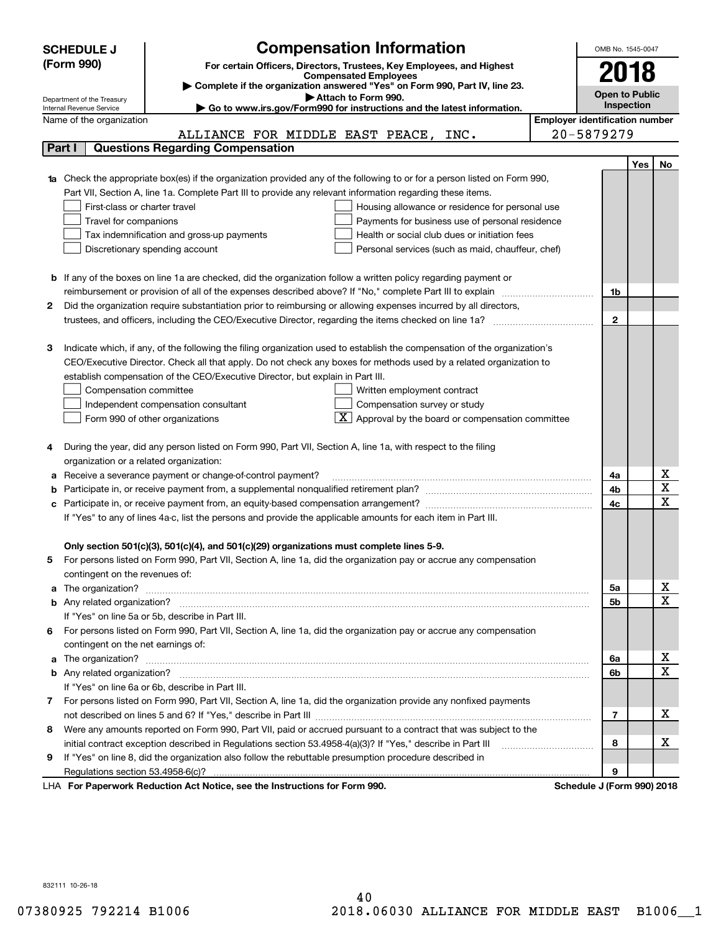|    | <b>Compensation Information</b><br><b>SCHEDULE J</b>                                                                                                                                                                                 |                                       | OMB No. 1545-0047          |      |                         |  |
|----|--------------------------------------------------------------------------------------------------------------------------------------------------------------------------------------------------------------------------------------|---------------------------------------|----------------------------|------|-------------------------|--|
|    | (Form 990)<br>For certain Officers, Directors, Trustees, Key Employees, and Highest                                                                                                                                                  |                                       |                            | 2018 |                         |  |
|    | <b>Compensated Employees</b>                                                                                                                                                                                                         |                                       |                            |      |                         |  |
|    | Complete if the organization answered "Yes" on Form 990, Part IV, line 23.<br>Attach to Form 990.<br>Department of the Treasury                                                                                                      |                                       | <b>Open to Public</b>      |      |                         |  |
|    | Go to www.irs.gov/Form990 for instructions and the latest information.<br>Internal Revenue Service                                                                                                                                   |                                       | <b>Inspection</b>          |      |                         |  |
|    | Name of the organization                                                                                                                                                                                                             | <b>Employer identification number</b> |                            |      |                         |  |
|    | ALLIANCE FOR MIDDLE EAST PEACE, INC.                                                                                                                                                                                                 |                                       | 20-5879279                 |      |                         |  |
|    | <b>Questions Regarding Compensation</b><br>Part I                                                                                                                                                                                    |                                       |                            |      |                         |  |
|    |                                                                                                                                                                                                                                      |                                       |                            | Yes  | No                      |  |
|    | <b>1a</b> Check the appropriate box(es) if the organization provided any of the following to or for a person listed on Form 990,                                                                                                     |                                       |                            |      |                         |  |
|    | Part VII, Section A, line 1a. Complete Part III to provide any relevant information regarding these items.                                                                                                                           |                                       |                            |      |                         |  |
|    | First-class or charter travel<br>Housing allowance or residence for personal use                                                                                                                                                     |                                       |                            |      |                         |  |
|    | Payments for business use of personal residence<br>Travel for companions                                                                                                                                                             |                                       |                            |      |                         |  |
|    | Tax indemnification and gross-up payments<br>Health or social club dues or initiation fees                                                                                                                                           |                                       |                            |      |                         |  |
|    | Discretionary spending account<br>Personal services (such as maid, chauffeur, chef)                                                                                                                                                  |                                       |                            |      |                         |  |
|    |                                                                                                                                                                                                                                      |                                       |                            |      |                         |  |
|    | <b>b</b> If any of the boxes on line 1a are checked, did the organization follow a written policy regarding payment or                                                                                                               |                                       |                            |      |                         |  |
|    | reimbursement or provision of all of the expenses described above? If "No," complete Part III to explain                                                                                                                             |                                       | 1b                         |      |                         |  |
| 2  | Did the organization require substantiation prior to reimbursing or allowing expenses incurred by all directors,                                                                                                                     |                                       |                            |      |                         |  |
|    | trustees, and officers, including the CEO/Executive Director, regarding the items checked on line 1a?                                                                                                                                |                                       | $\mathbf{2}$               |      |                         |  |
|    |                                                                                                                                                                                                                                      |                                       |                            |      |                         |  |
| З  | Indicate which, if any, of the following the filing organization used to establish the compensation of the organization's                                                                                                            |                                       |                            |      |                         |  |
|    | CEO/Executive Director. Check all that apply. Do not check any boxes for methods used by a related organization to                                                                                                                   |                                       |                            |      |                         |  |
|    | establish compensation of the CEO/Executive Director, but explain in Part III.                                                                                                                                                       |                                       |                            |      |                         |  |
|    | Compensation committee<br>Written employment contract                                                                                                                                                                                |                                       |                            |      |                         |  |
|    | Compensation survey or study<br>Independent compensation consultant                                                                                                                                                                  |                                       |                            |      |                         |  |
|    | $\boxed{\text{X}}$ Approval by the board or compensation committee<br>Form 990 of other organizations                                                                                                                                |                                       |                            |      |                         |  |
|    |                                                                                                                                                                                                                                      |                                       |                            |      |                         |  |
|    | During the year, did any person listed on Form 990, Part VII, Section A, line 1a, with respect to the filing                                                                                                                         |                                       |                            |      |                         |  |
|    | organization or a related organization:                                                                                                                                                                                              |                                       |                            |      | х                       |  |
| а  | Receive a severance payment or change-of-control payment?                                                                                                                                                                            |                                       | 4a<br>4b                   |      | $\overline{\texttt{x}}$ |  |
| с  | Participate in, or receive payment from, an equity-based compensation arrangement?                                                                                                                                                   |                                       | 4c                         |      | $\overline{\text{x}}$   |  |
|    | If "Yes" to any of lines 4a-c, list the persons and provide the applicable amounts for each item in Part III.                                                                                                                        |                                       |                            |      |                         |  |
|    |                                                                                                                                                                                                                                      |                                       |                            |      |                         |  |
|    | Only section 501(c)(3), 501(c)(4), and 501(c)(29) organizations must complete lines 5-9.                                                                                                                                             |                                       |                            |      |                         |  |
|    | For persons listed on Form 990, Part VII, Section A, line 1a, did the organization pay or accrue any compensation                                                                                                                    |                                       |                            |      |                         |  |
|    | contingent on the revenues of:                                                                                                                                                                                                       |                                       |                            |      |                         |  |
|    | a The organization? <b>Entitled Strategies and Strategies and Strategies and Strategies and Strategies and Strategies and Strategies and Strategies and Strategies and Strategies and Strategies and Strategies and Strategies a</b> |                                       | 5а                         |      | x                       |  |
|    |                                                                                                                                                                                                                                      |                                       | <b>5b</b>                  |      | $\overline{\text{x}}$   |  |
|    | If "Yes" on line 5a or 5b, describe in Part III.                                                                                                                                                                                     |                                       |                            |      |                         |  |
| 6. | For persons listed on Form 990, Part VII, Section A, line 1a, did the organization pay or accrue any compensation                                                                                                                    |                                       |                            |      |                         |  |
|    | contingent on the net earnings of:                                                                                                                                                                                                   |                                       |                            |      |                         |  |
|    | a The organization? <b>Entitled Strategies and Strategies and Strategies and Strategies and Strategies and Strategies and Strategies and Strategies and Strategies and Strategies and Strategies and Strategies and Strategies a</b> |                                       | 6a                         |      | x                       |  |
|    |                                                                                                                                                                                                                                      |                                       | 6b                         |      | $\overline{\text{x}}$   |  |
|    | If "Yes" on line 6a or 6b, describe in Part III.                                                                                                                                                                                     |                                       |                            |      |                         |  |
|    | 7 For persons listed on Form 990, Part VII, Section A, line 1a, did the organization provide any nonfixed payments                                                                                                                   |                                       |                            |      |                         |  |
|    |                                                                                                                                                                                                                                      |                                       | 7                          |      | х                       |  |
| 8  | Were any amounts reported on Form 990, Part VII, paid or accrued pursuant to a contract that was subject to the                                                                                                                      |                                       |                            |      |                         |  |
|    | initial contract exception described in Regulations section 53.4958-4(a)(3)? If "Yes," describe in Part III                                                                                                                          |                                       | 8                          |      | x                       |  |
| 9  | If "Yes" on line 8, did the organization also follow the rebuttable presumption procedure described in                                                                                                                               |                                       |                            |      |                         |  |
|    | Regulations section 53.4958-6(c)?                                                                                                                                                                                                    |                                       | 9                          |      |                         |  |
|    | LHA For Paperwork Reduction Act Notice, see the Instructions for Form 990.                                                                                                                                                           |                                       | Schedule J (Form 990) 2018 |      |                         |  |

832111 10-26-18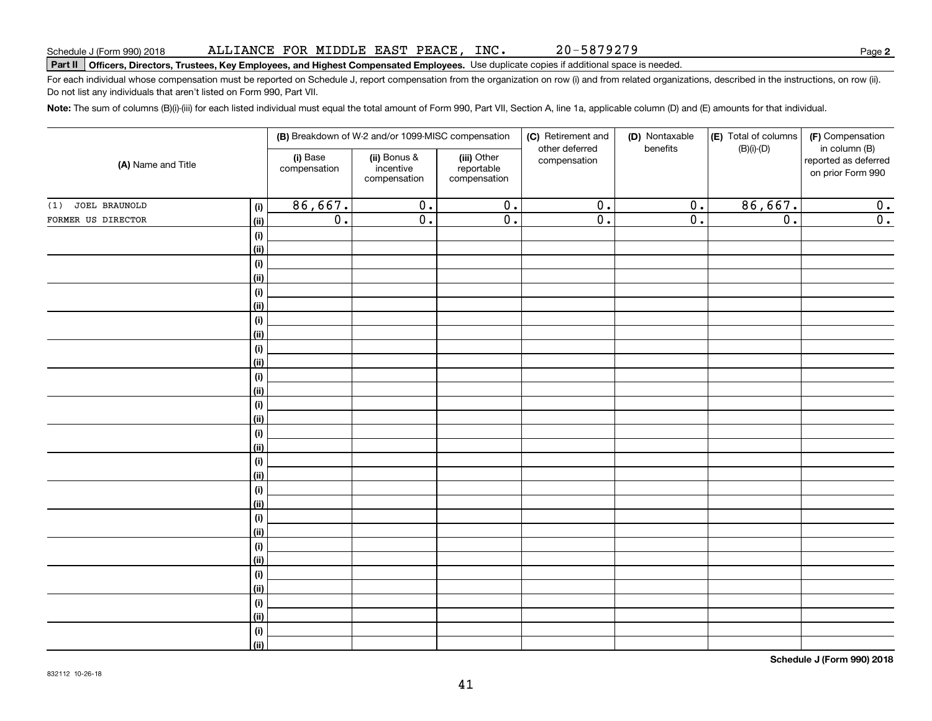### ALLIANCE FOR MIDDLE EAST PEACE, INC.

20-5879279

**2**

# **Part II Officers, Directors, Trustees, Key Employees, and Highest Compensated Employees.**  Schedule J (Form 990) 2018 Page Use duplicate copies if additional space is needed.

For each individual whose compensation must be reported on Schedule J, report compensation from the organization on row (i) and from related organizations, described in the instructions, on row (ii). Do not list any individuals that aren't listed on Form 990, Part VII.

**Note:**  The sum of columns (B)(i)-(iii) for each listed individual must equal the total amount of Form 990, Part VII, Section A, line 1a, applicable column (D) and (E) amounts for that individual.

| (A) Name and Title   |             |                          | (B) Breakdown of W-2 and/or 1099-MISC compensation |                                           | (C) Retirement and             | (D) Nontaxable   | (E) Total of columns | (F) Compensation                                           |
|----------------------|-------------|--------------------------|----------------------------------------------------|-------------------------------------------|--------------------------------|------------------|----------------------|------------------------------------------------------------|
|                      |             | (i) Base<br>compensation | (ii) Bonus &<br>incentive<br>compensation          | (iii) Other<br>reportable<br>compensation | other deferred<br>compensation | benefits         | $(B)(i)-(D)$         | in column (B)<br>reported as deferred<br>on prior Form 990 |
| JOEL BRAUNOLD<br>(1) | (i)         | 86,667.                  | $\overline{0}$ .                                   | $\overline{0}$ .                          | $\overline{0}$ .               | $\overline{0}$ . | 86,667.              | 0.                                                         |
| FORMER US DIRECTOR   | (ii)        | $\overline{0}$ .         | $\overline{0}$ .                                   | $\overline{0}$ .                          | $\overline{0}$ .               | $\overline{0}$ . | $\overline{0}$ .     | $\overline{0}$ .                                           |
|                      | (i)         |                          |                                                    |                                           |                                |                  |                      |                                                            |
|                      | (ii)        |                          |                                                    |                                           |                                |                  |                      |                                                            |
|                      | (i)         |                          |                                                    |                                           |                                |                  |                      |                                                            |
|                      | (ii)        |                          |                                                    |                                           |                                |                  |                      |                                                            |
|                      | (i)         |                          |                                                    |                                           |                                |                  |                      |                                                            |
|                      | (ii)        |                          |                                                    |                                           |                                |                  |                      |                                                            |
|                      | $(\sf{i})$  |                          |                                                    |                                           |                                |                  |                      |                                                            |
|                      | (ii)        |                          |                                                    |                                           |                                |                  |                      |                                                            |
|                      | (i)         |                          |                                                    |                                           |                                |                  |                      |                                                            |
|                      | (ii)        |                          |                                                    |                                           |                                |                  |                      |                                                            |
|                      | (i)         |                          |                                                    |                                           |                                |                  |                      |                                                            |
|                      | (ii)        |                          |                                                    |                                           |                                |                  |                      |                                                            |
|                      | (i)         |                          |                                                    |                                           |                                |                  |                      |                                                            |
|                      | (ii)        |                          |                                                    |                                           |                                |                  |                      |                                                            |
|                      | (i)         |                          |                                                    |                                           |                                |                  |                      |                                                            |
|                      | (ii)        |                          |                                                    |                                           |                                |                  |                      |                                                            |
|                      | (i)<br>(ii) |                          |                                                    |                                           |                                |                  |                      |                                                            |
|                      | $(\sf{i})$  |                          |                                                    |                                           |                                |                  |                      |                                                            |
|                      | (ii)        |                          |                                                    |                                           |                                |                  |                      |                                                            |
|                      | $(\sf{i})$  |                          |                                                    |                                           |                                |                  |                      |                                                            |
|                      | (ii)        |                          |                                                    |                                           |                                |                  |                      |                                                            |
|                      | $(\sf{i})$  |                          |                                                    |                                           |                                |                  |                      |                                                            |
|                      | (ii)        |                          |                                                    |                                           |                                |                  |                      |                                                            |
|                      | $(\sf{i})$  |                          |                                                    |                                           |                                |                  |                      |                                                            |
|                      | (ii)        |                          |                                                    |                                           |                                |                  |                      |                                                            |
|                      | (i)         |                          |                                                    |                                           |                                |                  |                      |                                                            |
|                      | (ii)        |                          |                                                    |                                           |                                |                  |                      |                                                            |
|                      | $(\sf{i})$  |                          |                                                    |                                           |                                |                  |                      |                                                            |
|                      | (ii)        |                          |                                                    |                                           |                                |                  |                      |                                                            |

**Schedule J (Form 990) 2018**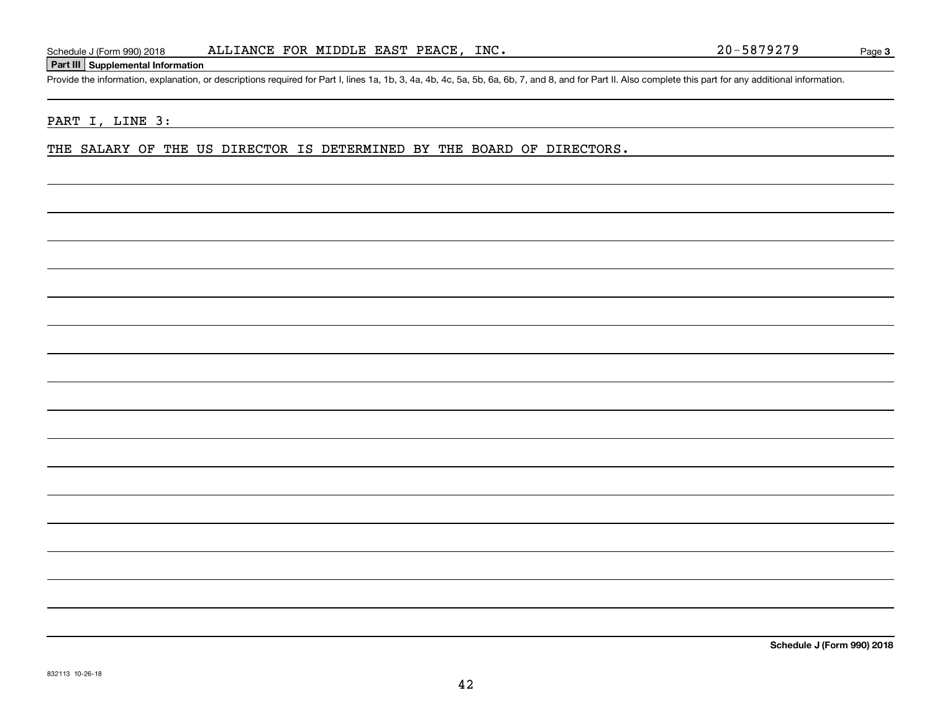### **Part III Supplemental Information**

Schedule J (Form 990) 2018 ALLIANCE FOR MIDDLE EAST PEACE, INC.<br>Part III Supplemental Information<br>Provide the information, explanation, or descriptions required for Part I, lines 1a, 1b, 3, 4a, 4b, 4c, 5a, 5b, 6a, 6b, 7, a

### PART I, LINE 3:

THE SALARY OF THE US DIRECTOR IS DETERMINED BY THE BOARD OF DIRECTORS.

**Schedule J (Form 990) 2018**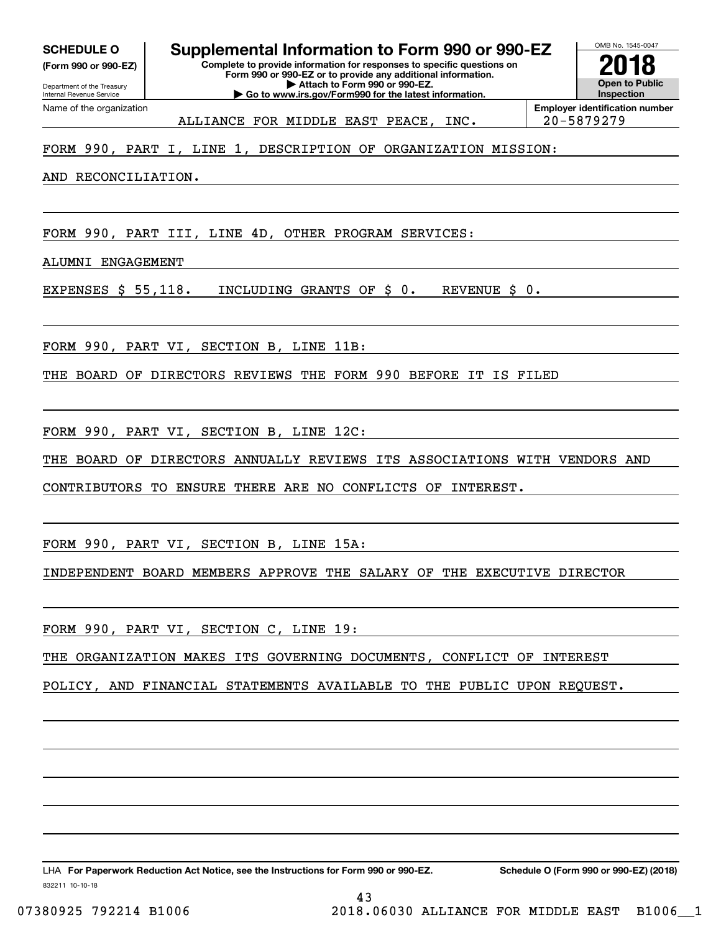**(Form 990 or 990-EZ)**

Department of the Treasury Internal Revenue Service Name of the organization

**Complete to provide information for responses to specific questions on SCHEDULE O Supplemental Information to Form 990 or 990-EZ**

**Form 990 or 990-EZ or to provide any additional information. | Attach to Form 990 or 990-EZ. | Go to www.irs.gov/Form990 for the latest information.**



ALLIANCE FOR MIDDLE EAST PEACE, INC. 20-5879279

FORM 990, PART I, LINE 1, DESCRIPTION OF ORGANIZATION MISSION:

AND RECONCILIATION.

FORM 990, PART III, LINE 4D, OTHER PROGRAM SERVICES:

ALUMNI ENGAGEMENT

EXPENSES \$ 55,118. INCLUDING GRANTS OF \$ 0. REVENUE \$ 0.

FORM 990, PART VI, SECTION B, LINE 11B:

THE BOARD OF DIRECTORS REVIEWS THE FORM 990 BEFORE IT IS FILED

FORM 990, PART VI, SECTION B, LINE 12C:

THE BOARD OF DIRECTORS ANNUALLY REVIEWS ITS ASSOCIATIONS WITH VENDORS AND

CONTRIBUTORS TO ENSURE THERE ARE NO CONFLICTS OF INTEREST.

FORM 990, PART VI, SECTION B, LINE 15A:

INDEPENDENT BOARD MEMBERS APPROVE THE SALARY OF THE EXECUTIVE DIRECTOR

FORM 990, PART VI, SECTION C, LINE 19:

THE ORGANIZATION MAKES ITS GOVERNING DOCUMENTS, CONFLICT OF INTEREST

POLICY, AND FINANCIAL STATEMENTS AVAILABLE TO THE PUBLIC UPON REQUEST.

43

832211 10-10-18 LHA For Paperwork Reduction Act Notice, see the Instructions for Form 990 or 990-EZ. Schedule O (Form 990 or 990-EZ) (2018)

07380925 792214 B1006 2018.06030 ALLIANCE FOR MIDDLE EAST B1006 1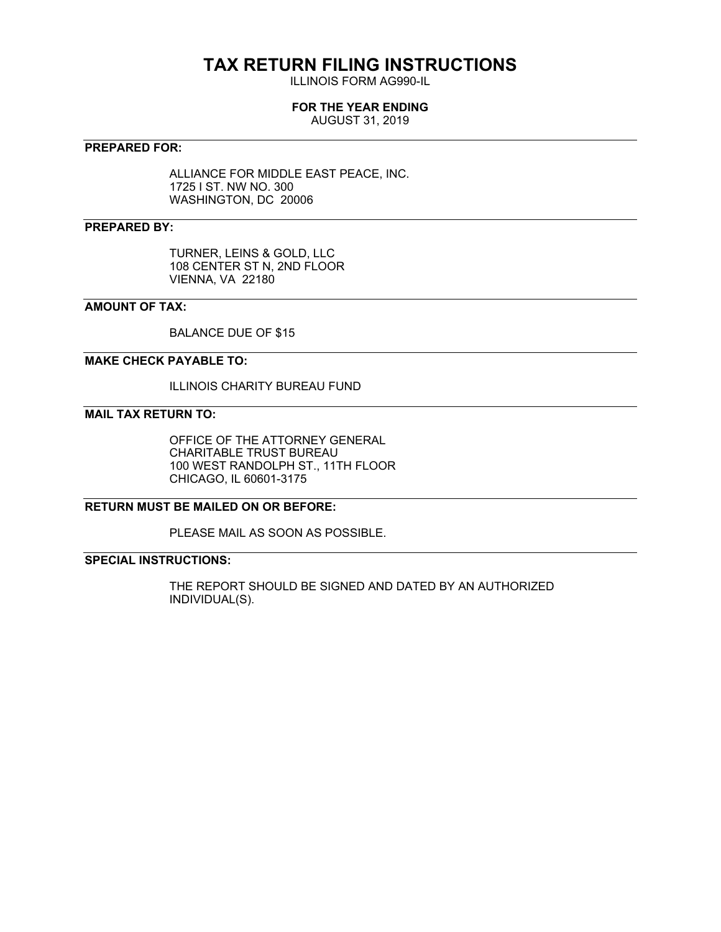# **TAX RETURN FILING INSTRUCTIONS**

ILLINOIS FORM AG990-IL

### **FOR THE YEAR ENDING**

AUGUST 31, 2019

### **PREPARED FOR:**

ALLIANCE FOR MIDDLE EAST PEACE, INC. 1725 I ST. NW NO. 300 WASHINGTON, DC 20006

### **PREPARED BY:**

TURNER, LEINS & GOLD, LLC 108 CENTER ST N, 2ND FLOOR VIENNA, VA 22180

### **AMOUNT OF TAX:**

BALANCE DUE OF \$15

### **MAKE CHECK PAYABLE TO:**

ILLINOIS CHARITY BUREAU FUND

### **MAIL TAX RETURN TO:**

OFFICE OF THE ATTORNEY GENERAL CHARITABLE TRUST BUREAU 100 WEST RANDOLPH ST., 11TH FLOOR CHICAGO, IL 60601-3175

### **RETURN MUST BE MAILED ON OR BEFORE:**

PLEASE MAIL AS SOON AS POSSIBLE.

### **SPECIAL INSTRUCTIONS:**

THE REPORT SHOULD BE SIGNED AND DATED BY AN AUTHORIZED INDIVIDUAL(S).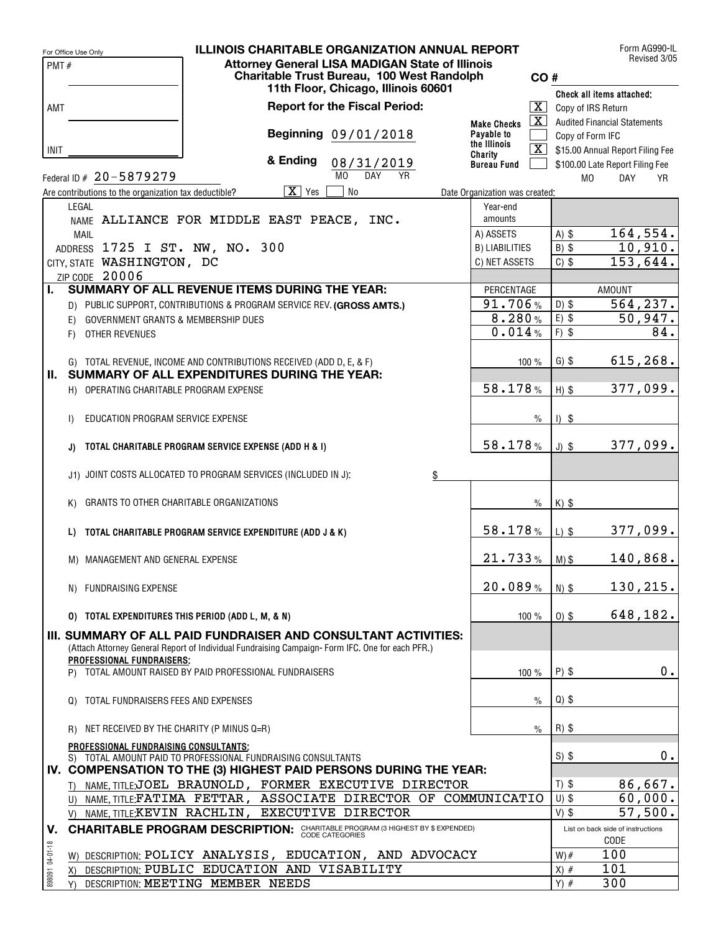|                 | For Office Use Only                                   | <b>ILLINOIS CHARITABLE ORGANIZATION ANNUAL REPORT</b>                                           |                                  |                         |                    | Form AG990-IL<br>Revised 3/05       |
|-----------------|-------------------------------------------------------|-------------------------------------------------------------------------------------------------|----------------------------------|-------------------------|--------------------|-------------------------------------|
| PMT#            |                                                       | <b>Attorney General LISA MADIGAN State of Illinois</b>                                          |                                  |                         |                    |                                     |
|                 |                                                       | Charitable Trust Bureau, 100 West Randolph<br>11th Floor, Chicago, Illinois 60601               |                                  | CO#                     |                    |                                     |
|                 |                                                       |                                                                                                 |                                  |                         |                    | Check all items attached:           |
| AMT             |                                                       | <b>Report for the Fiscal Period:</b>                                                            |                                  | $\boxed{\text{X}}$      | Copy of IRS Return |                                     |
|                 |                                                       | Beginning 09/01/2018                                                                            | <b>Make Checks</b><br>Payable to | $\boxed{\text{X}}$      |                    | <b>Audited Financial Statements</b> |
|                 |                                                       |                                                                                                 | the Illinois                     | $\overline{\mathbf{X}}$ | Copy of Form IFC   |                                     |
| INIT            |                                                       | & Ending<br>08/31/2019                                                                          | Charity                          |                         |                    | \$15.00 Annual Report Filing Fee    |
|                 | Federal ID # 20-5879279                               | M <sub>0</sub><br><b>DAY</b><br><b>YR</b>                                                       | <b>Bureau Fund</b>               |                         |                    | \$100.00 Late Report Filing Fee     |
|                 | Are contributions to the organization tax deductible? | $\overline{X}$ Yes<br>No                                                                        | Date Organization was created:   |                         | M <sub>0</sub>     | <b>DAY</b><br>YR                    |
|                 | LEGAL                                                 |                                                                                                 | Year-end                         |                         |                    |                                     |
|                 |                                                       | NAME ALLIANCE FOR MIDDLE EAST PEACE, INC.                                                       | amounts                          |                         |                    |                                     |
|                 | <b>MAIL</b>                                           |                                                                                                 | A) ASSETS                        |                         | $A)$ \$            | 164,554.                            |
|                 | ADDRESS 1725 I ST. NW, NO. 300                        |                                                                                                 | <b>B) LIABILITIES</b>            |                         | $B)$ \$            | 10,910.                             |
|                 | CITY, STATE WASHINGTON, DC                            |                                                                                                 | C) NET ASSETS                    |                         | $C)$ \$            | 153,644.                            |
|                 | ZIP CODE 20006                                        |                                                                                                 |                                  |                         |                    |                                     |
| Ъ.              |                                                       | SUMMARY OF ALL REVENUE ITEMS DURING THE YEAR:                                                   | PERCENTAGE                       |                         |                    | <b>AMOUNT</b>                       |
|                 |                                                       | D) PUBLIC SUPPORT, CONTRIBUTIONS & PROGRAM SERVICE REV. (GROSS AMTS.)                           | 91.706%                          |                         | $D)$ \$            | 564, 237.                           |
|                 | <b>GOVERNMENT GRANTS &amp; MEMBERSHIP DUES</b><br>E)  |                                                                                                 | 8.280%                           |                         | $E)$ \$            | 50,947.                             |
|                 | OTHER REVENUES<br>F)                                  |                                                                                                 | 0.014%                           |                         | $F)$ \$            | 84.                                 |
|                 |                                                       |                                                                                                 |                                  |                         |                    |                                     |
|                 |                                                       | G) TOTAL REVENUE, INCOME AND CONTRIBUTIONS RECEIVED (ADD D, E, & F)                             |                                  | 100 %                   | $G)$ \$            | 615, 268.                           |
| II. .           |                                                       | SUMMARY OF ALL EXPENDITURES DURING THE YEAR:                                                    |                                  |                         |                    |                                     |
|                 | H) OPERATING CHARITABLE PROGRAM EXPENSE               |                                                                                                 | 58.178%                          |                         | $H)$ \$            | 377,099.                            |
|                 |                                                       |                                                                                                 |                                  |                         |                    |                                     |
|                 | EDUCATION PROGRAM SERVICE EXPENSE<br>$\mathsf{D}$     |                                                                                                 |                                  | $\%$                    | $1)$ \$            |                                     |
|                 |                                                       |                                                                                                 |                                  |                         |                    |                                     |
|                 | J)                                                    | TOTAL CHARITABLE PROGRAM SERVICE EXPENSE (ADD H & I)                                            | 58.178%                          |                         | $J)$ \$            | 377,099.                            |
|                 |                                                       | J1) JOINT COSTS ALLOCATED TO PROGRAM SERVICES (INCLUDED IN J):                                  |                                  |                         |                    |                                     |
|                 |                                                       | \$                                                                                              |                                  |                         |                    |                                     |
|                 | GRANTS TO OTHER CHARITABLE ORGANIZATIONS<br>K)        |                                                                                                 |                                  | $\%$                    | $K)$ \$            |                                     |
|                 |                                                       |                                                                                                 |                                  |                         |                    |                                     |
|                 | L)                                                    | TOTAL CHARITABLE PROGRAM SERVICE EXPENDITURE (ADD J & K)                                        | 58.178%                          |                         | $L)$ \$            | 377,099.                            |
|                 |                                                       |                                                                                                 |                                  |                         |                    |                                     |
|                 | M) MANAGEMENT AND GENERAL EXPENSE                     |                                                                                                 | 21.733%                          |                         | $M)$ \$            | 140,868.                            |
|                 |                                                       |                                                                                                 |                                  |                         |                    |                                     |
|                 | N) FUNDRAISING EXPENSE                                |                                                                                                 | 20.089%                          |                         | $N)$ \$            | 130,215.                            |
|                 |                                                       |                                                                                                 |                                  |                         |                    |                                     |
|                 | 0) TOTAL EXPENDITURES THIS PERIOD (ADD L, M, & N)     |                                                                                                 |                                  | 100 %                   | $0)$ \$            | 648,182.                            |
|                 |                                                       | III. SUMMARY OF ALL PAID FUNDRAISER AND CONSULTANT ACTIVITIES:                                  |                                  |                         |                    |                                     |
|                 |                                                       | (Attach Attorney General Report of Individual Fundraising Campaign-Form IFC. One for each PFR.) |                                  |                         |                    |                                     |
|                 | PROFESSIONAL FUNDRAISERS:                             |                                                                                                 |                                  |                         |                    |                                     |
|                 |                                                       | P) TOTAL AMOUNT RAISED BY PAID PROFESSIONAL FUNDRAISERS                                         |                                  | 100 %                   | $P)$ \$            | $0$ .                               |
|                 | TOTAL FUNDRAISERS FEES AND EXPENSES                   |                                                                                                 |                                  |                         | $Q$ ) \$           |                                     |
|                 | Q)                                                    |                                                                                                 |                                  | $\%$                    |                    |                                     |
|                 | NET RECEIVED BY THE CHARITY (P MINUS Q=R)<br>R)       |                                                                                                 |                                  | $\%$                    | $R)$ \$            |                                     |
|                 | PROFESSIONAL FUNDRAISING CONSULTANTS;                 |                                                                                                 |                                  |                         |                    |                                     |
|                 |                                                       | S) TOTAL AMOUNT PAID TO PROFESSIONAL FUNDRAISING CONSULTANTS                                    |                                  |                         | $S)$ \$            | 0.                                  |
|                 |                                                       | IV. COMPENSATION TO THE (3) HIGHEST PAID PERSONS DURING THE YEAR:                               |                                  |                         |                    |                                     |
|                 |                                                       | T) NAME, TITLE;JOEL BRAUNOLD, FORMER EXECUTIVE DIRECTOR                                         |                                  |                         | $T)$ \$            | 86,667.                             |
|                 |                                                       | U) NAME, TITLE: FATIMA FETTAR, ASSOCIATE DIRECTOR OF COMMUNICATIO                               |                                  |                         | $U)$ \$            | 60,000.                             |
|                 |                                                       | V) NAME TITLE KEVIN RACHLIN, EXECUTIVE DIRECTOR                                                 |                                  |                         | $V)$ \$            | 57,500.                             |
| V.              |                                                       | <b>CHARITABLE PROGRAM DESCRIPTION:</b> CHARITABLE PROGRAM (3 HIGHEST BY \$ EXPENDED)            |                                  |                         |                    | List on back side of instructions   |
|                 |                                                       |                                                                                                 |                                  |                         |                    | CODE                                |
| 898091 04-01-18 |                                                       | W) DESCRIPTION: POLICY ANALYSIS, EDUCATION, AND ADVOCACY                                        |                                  |                         | $W)$ #             | 100                                 |
|                 | X)                                                    | DESCRIPTION: PUBLIC EDUCATION AND VISABILITY                                                    |                                  |                         | $X)$ #             | 101                                 |
|                 | Y)                                                    | DESCRIPTION: MEETING MEMBER NEEDS                                                               |                                  |                         | $Y)$ #             | 300                                 |